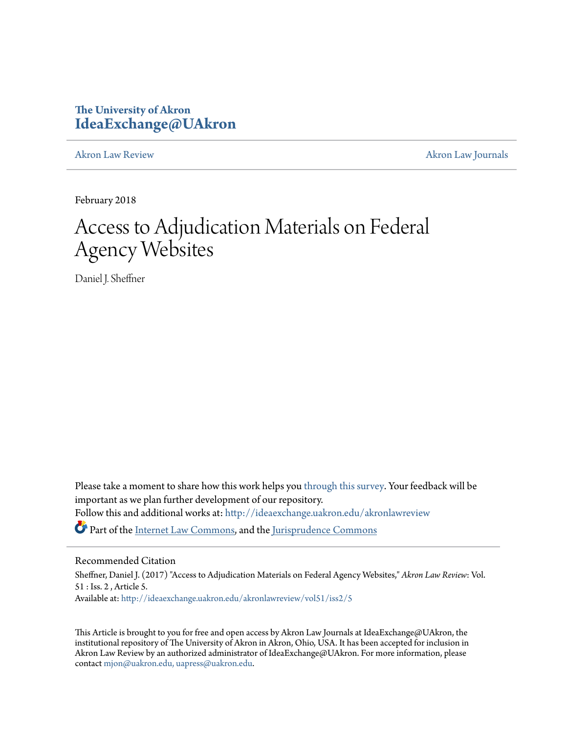## **The University of Akron [IdeaExchange@UAkron](http://ideaexchange.uakron.edu?utm_source=ideaexchange.uakron.edu%2Fakronlawreview%2Fvol51%2Fiss2%2F5&utm_medium=PDF&utm_campaign=PDFCoverPages)**

[Akron Law Review](http://ideaexchange.uakron.edu/akronlawreview?utm_source=ideaexchange.uakron.edu%2Fakronlawreview%2Fvol51%2Fiss2%2F5&utm_medium=PDF&utm_campaign=PDFCoverPages) [Akron Law Journals](http://ideaexchange.uakron.edu/akronlawjournals?utm_source=ideaexchange.uakron.edu%2Fakronlawreview%2Fvol51%2Fiss2%2F5&utm_medium=PDF&utm_campaign=PDFCoverPages)

February 2018

# Access to Adjudication Materials on Federal Agency Websites

Daniel J. Sheffner

Please take a moment to share how this work helps you [through this survey.](http://survey.az1.qualtrics.com/SE/?SID=SV_eEVH54oiCbOw05f&URL=http://ideaexchange.uakron.edu/akronlawreview/vol51/iss2/5) Your feedback will be important as we plan further development of our repository. Follow this and additional works at: [http://ideaexchange.uakron.edu/akronlawreview](http://ideaexchange.uakron.edu/akronlawreview?utm_source=ideaexchange.uakron.edu%2Fakronlawreview%2Fvol51%2Fiss2%2F5&utm_medium=PDF&utm_campaign=PDFCoverPages) Part of the [Internet Law Commons,](http://network.bepress.com/hgg/discipline/892?utm_source=ideaexchange.uakron.edu%2Fakronlawreview%2Fvol51%2Fiss2%2F5&utm_medium=PDF&utm_campaign=PDFCoverPages) and the [Jurisprudence Commons](http://network.bepress.com/hgg/discipline/610?utm_source=ideaexchange.uakron.edu%2Fakronlawreview%2Fvol51%2Fiss2%2F5&utm_medium=PDF&utm_campaign=PDFCoverPages)

## Recommended Citation

Sheffner, Daniel J. (2017) "Access to Adjudication Materials on Federal Agency Websites," *Akron Law Review*: Vol. 51 : Iss. 2 , Article 5. Available at: [http://ideaexchange.uakron.edu/akronlawreview/vol51/iss2/5](http://ideaexchange.uakron.edu/akronlawreview/vol51/iss2/5?utm_source=ideaexchange.uakron.edu%2Fakronlawreview%2Fvol51%2Fiss2%2F5&utm_medium=PDF&utm_campaign=PDFCoverPages)

This Article is brought to you for free and open access by Akron Law Journals at IdeaExchange@UAkron, the institutional repository of The University of Akron in Akron, Ohio, USA. It has been accepted for inclusion in Akron Law Review by an authorized administrator of IdeaExchange@UAkron. For more information, please contact [mjon@uakron.edu, uapress@uakron.edu.](mailto:mjon@uakron.edu,%20uapress@uakron.edu)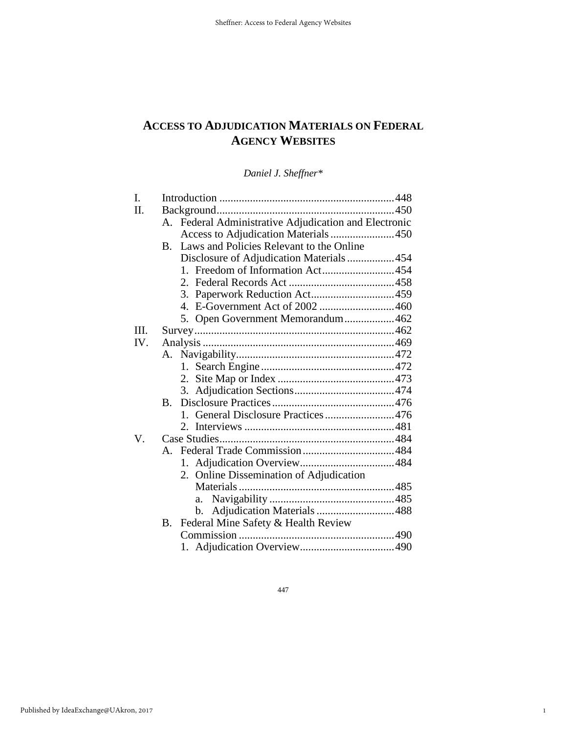## **ACCESS TO ADJUDICATION MATERIALS ON FEDERAL AGENCY WEBSITES**

*Daniel J. Sheffner\** 

| I.   |             |                                                    |  |  |  |
|------|-------------|----------------------------------------------------|--|--|--|
| H.   |             |                                                    |  |  |  |
|      | $A_{\cdot}$ | Federal Administrative Adjudication and Electronic |  |  |  |
|      |             | Access to Adjudication Materials 450               |  |  |  |
|      | <b>B.</b>   | Laws and Policies Relevant to the Online           |  |  |  |
|      |             | Disclosure of Adjudication Materials454            |  |  |  |
|      |             | 1. Freedom of Information Act454                   |  |  |  |
|      |             |                                                    |  |  |  |
|      |             |                                                    |  |  |  |
|      |             |                                                    |  |  |  |
|      |             | 5. Open Government Memorandum462                   |  |  |  |
| III. |             |                                                    |  |  |  |
| IV.  |             |                                                    |  |  |  |
|      | A.          |                                                    |  |  |  |
|      |             |                                                    |  |  |  |
|      |             |                                                    |  |  |  |
|      |             |                                                    |  |  |  |
|      | $\bf{B}$    |                                                    |  |  |  |
|      |             | 1. General Disclosure Practices 476                |  |  |  |
|      |             |                                                    |  |  |  |
| V.   |             |                                                    |  |  |  |
|      |             |                                                    |  |  |  |
|      |             | 1.                                                 |  |  |  |
|      |             | 2. Online Dissemination of Adjudication            |  |  |  |
|      |             |                                                    |  |  |  |
|      |             | a.                                                 |  |  |  |
|      |             | Adjudication Materials 488<br>b.                   |  |  |  |
|      | Β.          | Federal Mine Safety & Health Review                |  |  |  |
|      |             |                                                    |  |  |  |
|      |             |                                                    |  |  |  |

447

1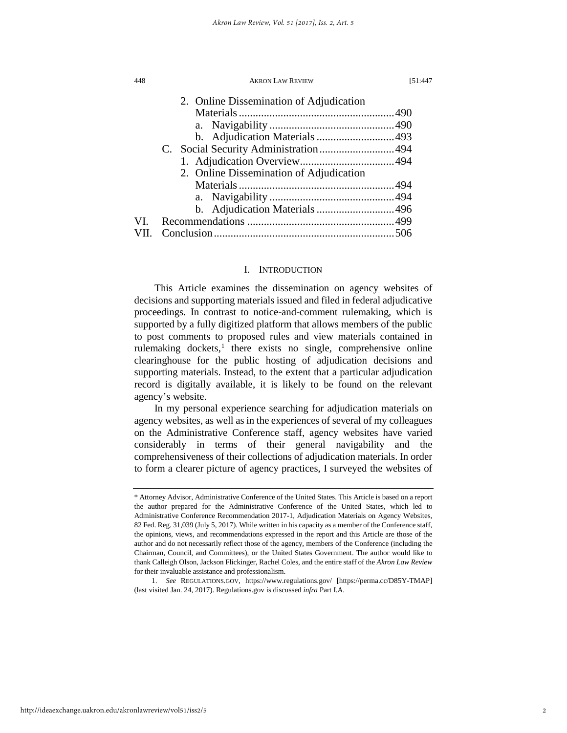|      | 2. Online Dissemination of Adjudication |  |
|------|-----------------------------------------|--|
|      |                                         |  |
|      |                                         |  |
|      | b. Adjudication Materials 493           |  |
|      |                                         |  |
|      |                                         |  |
|      | 2. Online Dissemination of Adjudication |  |
|      |                                         |  |
|      |                                         |  |
|      | b. Adjudication Materials 496           |  |
| VI.  |                                         |  |
| VII. |                                         |  |
|      |                                         |  |

## I. INTRODUCTION

This Article examines the dissemination on agency websites of decisions and supporting materials issued and filed in federal adjudicative proceedings. In contrast to notice-and-comment rulemaking, which is supported by a fully digitized platform that allows members of the public to post comments to proposed rules and view materials contained in rulemaking dockets, $<sup>1</sup>$  $<sup>1</sup>$  $<sup>1</sup>$  there exists no single, comprehensive online</sup> clearinghouse for the public hosting of adjudication decisions and supporting materials. Instead, to the extent that a particular adjudication record is digitally available, it is likely to be found on the relevant agency's website.

In my personal experience searching for adjudication materials on agency websites, as well as in the experiences of several of my colleagues on the Administrative Conference staff, agency websites have varied considerably in terms of their general navigability and the comprehensiveness of their collections of adjudication materials. In order to form a clearer picture of agency practices, I surveyed the websites of

<span id="page-2-0"></span><sup>\*</sup> Attorney Advisor, Administrative Conference of the United States. This Article is based on a report the author prepared for the Administrative Conference of the United States, which led to Administrative Conference Recommendation 2017-1, Adjudication Materials on Agency Websites, 82 Fed. Reg. 31,039 (July 5, 2017). While written in his capacity as a member of the Conference staff, the opinions, views, and recommendations expressed in the report and this Article are those of the author and do not necessarily reflect those of the agency, members of the Conference (including the Chairman, Council, and Committees), or the United States Government. The author would like to thank Calleigh Olson, Jackson Flickinger, Rachel Coles, and the entire staff of the *Akron Law Review* for their invaluable assistance and professionalism.

<sup>1.</sup> *See* REGULATIONS.GOV, https://www.regulations.gov/ [https://perma.cc/D85Y-TMAP] (last visited Jan. 24, 2017). Regulations.gov is discussed *infra* Part I.A.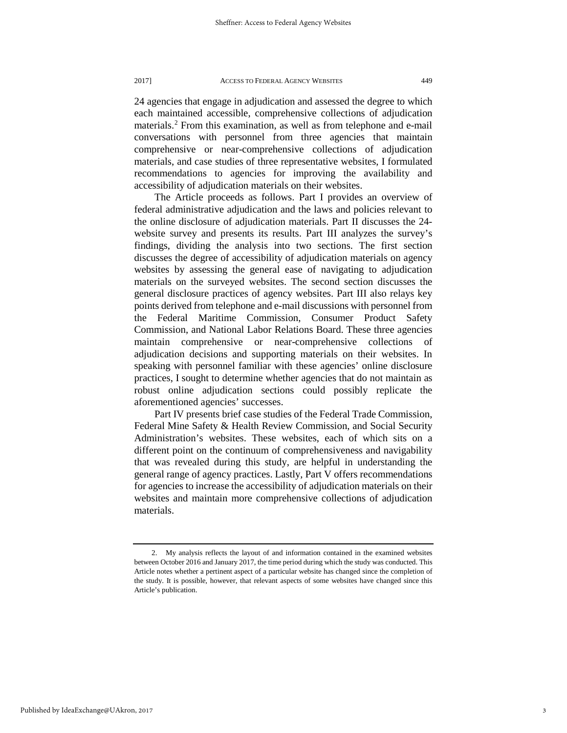24 agencies that engage in adjudication and assessed the degree to which each maintained accessible, comprehensive collections of adjudication materials.[2](#page-3-0) From this examination, as well as from telephone and e-mail conversations with personnel from three agencies that maintain comprehensive or near-comprehensive collections of adjudication materials, and case studies of three representative websites, I formulated recommendations to agencies for improving the availability and accessibility of adjudication materials on their websites.

The Article proceeds as follows. Part I provides an overview of federal administrative adjudication and the laws and policies relevant to the online disclosure of adjudication materials. Part II discusses the 24 website survey and presents its results. Part III analyzes the survey's findings, dividing the analysis into two sections. The first section discusses the degree of accessibility of adjudication materials on agency websites by assessing the general ease of navigating to adjudication materials on the surveyed websites. The second section discusses the general disclosure practices of agency websites. Part III also relays key points derived from telephone and e-mail discussions with personnel from the Federal Maritime Commission, Consumer Product Safety Commission, and National Labor Relations Board. These three agencies maintain comprehensive or near-comprehensive collections of adjudication decisions and supporting materials on their websites. In speaking with personnel familiar with these agencies' online disclosure practices, I sought to determine whether agencies that do not maintain as robust online adjudication sections could possibly replicate the aforementioned agencies' successes.

Part IV presents brief case studies of the Federal Trade Commission, Federal Mine Safety & Health Review Commission, and Social Security Administration's websites. These websites, each of which sits on a different point on the continuum of comprehensiveness and navigability that was revealed during this study, are helpful in understanding the general range of agency practices. Lastly, Part V offers recommendations for agencies to increase the accessibility of adjudication materials on their websites and maintain more comprehensive collections of adjudication materials.

<span id="page-3-0"></span><sup>2.</sup> My analysis reflects the layout of and information contained in the examined websites between October 2016 and January 2017, the time period during which the study was conducted. This Article notes whether a pertinent aspect of a particular website has changed since the completion of the study. It is possible, however, that relevant aspects of some websites have changed since this Article's publication.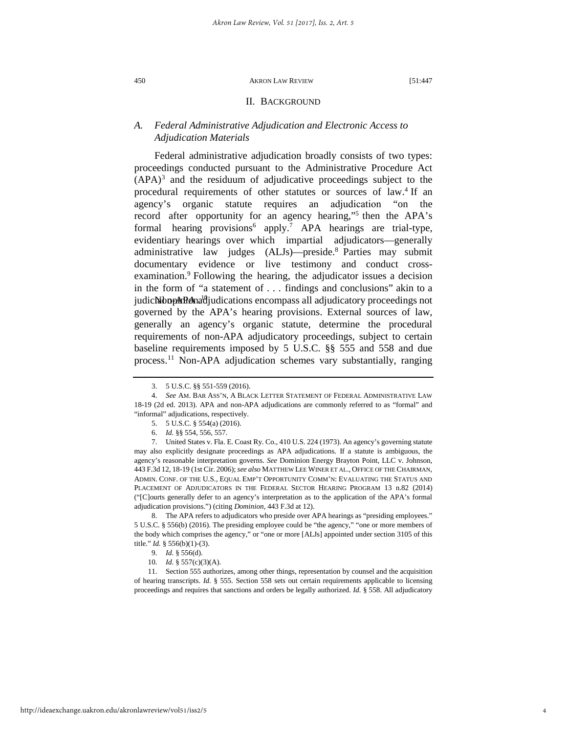## II. BACKGROUND

## *A. Federal Administrative Adjudication and Electronic Access to Adjudication Materials*

Federal administrative adjudication broadly consists of two types: proceedings conducted pursuant to the Administrative Procedure Act  $(APA)^3$  $(APA)^3$  and the residuum of adjudicative proceedings subject to the procedural requirements of other statutes or sources of la[w.](#page-4-1)<sup>4</sup> If an agency's organic statute requires an adjudication "on the record after opportunity for an a[g](#page-4-2)ency hearing,"<sup>5</sup> then the APA's formal [he](#page-4-3)aring [p](#page-4-4)rovisions<sup>6</sup> apply.<sup>7</sup> APA hearings are trial-type, evidentiary hearings over which impartial adjudicators—generally administrative [la](#page-4-5)w judges (ALJs)—preside.<sup>8</sup> Parties may submit documentary evidence or live testi[m](#page-4-6)ony and conduct crossexamination.<sup>9</sup> Following the hearing, the adjudicator issues a decision in the form of "a statement of . . . findin[gs](#page-4-7) and conclusions" akin to a judic**NoopARA** adjudications encompass all adjudicatory proceedings not governed by the APA's hearing provisions. External sources of law, generally an agency's organic statute, determine the procedural requirements of non-APA adjudicatory proceedings, subject to certain baseline requirements imposed by 5 U.S.C. §§ 555 and 558 and due process.[11](#page-4-8) Non-APA adjudication schemes vary substantially, ranging

<span id="page-4-4"></span><span id="page-4-3"></span><span id="page-4-2"></span>7. United States v. Fla. E. Coast Ry. Co., 410 U.S. 224 (1973). An agency's governing statute may also explicitly designate proceedings as APA adjudications. If a statute is ambiguous, the agency's reasonable interpretation governs. *See* Dominion Energy Brayton Point, LLC v. Johnson, 443 F.3d 12, 18-19 (1st Cir. 2006); *see also* MATTHEW LEE WINER ET AL., OFFICE OF THE CHAIRMAN, ADMIN. CONF. OF THE U.S., EQUAL EMP'T OPPORTUNITY COMM'N: EVALUATING THE STATUS AND PLACEMENT OF ADJUDICATORS IN THE FEDERAL SECTOR HEARING PROGRAM 13 n.82 (2014) ("[C]ourts generally defer to an agency's interpretation as to the application of the APA's formal adjudication provisions.") (citing *Dominion*, 443 F.3d at 12).

<span id="page-4-5"></span>8. The APA refers to adjudicators who preside over APA hearings as "presiding employees." 5 U.S.C. § 556(b) (2016). The presiding employee could be "the agency," "one or more members of the body which comprises the agency," or "one or more [ALJs] appointed under section 3105 of this title." *Id.* § 556(b)(1)-(3).

10. *Id.* § 557(c)(3)(A).

<span id="page-4-8"></span><span id="page-4-7"></span><span id="page-4-6"></span>11. Section 555 authorizes, among other things, representation by counsel and the acquisition of hearing transcripts. *Id.* § 555. Section 558 sets out certain requirements applicable to licensing proceedings and requires that sanctions and orders be legally authorized. *Id.* § 558. All adjudicatory

<sup>3.</sup> 5 U.S.C. §§ 551-559 (2016).

<span id="page-4-1"></span><span id="page-4-0"></span><sup>4.</sup> *See* AM. BAR ASS'N, A BLACK LETTER STATEMENT OF FEDERAL ADMINISTRATIVE LAW 18-19 (2d ed. 2013). APA and non-APA adjudications are commonly referred to as "formal" and "informal" adjudications, respectively.

<sup>5.</sup> 5 U.S.C. § 554(a) (2016).

<sup>6.</sup> *Id.* §§ 554, 556, 557.

<sup>9.</sup> *Id.* § 556(d).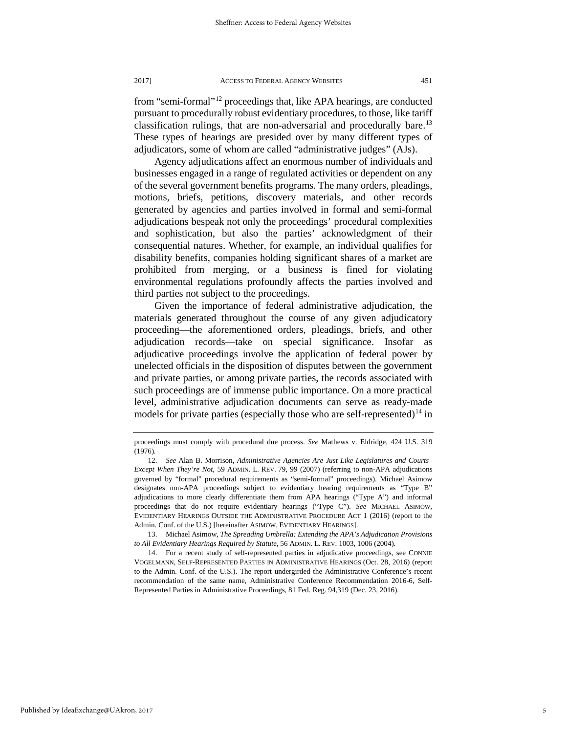from "semi-formal"[12](#page-5-0) proceedings that, like APA hearings, are conducted pursuant to procedurally robust evidentiary procedures, to those, like tariff classification rulings, that are non-adversarial and procedurally bare.<sup>[13](#page-5-1)</sup> These types of hearings are presided over by many different types of adjudicators, some of whom are called "administrative judges" (AJs).

Agency adjudications affect an enormous number of individuals and businesses engaged in a range of regulated activities or dependent on any of the several government benefits programs. The many orders, pleadings, motions, briefs, petitions, discovery materials, and other records generated by agencies and parties involved in formal and semi-formal adjudications bespeak not only the proceedings' procedural complexities and sophistication, but also the parties' acknowledgment of their consequential natures. Whether, for example, an individual qualifies for disability benefits, companies holding significant shares of a market are prohibited from merging, or a business is fined for violating environmental regulations profoundly affects the parties involved and third parties not subject to the proceedings.

Given the importance of federal administrative adjudication, the materials generated throughout the course of any given adjudicatory proceeding—the aforementioned orders, pleadings, briefs, and other adjudication records—take on special significance. Insofar as adjudicative proceedings involve the application of federal power by unelected officials in the disposition of disputes between the government and private parties, or among private parties, the records associated with such proceedings are of immense public importance. On a more practical level, administrative adjudication documents can serve as ready-made models for private parties (especially those who are self-represented)<sup>[14](#page-5-2)</sup> in

proceedings must comply with procedural due process. *See* Mathews v. Eldridge, 424 U.S. 319 (1976).

<span id="page-5-0"></span><sup>12.</sup> *See* Alan B. Morrison, *Administrative Agencies Are Just Like Legislatures and Courts– Except When They're Not*, 59 ADMIN. L. REV. 79, 99 (2007) (referring to non-APA adjudications governed by "formal" procedural requirements as "semi-formal" proceedings). Michael Asimow designates non-APA proceedings subject to evidentiary hearing requirements as "Type B" adjudications to more clearly differentiate them from APA hearings ("Type A") and informal proceedings that do not require evidentiary hearings ("Type C"). *See* MICHAEL ASIMOW, EVIDENTIARY HEARINGS OUTSIDE THE ADMINISTRATIVE PROCEDURE ACT 1 (2016) (report to the Admin. Conf. of the U.S.) [hereinafter ASIMOW, EVIDENTIARY HEARINGS].

<span id="page-5-1"></span><sup>13.</sup> Michael Asimow, *The Spreading Umbrella: Extending the APA's Adjudication Provisions to All Evidentiary Hearings Required by Statute*, 56 ADMIN. L. REV. 1003, 1006 (2004).

<span id="page-5-2"></span><sup>14.</sup> For a recent study of self-represented parties in adjudicative proceedings, see CONNIE VOGELMANN, SELF-REPRESENTED PARTIES IN ADMINISTRATIVE HEARINGS (Oct. 28, 2016) (report to the Admin. Conf. of the U.S.). The report undergirded the Administrative Conference's recent recommendation of the same name, Administrative Conference Recommendation 2016-6, Self-Represented Parties in Administrative Proceedings, 81 Fed. Reg. 94,319 (Dec. 23, 2016).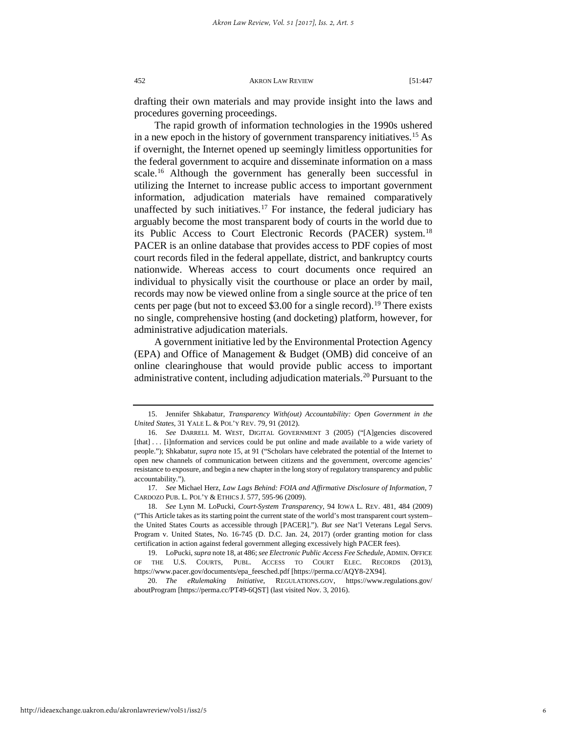drafting their own materials and may provide insight into the laws and procedures governing proceedings.

The rapid growth of information technologies in the 1990s ushered in a new epoch in the history of government transparency initiatives.[15](#page-6-0) As if overnight, the Internet opened up seemingly limitless opportunities for the federal government to acquire and disseminate information on a mass scale.<sup>[16](#page-6-1)</sup> Although the government has generally been successful in utilizing the Internet to increase public access to important government information, adjudication materials have remained comparatively unaffected by such initiatives.<sup>[17](#page-6-2)</sup> For instance, the federal judiciary has arguably become the most transparent body of courts in the world due to its Public Access to Court Electronic Records (PACER) system.<sup>[18](#page-6-3)</sup> PACER is an online database that provides access to PDF copies of most court records filed in the federal appellate, district, and bankruptcy courts nationwide. Whereas access to court documents once required an individual to physically visit the courthouse or place an order by mail, records may now be viewed online from a single source at the price of ten cents per page (but not to exceed \$3.00 for a single record).<sup>[19](#page-6-4)</sup> There exists no single, comprehensive hosting (and docketing) platform, however, for administrative adjudication materials.

A government initiative led by the Environmental Protection Agency (EPA) and Office of Management & Budget (OMB) did conceive of an online clearinghouse that would provide public access to important administrative content, including adjudication materials.<sup>[20](#page-6-5)</sup> Pursuant to the

<span id="page-6-0"></span><sup>15.</sup> Jennifer Shkabatur, *Transparency With(out) Accountability: Open Government in the United States*, 31 YALE L. & POL'Y REV. 79, 91 (2012).

<span id="page-6-1"></span><sup>16.</sup> *See* DARRELL M. WEST, DIGITAL GOVERNMENT 3 (2005) ("[A]gencies discovered [that] . . . [i]nformation and services could be put online and made available to a wide variety of people."); Shkabatur, *supra* note 15, at 91 ("Scholars have celebrated the potential of the Internet to open new channels of communication between citizens and the government, overcome agencies' resistance to exposure, and begin a new chapter in the long story of regulatory transparency and public accountability.").

<span id="page-6-2"></span><sup>17.</sup> *See* Michael Herz, *Law Lags Behind: FOIA and Affirmative Disclosure of Information*, 7 CARDOZO PUB. L. POL'Y & ETHICS J. 577, 595-96 (2009).

<span id="page-6-3"></span><sup>18.</sup> *See* Lynn M. LoPucki, *Court-System Transparency*, 94 IOWA L. REV. 481, 484 (2009) ("This Article takes as its starting point the current state of the world's most transparent court system– the United States Courts as accessible through [PACER]."). *But see* Nat'l Veterans Legal Servs. Program v. United States, No. 16-745 (D. D.C. Jan. 24, 2017) (order granting motion for class certification in action against federal government alleging excessively high PACER fees).

<span id="page-6-4"></span><sup>19.</sup> LoPucki, *supra* note 18, at 486; *see Electronic Public Access Fee Schedule,*ADMIN. OFFICE OF THE U.S. COURTS, PUBL. ACCESS TO COURT ELEC. RECORDS (2013), https://www.pacer.gov/documents/epa\_feesched.pdf [https://perma.cc/AQY8-2X94].

<span id="page-6-5"></span><sup>20.</sup> *The eRulemaking Initiative*, REGULATIONS.GOV, https://www.regulations.gov/ aboutProgram [https://perma.cc/PT49-6QST] (last visited Nov. 3, 2016).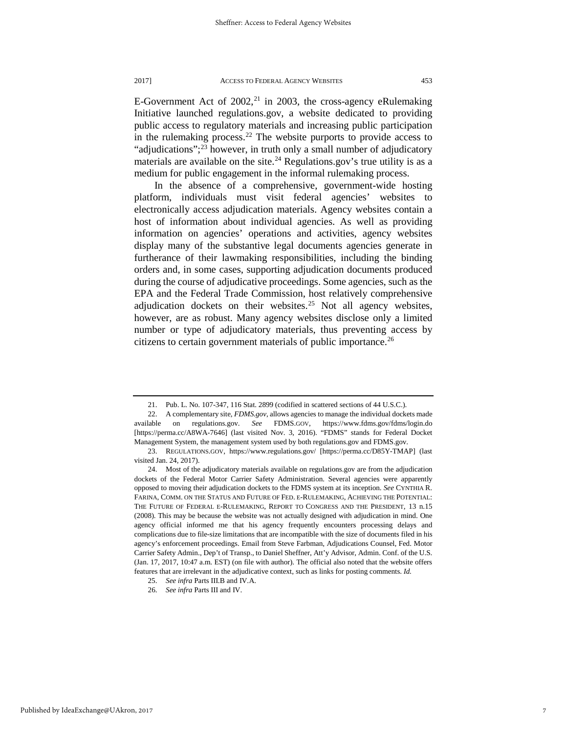E-Government Act of  $2002$ ,<sup>[21](#page-7-0)</sup> in 2003, the cross-agency eRulemaking Initiative launched regulations.gov, a website dedicated to providing public access to regulatory materials and increasing public participation in the rulemaking process.<sup>22</sup> The website purports to provide access to "adjudications";<sup>[23](#page-7-2)</sup> however, in truth only a small number of adjudicatory materials are available on the site.<sup>[24](#page-7-3)</sup> Regulations.gov's true utility is as a medium for public engagement in the informal rulemaking process.

In the absence of a comprehensive, government-wide hosting platform, individuals must visit federal agencies' websites to electronically access adjudication materials. Agency websites contain a host of information about individual agencies. As well as providing information on agencies' operations and activities, agency websites display many of the substantive legal documents agencies generate in furtherance of their lawmaking responsibilities, including the binding orders and, in some cases, supporting adjudication documents produced during the course of adjudicative proceedings. Some agencies, such as the EPA and the Federal Trade Commission, host relatively comprehensive adjudication dockets on their websites.<sup>[25](#page-7-4)</sup> Not all agency websites, however, are as robust. Many agency websites disclose only a limited number or type of adjudicatory materials, thus preventing access by citizens to certain government materials of public importance.<sup>[26](#page-7-5)</sup>

<span id="page-7-5"></span><span id="page-7-4"></span>25. *See infra* Parts III.B and IV.A.

<sup>21.</sup> Pub. L. No. 107-347, 116 Stat. 2899 (codified in scattered sections of 44 U.S.C.).

<span id="page-7-1"></span><span id="page-7-0"></span><sup>22.</sup> A complementary site, *FDMS.gov*, allows agencies to manage the individual dockets made available on regulations.gov. *See* FDMS.GOV, https://www.fdms.gov/fdms/login.do [https://perma.cc/A8WA-7646] (last visited Nov. 3, 2016). "FDMS" stands for Federal Docket Management System, the management system used by both regulations.gov and FDMS.gov.

<span id="page-7-2"></span><sup>23.</sup> REGULATIONS.GOV, https://www.regulations.gov/ [https://perma.cc/D85Y-TMAP] (last visited Jan. 24, 2017).

<span id="page-7-3"></span><sup>24.</sup> Most of the adjudicatory materials available on regulations.gov are from the adjudication dockets of the Federal Motor Carrier Safety Administration. Several agencies were apparently opposed to moving their adjudication dockets to the FDMS system at its inception. *See* CYNTHIA R. FARINA, COMM. ON THE STATUS AND FUTURE OF FED. E-RULEMAKING, ACHIEVING THE POTENTIAL: THE FUTURE OF FEDERAL E-RULEMAKING, REPORT TO CONGRESS AND THE PRESIDENT, 13 n.15 (2008). This may be because the website was not actually designed with adjudication in mind. One agency official informed me that his agency frequently encounters processing delays and complications due to file-size limitations that are incompatible with the size of documents filed in his agency's enforcement proceedings. Email from Steve Farbman, Adjudications Counsel, Fed. Motor Carrier Safety Admin., Dep't of Transp., to Daniel Sheffner, Att'y Advisor, Admin. Conf. of the U.S. (Jan. 17, 2017, 10:47 a.m. EST) (on file with author). The official also noted that the website offers features that are irrelevant in the adjudicative context, such as links for posting comments. *Id.*

<sup>26.</sup> *See infra* Parts III and IV.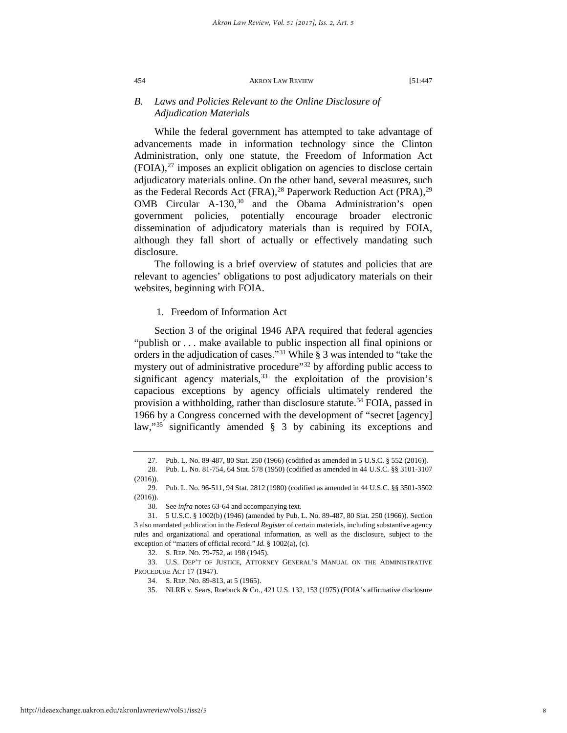## *B. Laws and Policies Relevant to the Online Disclosure of Adjudication Materials*

While the federal government has attempted to take advantage of advancements made in information technology since the Clinton Administration, only one statute, the Freedom of Information Act  $(FOIA),<sup>27</sup>$  $(FOIA),<sup>27</sup>$  $(FOIA),<sup>27</sup>$  imposes an explicit obligation on agencies to disclose certain adjudicatory materials online. On the other hand, several measures, such as the Federal Records Act (FRA), <sup>[28](#page-8-1)</sup> Paperwork Reduction Act (PRA),  $29$ OMB Circular A-1[30](#page-8-3),<sup>30</sup> and the Obama Administration's open government policies, potentially encourage broader electronic dissemination of adjudicatory materials than is required by FOIA, although they fall short of actually or effectively mandating such disclosure.

The following is a brief overview of statutes and policies that are relevant to agencies' obligations to post adjudicatory materials on their websites, beginning with FOIA.

## 1. Freedom of Information Act

Section 3 of the original 1946 APA required that federal agencies "publish or . . . make available to public inspection all final opinions or orders in the adjudication of cases."<sup>[31](#page-8-4)</sup> While  $\S 3$  was intended to "take the mystery out of administrative procedure"<sup>[32](#page-8-5)</sup> by affording public access to significant agency materials,  $33$  the exploitation of the provision's capacious exceptions by agency officials ultimately rendered the provision a withholding, rather than disclosure statute.<sup>[34](#page-8-7)</sup> FOIA, passed in 1966 by a Congress concerned with the development of "secret [agency] law,"[35](#page-8-8) significantly amended § 3 by cabining its exceptions and

<sup>27.</sup> Pub. L. No. 89-487, 80 Stat. 250 (1966) (codified as amended in 5 U.S.C. § 552 (2016)).

<span id="page-8-1"></span><span id="page-8-0"></span><sup>28.</sup> Pub. L. No. 81-754, 64 Stat. 578 (1950) (codified as amended in 44 U.S.C. §§ 3101-3107 (2016)).

<span id="page-8-2"></span><sup>29.</sup> Pub. L. No. 96-511, 94 Stat. 2812 (1980) (codified as amended in 44 U.S.C. §§ 3501-3502 (2016)).

<sup>30.</sup> See *infra* notes 63-64 and accompanying text.

<span id="page-8-4"></span><span id="page-8-3"></span><sup>31.</sup> 5 U.S.C. § 1002(b) (1946) (amended by Pub. L. No. 89-487, 80 Stat. 250 (1966)). Section 3 also mandated publication in the *Federal Register* of certain materials, including substantive agency rules and organizational and operational information, as well as the disclosure, subject to the exception of "matters of official record." *Id.* § 1002(a), (c).

<sup>32.</sup> S. REP. NO. 79-752, at 198 (1945).

<span id="page-8-8"></span><span id="page-8-7"></span><span id="page-8-6"></span><span id="page-8-5"></span><sup>33.</sup> U.S. DEP'T OF JUSTICE, ATTORNEY GENERAL'S MANUAL ON THE ADMINISTRATIVE PROCEDURE ACT 17 (1947).

<sup>34.</sup> S. REP. NO. 89-813, at 5 (1965).

<sup>35.</sup> NLRB v. Sears, Roebuck & Co., 421 U.S. 132, 153 (1975) (FOIA's affirmative disclosure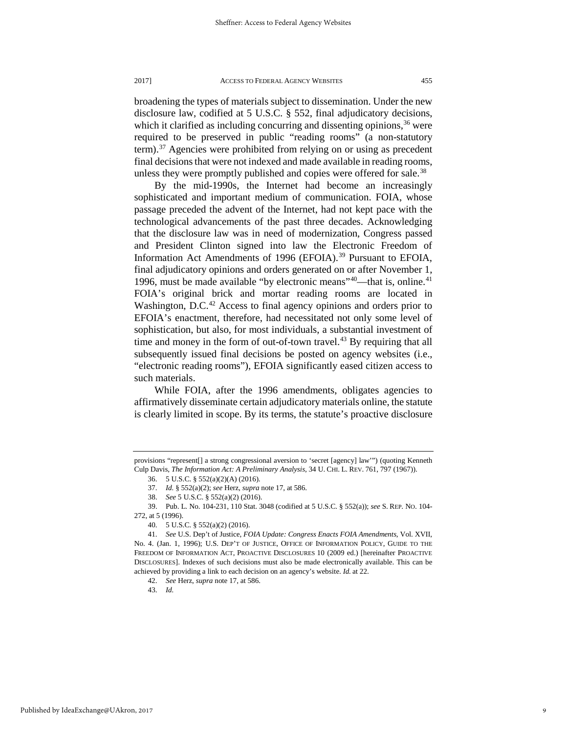broadening the types of materials subject to dissemination. Under the new disclosure law, codified at 5 U.S.C. § 552, final adjudicatory decisions, which it clarified as including concurring and dissenting opinions,  $36$  were required to be preserved in public "reading rooms" (a non-statutory term).<sup>[37](#page-9-1)</sup> Agencies were prohibited from relying on or using as precedent final decisions that were not indexed and made available in reading rooms, unless they were promptly published and copies were offered for sale.<sup>[38](#page-9-2)</sup>

By the mid-1990s, the Internet had become an increasingly sophisticated and important medium of communication. FOIA, whose passage preceded the advent of the Internet, had not kept pace with the technological advancements of the past three decades. Acknowledging that the disclosure law was in need of modernization, Congress passed and President Clinton signed into law the Electronic Freedom of Information Act Amendments of 1996 (EFOIA).<sup>[39](#page-9-3)</sup> Pursuant to EFOIA, final adjudicatory opinions and orders generated on or after November 1, 1996, must be made available "by electronic means"<sup>40</sup>—that is, online.<sup>[41](#page-9-5)</sup> FOIA's original brick and mortar reading rooms are located in Washington, D.C.<sup>[42](#page-9-6)</sup> Access to final agency opinions and orders prior to EFOIA's enactment, therefore, had necessitated not only some level of sophistication, but also, for most individuals, a substantial investment of time and money in the form of out-of-town travel.<sup>[43](#page-9-7)</sup> By requiring that all subsequently issued final decisions be posted on agency websites (i.e., "electronic reading rooms"), EFOIA significantly eased citizen access to such materials.

While FOIA, after the 1996 amendments, obligates agencies to affirmatively disseminate certain adjudicatory materials online, the statute is clearly limited in scope. By its terms, the statute's proactive disclosure

43. *Id.*

<span id="page-9-0"></span>provisions "represent[] a strong congressional aversion to 'secret [agency] law'") (quoting Kenneth Culp Davis, *The Information Act: A Preliminary Analysis*, 34 U. CHI. L. REV. 761, 797 (1967)).

<sup>36.</sup> 5 U.S.C. § 552(a)(2)(A) (2016).

<sup>37.</sup> *Id.* § 552(a)(2); *see* Herz, *supra* note 17, at 586.

<sup>38.</sup> *See* 5 U.S.C. § 552(a)(2) (2016).

<span id="page-9-3"></span><span id="page-9-2"></span><span id="page-9-1"></span><sup>39.</sup> Pub. L. No. 104-231, 110 Stat. 3048 (codified at 5 U.S.C. § 552(a)); *see* S. REP. NO. 104- 272, at 5 (1996).

<sup>40.</sup> 5 U.S.C. § 552(a)(2) (2016).

<span id="page-9-7"></span><span id="page-9-6"></span><span id="page-9-5"></span><span id="page-9-4"></span><sup>41.</sup> *See* U.S. Dep't of Justice, *FOIA Update: Congress Enacts FOIA Amendments*, Vol. XVII, No. 4. (Jan. 1, 1996); U.S. DEP'T OF JUSTICE, OFFICE OF INFORMATION POLICY, GUIDE TO THE FREEDOM OF INFORMATION ACT, PROACTIVE DISCLOSURES 10 (2009 ed.) [hereinafter PROACTIVE DISCLOSURES]. Indexes of such decisions must also be made electronically available. This can be achieved by providing a link to each decision on an agency's website. *Id.* at 22.

<sup>42.</sup> *See* Herz, *supra* note 17, at 586.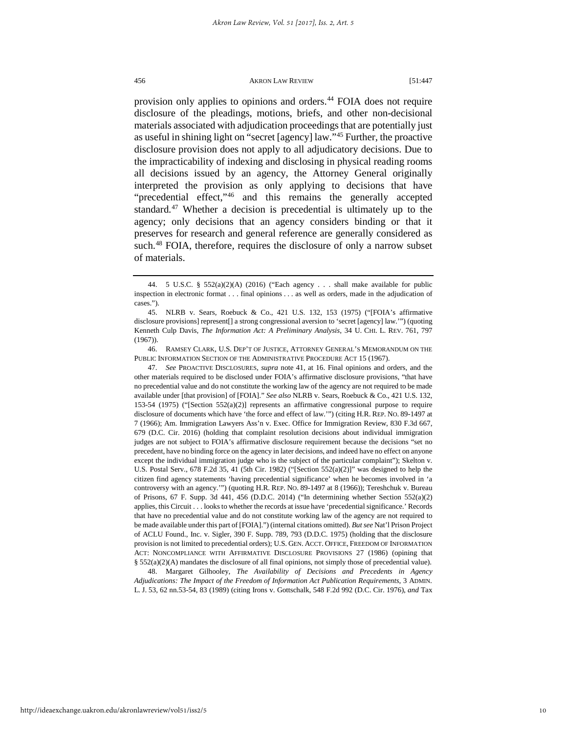provision only applies to opinions and orders.<sup>[44](#page-10-0)</sup> FOIA does not require disclosure of the pleadings, motions, briefs, and other non-decisional materials associated with adjudication proceedings that are potentially just as useful in shining light on "secret [agency] law."[45](#page-10-1) Further, the proactive disclosure provision does not apply to all adjudicatory decisions. Due to the impracticability of indexing and disclosing in physical reading rooms all decisions issued by an agency, the Attorney General originally interpreted the provision as only applying to decisions that have "precedential effect,"<sup>[46](#page-10-2)</sup> and this remains the generally accepted standard. $47$  Whether a decision is precedential is ultimately up to the agency; only decisions that an agency considers binding or that it preserves for research and general reference are generally considered as such.<sup>48</sup> FOIA, therefore, requires the disclosure of only a narrow subset of materials.

<span id="page-10-3"></span><span id="page-10-2"></span>46. RAMSEY CLARK, U.S. DEP'T OF JUSTICE, ATTORNEY GENERAL'S MEMORANDUM ON THE PUBLIC INFORMATION SECTION OF THE ADMINISTRATIVE PROCEDURE ACT 15 (1967).

47. *See* PROACTIVE DISCLOSURES, *supra* note 41, at 16. Final opinions and orders, and the other materials required to be disclosed under FOIA's affirmative disclosure provisions, "that have no precedential value and do not constitute the working law of the agency are not required to be made available under [that provision] of [FOIA]." *See also* NLRB v. Sears, Roebuck & Co., 421 U.S. 132, 153-54 (1975) ("[Section 552(a)(2)] represents an affirmative congressional purpose to require disclosure of documents which have 'the force and effect of law.'") (citing H.R. REP. NO. 89-1497 at 7 (1966); Am. Immigration Lawyers Ass'n v. Exec. Office for Immigration Review, 830 F.3d 667, 679 (D.C. Cir. 2016) (holding that complaint resolution decisions about individual immigration judges are not subject to FOIA's affirmative disclosure requirement because the decisions "set no precedent, have no binding force on the agency in later decisions, and indeed have no effect on anyone except the individual immigration judge who is the subject of the particular complaint"); Skelton v. U.S. Postal Serv., 678 F.2d 35, 41 (5th Cir. 1982) ("[Section 552(a)(2)]" was designed to help the citizen find agency statements 'having precedential significance' when he becomes involved in 'a controversy with an agency.'") (quoting H.R. REP. NO. 89-1497 at 8 (1966)); Tereshchuk v. Bureau of Prisons, 67 F. Supp. 3d 441, 456 (D.D.C. 2014) ("In determining whether Section 552(a)(2) applies, this Circuit . . . looks to whether the records at issue have 'precedential significance.' Records that have no precedential value and do not constitute working law of the agency are not required to be made available under this part of [FOIA].") (internal citations omitted). *But see* Nat'l Prison Project of ACLU Found., Inc. v. Sigler, 390 F. Supp. 789, 793 (D.D.C. 1975) (holding that the disclosure provision is not limited to precedential orders); U.S. GEN. ACCT. OFFICE, FREEDOM OF INFORMATION ACT: NONCOMPLIANCE WITH AFFIRMATIVE DISCLOSURE PROVISIONS 27 (1986) (opining that § 552(a)(2)(A) mandates the disclosure of all final opinions, not simply those of precedential value).

<span id="page-10-4"></span>48. Margaret Gilhooley, *The Availability of Decisions and Precedents in Agency Adjudications: The Impact of the Freedom of Information Act Publication Requirements*, 3 ADMIN. L. J. 53, 62 nn.53-54, 83 (1989) (citing Irons v. Gottschalk, 548 F.2d 992 (D.C. Cir. 1976), *and* Tax

<span id="page-10-0"></span><sup>44.</sup> 5 U.S.C. § 552(a)(2)(A) (2016) ("Each agency . . . shall make available for public inspection in electronic format . . . final opinions . . . as well as orders, made in the adjudication of cases.").

<span id="page-10-1"></span><sup>45.</sup> NLRB v. Sears, Roebuck & Co., 421 U.S. 132, 153 (1975) ("[FOIA's affirmative disclosure provisions] represent[] a strong congressional aversion to 'secret [agency] law.'") (quoting Kenneth Culp Davis, *The Information Act: A Preliminary Analysis*, 34 U. CHI. L. REV. 761, 797 (1967)).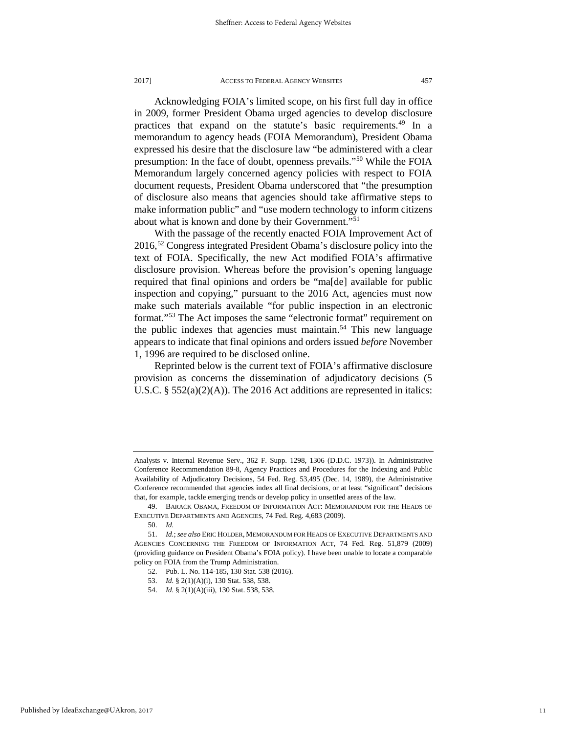Acknowledging FOIA's limited scope, on his first full day in office in 2009, former President Obama urged agencies to develop disclosure practices that expand on the statute's basic requirements.<sup>[49](#page-11-0)</sup> In a memorandum to agency heads (FOIA Memorandum), President Obama expressed his desire that the disclosure law "be administered with a clear presumption: In the face of doubt, openness prevails."[50](#page-11-1) While the FOIA Memorandum largely concerned agency policies with respect to FOIA document requests, President Obama underscored that "the presumption of disclosure also means that agencies should take affirmative steps to make information public" and "use modern technology to inform citizens about what is known and done by their Government."[51](#page-11-2)

With the passage of the recently enacted FOIA Improvement Act of 2016,[52](#page-11-3) Congress integrated President Obama's disclosure policy into the text of FOIA. Specifically, the new Act modified FOIA's affirmative disclosure provision. Whereas before the provision's opening language required that final opinions and orders be "ma[de] available for public inspection and copying," pursuant to the 2016 Act, agencies must now make such materials available "for public inspection in an electronic format.["53](#page-11-4) The Act imposes the same "electronic format" requirement on the public indexes that agencies must maintain.<sup>[54](#page-11-5)</sup> This new language appears to indicate that final opinions and orders issued *before* November 1, 1996 are required to be disclosed online.

Reprinted below is the current text of FOIA's affirmative disclosure provision as concerns the dissemination of adjudicatory decisions (5 U.S.C. § 552(a)(2)(A)). The 2016 Act additions are represented in italics:

Analysts v. Internal Revenue Serv., 362 F. Supp. 1298, 1306 (D.D.C. 1973)). In Administrative Conference Recommendation 89-8, Agency Practices and Procedures for the Indexing and Public Availability of Adjudicatory Decisions, 54 Fed. Reg. 53,495 (Dec. 14, 1989), the Administrative Conference recommended that agencies index all final decisions, or at least "significant" decisions that, for example, tackle emerging trends or develop policy in unsettled areas of the law.

<span id="page-11-0"></span><sup>49.</sup> BARACK OBAMA, FREEDOM OF INFORMATION ACT: MEMORANDUM FOR THE HEADS OF EXECUTIVE DEPARTMENTS AND AGENCIES, 74 Fed. Reg. 4,683 (2009).

<sup>50.</sup> *Id.*

<span id="page-11-5"></span><span id="page-11-4"></span><span id="page-11-3"></span><span id="page-11-2"></span><span id="page-11-1"></span><sup>51.</sup> *Id.*; *see also* ERIC HOLDER, MEMORANDUM FOR HEADS OF EXECUTIVE DEPARTMENTS AND AGENCIES CONCERNING THE FREEDOM OF INFORMATION ACT, 74 Fed. Reg. 51,879 (2009) (providing guidance on President Obama's FOIA policy). I have been unable to locate a comparable policy on FOIA from the Trump Administration.

<sup>52.</sup> Pub. L. No. 114-185, 130 Stat. 538 (2016).

<sup>53.</sup> *Id.* § 2(1)(A)(i), 130 Stat. 538, 538.

<sup>54.</sup> *Id.* § 2(1)(A)(iii), 130 Stat. 538, 538.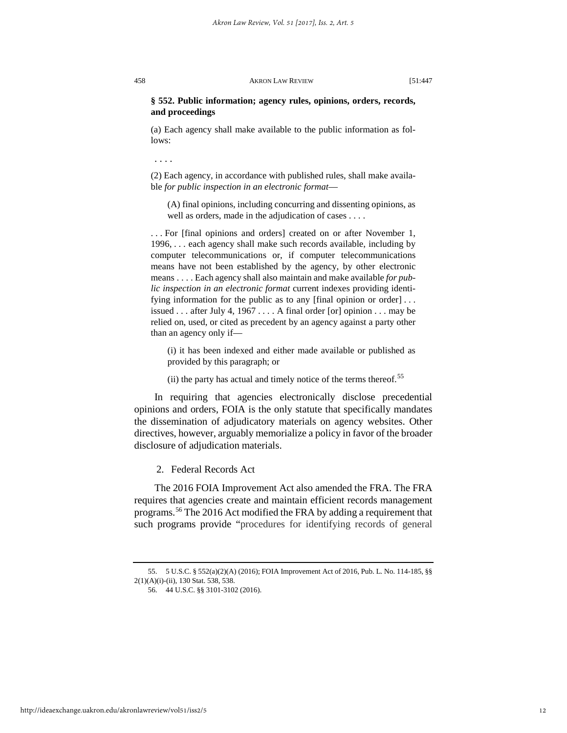## **§ 552. Public information; agency rules, opinions, orders, records, and proceedings**

(a) Each agency shall make available to the public information as follows:

. . . .

(2) Each agency, in accordance with published rules, shall make available *for public inspection in an electronic format*—

(A) final opinions, including concurring and dissenting opinions, as well as orders, made in the adjudication of cases . . . .

. . . For [final opinions and orders] created on or after November 1, 1996, . . . each agency shall make such records available, including by computer telecommunications or, if computer telecommunications means have not been established by the agency, by other electronic means . . . . Each agency shall also maintain and make available *for public inspection in an electronic format* current indexes providing identifying information for the public as to any [final opinion or order]... issued . . . after July 4, 1967 . . . . A final order [or] opinion . . . may be relied on, used, or cited as precedent by an agency against a party other than an agency only if—

(i) it has been indexed and either made available or published as provided by this paragraph; or

(ii) the party has actual and timely notice of the terms thereof.<sup>[55](#page-12-0)</sup>

In requiring that agencies electronically disclose precedential opinions and orders, FOIA is the only statute that specifically mandates the dissemination of adjudicatory materials on agency websites. Other directives, however, arguably memorialize a policy in favor of the broader disclosure of adjudication materials.

2. Federal Records Act

The 2016 FOIA Improvement Act also amended the FRA. The FRA requires that agencies create and maintain efficient records management programs.[56](#page-12-1) The 2016 Act modified the FRA by adding a requirement that such programs provide "procedures for identifying records of general

<span id="page-12-1"></span><span id="page-12-0"></span><sup>55.</sup> 5 U.S.C. § 552(a)(2)(A) (2016); FOIA Improvement Act of 2016, Pub. L. No. 114-185, §§ 2(1)(A)(i)-(ii), 130 Stat. 538, 538.

<sup>56.</sup> 44 U.S.C. §§ 3101-3102 (2016).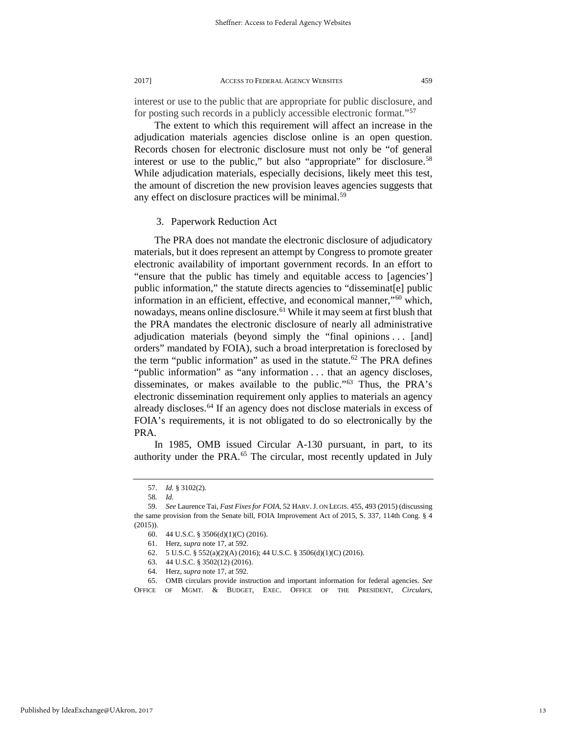interest or use to the public that are appropriate for public disclosure, and for posting such records in a publicly accessible electronic format.["57](#page-13-0)

The extent to which this requirement will affect an increase in the adjudication materials agencies disclose online is an open question. Records chosen for electronic disclosure must not only be "of general interest or use to the public," but also "appropriate" for disclosure.<sup>[58](#page-13-1)</sup> While adjudication materials, especially decisions, likely meet this test, the amount of discretion the new provision leaves agencies suggests that any effect on disclosure practices will be minimal.<sup>[59](#page-13-2)</sup>

## 3. Paperwork Reduction Act

The PRA does not mandate the electronic disclosure of adjudicatory materials, but it does represent an attempt by Congress to promote greater electronic availability of important government records. In an effort to "ensure that the public has timely and equitable access to [agencies'] public information," the statute directs agencies to "disseminat[e] public information in an efficient, effective, and economical manner,"[60](#page-13-3) which, nowadays, means online disclosure.<sup>[61](#page-13-4)</sup> While it may seem at first blush that the PRA mandates the electronic disclosure of nearly all administrative adjudication materials (beyond simply the "final opinions ... [and] orders" mandated by FOIA), such a broad interpretation is foreclosed by the term "public information" as used in the statute.<sup>[62](#page-13-5)</sup> The PRA defines "public information" as "any information . . . that an agency discloses, disseminates, or makes available to the public.["63](#page-13-6) Thus, the PRA's electronic dissemination requirement only applies to materials an agency already discloses.<sup>64</sup> If an agency does not disclose materials in excess of FOIA's requirements, it is not obligated to do so electronically by the PRA.

In 1985, OMB issued Circular A-130 pursuant, in part, to its authority under the PRA.<sup>[65](#page-13-8)</sup> The circular, most recently updated in July

<sup>57.</sup> *Id.* § 3102(2).

<sup>58</sup>*. Id.*

<span id="page-13-3"></span><span id="page-13-2"></span><span id="page-13-1"></span><span id="page-13-0"></span><sup>59.</sup> *See* Laurence Tai, *Fast Fixes for FOIA*, 52 HARV.J. ON LEGIS. 455, 493 (2015) (discussing the same provision from the Senate bill, FOIA Improvement Act of 2015, S. 337, 114th Cong. § 4 (2015)).

<sup>60.</sup> 44 U.S.C. § 3506(d)(1)(C) (2016).

<sup>61.</sup> Herz, *supra* note 17, at 592.<br>62. 5 U.S.C. § 552(a)(2)(A) (20

<sup>62.</sup> 5 U.S.C. § 552(a)(2)(A) (2016); 44 U.S.C. § 3506(d)(1)(C) (2016).

<sup>63.</sup> 44 U.S.C. § 3502(12) (2016).

<sup>64.</sup> Herz, *supra* note 17, at 592.

<span id="page-13-8"></span><span id="page-13-7"></span><span id="page-13-6"></span><span id="page-13-5"></span><span id="page-13-4"></span><sup>65.</sup> OMB circulars provide instruction and important information for federal agencies. *See* OFFICE OF MGMT. & BUDGET, EXEC. OFFICE OF THE PRESIDENT, *Circulars*,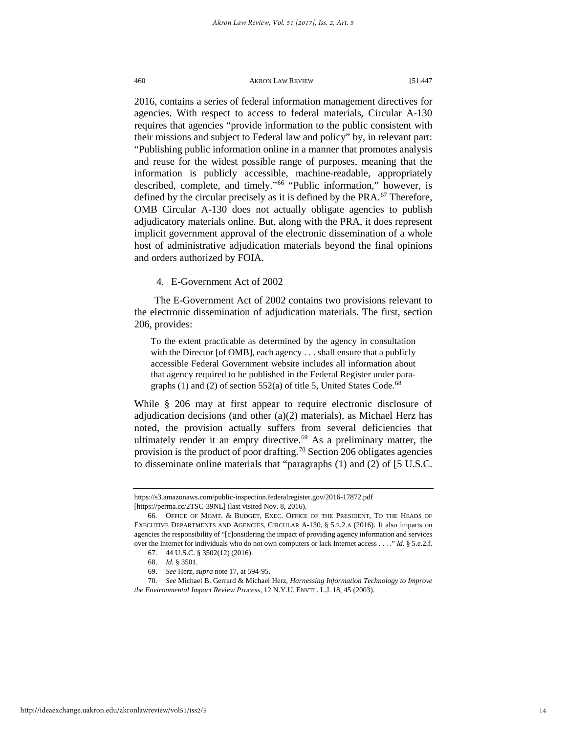2016, contains a series of federal information management directives for agencies. With respect to access to federal materials, Circular A-130 requires that agencies "provide information to the public consistent with their missions and subject to Federal law and policy" by, in relevant part: "Publishing public information online in a manner that promotes analysis and reuse for the widest possible range of purposes, meaning that the information is publicly accessible, machine-readable, appropriately described, complete, and timely."<sup>[66](#page-14-0)</sup> "Public information," however, is defined by the circular precisely as it is defined by the PRA.<sup>[67](#page-14-1)</sup> Therefore, OMB Circular A-130 does not actually obligate agencies to publish adjudicatory materials online. But, along with the PRA, it does represent implicit government approval of the electronic dissemination of a whole host of administrative adjudication materials beyond the final opinions and orders authorized by FOIA.

4. E-Government Act of 2002

The E-Government Act of 2002 contains two provisions relevant to the electronic dissemination of adjudication materials. The first, section 206, provides:

To the extent practicable as determined by the agency in consultation with the Director [of OMB], each agency . . . shall ensure that a publicly accessible Federal Government website includes all information about that agency required to be published in the Federal Register under paragraphs (1) and (2) of section  $552(a)$  of title 5, United States Code.<sup>[68](#page-14-2)</sup>

While  $\S$  206 may at first appear to require electronic disclosure of adjudication decisions (and other (a)(2) materials), as Michael Herz has noted, the provision actually suffers from several deficiencies that ultimately render it an empty directive.<sup>[69](#page-14-3)</sup> As a preliminary matter, the provision is the product of poor drafting.<sup>[70](#page-14-4)</sup> Section 206 obligates agencies to disseminate online materials that "paragraphs (1) and (2) of [5 U.S.C.

https://s3.amazonaws.com/public-inspection.federalregister.gov/2016-17872.pdf [https://perma.cc/2TSC-39NL] (last visited Nov. 8, 2016).

<span id="page-14-0"></span><sup>66.</sup> OFFICE OF MGMT. & BUDGET, EXEC. OFFICE OF THE PRESIDENT, TO THE HEADS OF EXECUTIVE DEPARTMENTS AND AGENCIES, CIRCULAR A-130, § 5.E.2.A (2016). It also imparts on agencies the responsibility of "[c]onsidering the impact of providing agency information and services over the Internet for individuals who do not own computers or lack Internet access . . . ." *Id.* § 5.e.2.f.

<sup>67.</sup> 44 U.S.C. § 3502(12) (2016).

<sup>68.</sup> *Id.* § 3501.

<sup>69.</sup> *See* Herz, *supra* note 17, at 594-95.

<span id="page-14-4"></span><span id="page-14-3"></span><span id="page-14-2"></span><span id="page-14-1"></span><sup>70.</sup> *See* Michael B. Gerrard & Michael Herz, *Harnessing Information Technology to Improve the Environmental Impact Review Process*, 12 N.Y.U. ENVTL. L.J. 18, 45 (2003).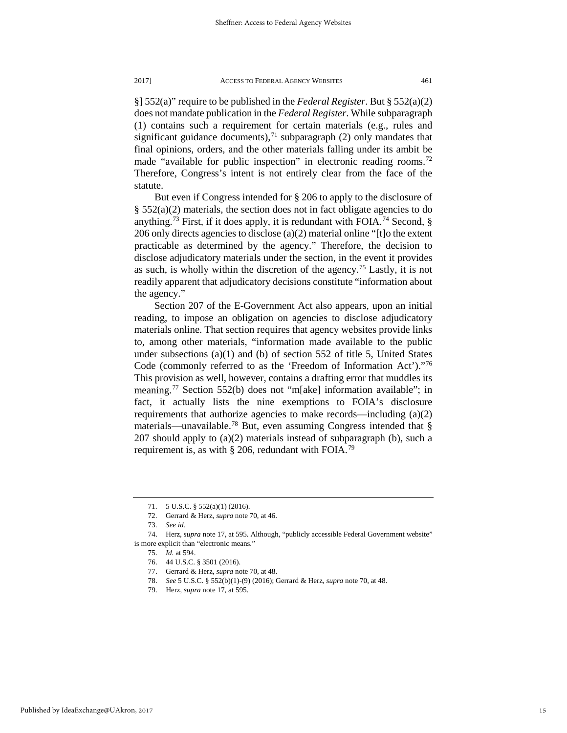§] 552(a)" require to be published in the *Federal Register*. But § 552(a)(2) does not mandate publication in the *Federal Register*. While subparagraph (1) contains such a requirement for certain materials (e.g., rules and significant guidance documents), $71$  subparagraph (2) only mandates that final opinions, orders, and the other materials falling under its ambit be made "available for public inspection" in electronic reading rooms.<sup>[72](#page-15-1)</sup> Therefore, Congress's intent is not entirely clear from the face of the statute.

But even if Congress intended for § 206 to apply to the disclosure of  $\S$  552(a)(2) materials, the section does not in fact obligate agencies to do anything.<sup>[73](#page-15-2)</sup> First, if it does apply, it is redundant with FOIA.<sup>[74](#page-15-3)</sup> Second,  $\S$ 206 only directs agencies to disclose (a)(2) material online "[t]o the extent practicable as determined by the agency." Therefore, the decision to disclose adjudicatory materials under the section, in the event it provides as such, is wholly within the discretion of the agency.<sup>[75](#page-15-4)</sup> Lastly, it is not readily apparent that adjudicatory decisions constitute "information about the agency."

Section 207 of the E-Government Act also appears, upon an initial reading, to impose an obligation on agencies to disclose adjudicatory materials online. That section requires that agency websites provide links to, among other materials, "information made available to the public under subsections (a)(1) and (b) of section 552 of title 5, United States Code (commonly referred to as the 'Freedom of Information Act')."[76](#page-15-5) This provision as well, however, contains a drafting error that muddles its meaning.[77](#page-15-6) Section 552(b) does not "m[ake] information available"; in fact, it actually lists the nine exemptions to FOIA's disclosure requirements that authorize agencies to make records—including (a)(2) materials—unavailable.<sup>[78](#page-15-7)</sup> But, even assuming Congress intended that  $\S$ 207 should apply to  $(a)(2)$  materials instead of subparagraph (b), such a requirement is, as with  $\S 206$ , redundant with FOIA.<sup>[79](#page-15-8)</sup>

<sup>71.</sup> 5 U.S.C. § 552(a)(1) (2016).

<sup>72.</sup> Gerrard & Herz, *supra* note 70, at 46.

<sup>73.</sup> *See id.*

<span id="page-15-8"></span><span id="page-15-7"></span><span id="page-15-6"></span><span id="page-15-5"></span><span id="page-15-4"></span><span id="page-15-3"></span><span id="page-15-2"></span><span id="page-15-1"></span><span id="page-15-0"></span><sup>74.</sup> Herz, *supra* note 17, at 595. Although, "publicly accessible Federal Government website" is more explicit than "electronic means."

<sup>75.</sup> *Id.* at 594.

<sup>76.</sup> 44 U.S.C. § 3501 (2016).

<sup>77.</sup> Gerrard & Herz, *supra* note 70, at 48.

<sup>78.</sup> *See* 5 U.S.C. § 552(b)(1)-(9) (2016); Gerrard & Herz, *supra* note 70, at 48.

<sup>79.</sup> Herz, *supra* note 17, at 595.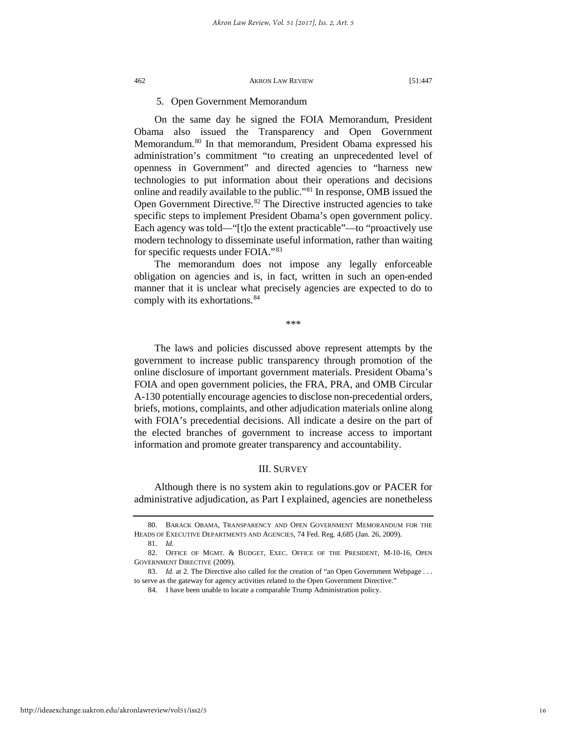## 5. Open Government Memorandum

On the same day he signed the FOIA Memorandum, President Obama also issued the Transparency and Open Government Memorandum.[80](#page-16-0) In that memorandum, President Obama expressed his administration's commitment "to creating an unprecedented level of openness in Government" and directed agencies to "harness new technologies to put information about their operations and decisions online and readily available to the public."[81](#page-16-1) In response, OMB issued the Open Government Directive.<sup>[82](#page-16-2)</sup> The Directive instructed agencies to take specific steps to implement President Obama's open government policy. Each agency was told—"[t]o the extent practicable"—to "proactively use modern technology to disseminate useful information, rather than waiting for specific requests under FOIA."[83](#page-16-3)

The memorandum does not impose any legally enforceable obligation on agencies and is, in fact, written in such an open-ended manner that it is unclear what precisely agencies are expected to do to comply with its exhortations.  $84$ 

\*\*\*

The laws and policies discussed above represent attempts by the government to increase public transparency through promotion of the online disclosure of important government materials. President Obama's FOIA and open government policies, the FRA, PRA, and OMB Circular A-130 potentially encourage agencies to disclose non-precedential orders, briefs, motions, complaints, and other adjudication materials online along with FOIA's precedential decisions. All indicate a desire on the part of the elected branches of government to increase access to important information and promote greater transparency and accountability.

## III. SURVEY

Although there is no system akin to regulations.gov or PACER for administrative adjudication, as Part I explained, agencies are nonetheless

<span id="page-16-0"></span><sup>80.</sup> BARACK OBAMA, TRANSPARENCY AND OPEN GOVERNMENT MEMORANDUM FOR THE HEADS OF EXECUTIVE DEPARTMENTS AND AGENCIES, 74 Fed. Reg. 4,685 (Jan. 26, 2009).

<sup>81.</sup> *Id.*

<span id="page-16-2"></span><span id="page-16-1"></span><sup>82.</sup> OFFICE OF MGMT. & BUDGET, EXEC. OFFICE OF THE PRESIDENT, M-10-16, OPEN GOVERNMENT DIRECTIVE (2009).

<span id="page-16-4"></span><span id="page-16-3"></span><sup>83.</sup> *Id.* at 2. The Directive also called for the creation of "an Open Government Webpage . . . to serve as the gateway for agency activities related to the Open Government Directive."

<sup>84.</sup> I have been unable to locate a comparable Trump Administration policy.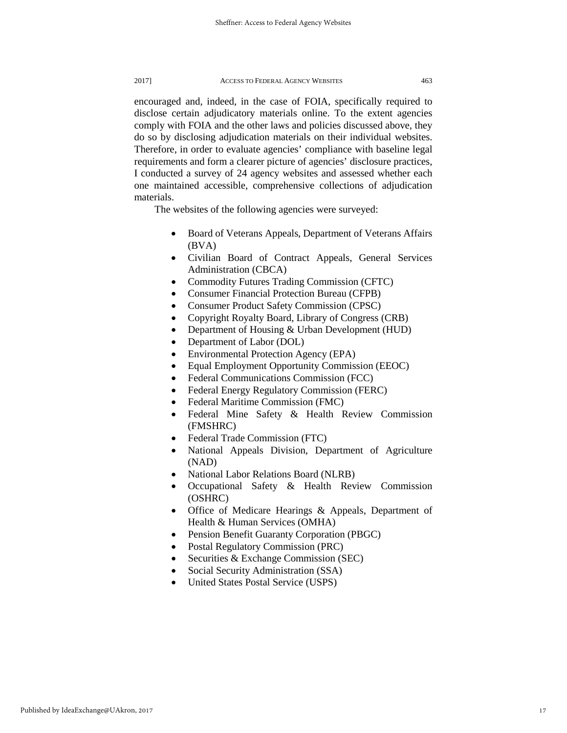encouraged and, indeed, in the case of FOIA, specifically required to disclose certain adjudicatory materials online. To the extent agencies comply with FOIA and the other laws and policies discussed above, they do so by disclosing adjudication materials on their individual websites. Therefore, in order to evaluate agencies' compliance with baseline legal requirements and form a clearer picture of agencies' disclosure practices, I conducted a survey of 24 agency websites and assessed whether each one maintained accessible, comprehensive collections of adjudication materials.

The websites of the following agencies were surveyed:

- Board of Veterans Appeals, Department of Veterans Affairs (BVA)
- Civilian Board of Contract Appeals, General Services Administration (CBCA)
- Commodity Futures Trading Commission (CFTC)
- Consumer Financial Protection Bureau (CFPB)
- Consumer Product Safety Commission (CPSC)
- Copyright Royalty Board, Library of Congress (CRB)
- Department of Housing & Urban Development (HUD)
- Department of Labor (DOL)
- Environmental Protection Agency (EPA)
- Equal Employment Opportunity Commission (EEOC)
- Federal Communications Commission (FCC)
- Federal Energy Regulatory Commission (FERC)
- Federal Maritime Commission (FMC)
- Federal Mine Safety & Health Review Commission (FMSHRC)
- Federal Trade Commission (FTC)
- National Appeals Division, Department of Agriculture (NAD)
- National Labor Relations Board (NLRB)
- Occupational Safety & Health Review Commission (OSHRC)
- Office of Medicare Hearings & Appeals, Department of Health & Human Services (OMHA)
- Pension Benefit Guaranty Corporation (PBGC)
- Postal Regulatory Commission (PRC)
- Securities & Exchange Commission (SEC)
- Social Security Administration (SSA)
- United States Postal Service (USPS)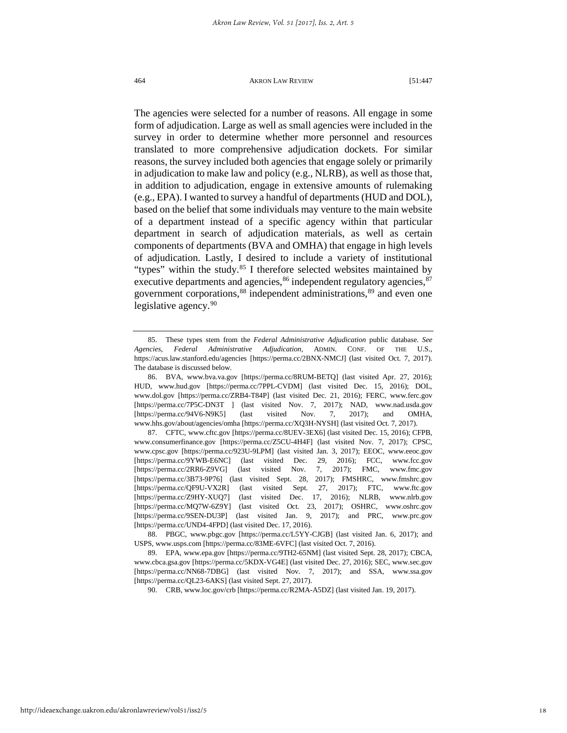The agencies were selected for a number of reasons. All engage in some form of adjudication. Large as well as small agencies were included in the survey in order to determine whether more personnel and resources translated to more comprehensive adjudication dockets. For similar reasons, the survey included both agencies that engage solely or primarily in adjudication to make law and policy (e.g., NLRB), as well as those that, in addition to adjudication, engage in extensive amounts of rulemaking (e.g., EPA). I wanted to survey a handful of departments (HUD and DOL), based on the belief that some individuals may venture to the main website of a department instead of a specific agency within that particular department in search of adjudication materials, as well as certain components of departments (BVA and OMHA) that engage in high levels of adjudication. Lastly, I desired to include a variety of institutional "types" within the study. $85$  I therefore selected websites maintained by executive departments and agencies,  $86$  independent regulatory agencies,  $87$ government corporations,<sup>[88](#page-18-3)</sup> independent administrations,<sup>[89](#page-18-4)</sup> and even one legislative agency.<sup>[90](#page-18-5)</sup>

<span id="page-18-0"></span><sup>85.</sup> These types stem from the *Federal Administrative Adjudication* public database. *See Agencies*, *Federal Administrative Adjudication,* ADMIN. CONF. OF THE U.S., https://acus.law.stanford.edu/agencies [https://perma.cc/2BNX-NMCJ] (last visited Oct. 7, 2017). The database is discussed below.

<span id="page-18-1"></span><sup>86.</sup> BVA, www.bva.va.gov [https://perma.cc/8RUM-BETQ] (last visited Apr. 27, 2016); HUD, www.hud.gov [https://perma.cc/7PPL-CVDM] (last visited Dec. 15, 2016); DOL, www.dol.gov [https://perma.cc/ZRB4-T84P] (last visited Dec. 21, 2016); FERC, www.ferc.gov [https://perma.cc/7P5C-DN3T ] (last visited Nov. 7, 2017); NAD, www.nad.usda.gov [https://perma.cc/94V6-N9K5] (last visited Nov. 7, 2017); and OMHA, www.hhs.gov/about/agencies/omha [https://perma.cc/XQ3H-NYSH] (last visited Oct. 7, 2017).

<span id="page-18-2"></span><sup>87.</sup> CFTC, www.cftc.gov [https://perma.cc/8UEV-3EX6] (last visited Dec. 15, 2016); CFPB, www.consumerfinance.gov [https://perma.cc/Z5CU-4H4F] (last visited Nov. 7, 2017); CPSC, www.cpsc.gov [https://perma.cc/923U-9LPM] (last visited Jan. 3, 2017); EEOC, www.eeoc.gov [https://perma.cc/9YWB-E6NC] (last visited Dec. 29, 2016); FCC, www.fcc.gov [https://perma.cc/2RR6-Z9VG] (last visited Nov. 7, 2017); FMC, www.fmc.gov [https://perma.cc/3B73-9P76] (last visited Sept. 28, 2017); FMSHRC, www.fmshrc.gov [https://perma.cc/QF9U-VX2R] (last visited Sept. 27, 2017); FTC, www.ftc.gov [https://perma.cc/Z9HY-XUQ7] (last visited Dec. 17, 2016); NLRB, www.nlrb.gov [https://perma.cc/MQ7W-6Z9Y] (last visited Oct. 23, 2017); OSHRC, www.oshrc.gov [https://perma.cc/9SEN-DU3P] (last visited Jan. 9, 2017); and PRC, www.prc.gov [https://perma.cc/UND4-4FPD] (last visited Dec. 17, 2016).

<span id="page-18-3"></span><sup>88.</sup> PBGC, www.pbgc.gov [https://perma.cc/L5YY-CJGB] (last visited Jan. 6, 2017); and USPS, www.usps.com [https://perma.cc/83ME-6VFC] (last visited Oct. 7, 2016).

<span id="page-18-5"></span><span id="page-18-4"></span><sup>89.</sup> EPA, www.epa.gov [https://perma.cc/9TH2-65NM] (last visited Sept. 28, 2017); CBCA, www.cbca.gsa.gov [https://perma.cc/5KDX-VG4E] (last visited Dec. 27, 2016); SEC, www.sec.gov [https://perma.cc/NN68-7DBG] (last visited Nov. 7, 2017); and SSA, www.ssa.gov [https://perma.cc/QL23-6AKS] (last visited Sept. 27, 2017).

<sup>90.</sup> CRB, www.loc.gov/crb [https://perma.cc/R2MA-A5DZ] (last visited Jan. 19, 2017).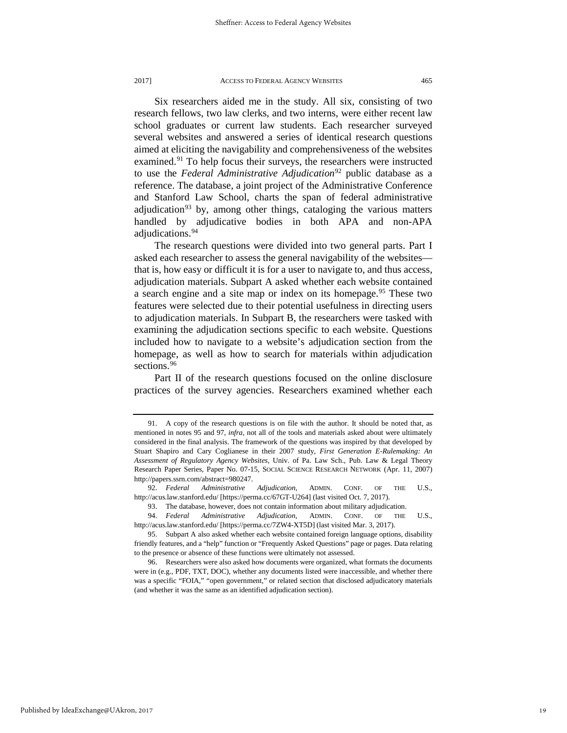Six researchers aided me in the study. All six, consisting of two research fellows, two law clerks, and two interns, were either recent law school graduates or current law students. Each researcher surveyed several websites and answered a series of identical research questions aimed at eliciting the navigability and comprehensiveness of the websites examined.<sup>[91](#page-19-0)</sup> To help focus their surveys, the researchers were instructed to use the *Federal Administrative Adjudication*<sup>[92](#page-19-1)</sup> public database as a reference. The database, a joint project of the Administrative Conference and Stanford Law School, charts the span of federal administrative adjudication<sup>[93](#page-19-2)</sup> by, among other things, cataloging the various matters handled by adjudicative bodies in both APA and non-APA adjudications.<sup>[94](#page-19-3)</sup>

The research questions were divided into two general parts. Part I asked each researcher to assess the general navigability of the websites that is, how easy or difficult it is for a user to navigate to, and thus access, adjudication materials. Subpart A asked whether each website contained a search engine and a site map or index on its homepage.<sup>[95](#page-19-4)</sup> These two features were selected due to their potential usefulness in directing users to adjudication materials. In Subpart B, the researchers were tasked with examining the adjudication sections specific to each website. Questions included how to navigate to a website's adjudication section from the homepage, as well as how to search for materials within adjudication sections.<sup>[96](#page-19-5)</sup>

Part II of the research questions focused on the online disclosure practices of the survey agencies. Researchers examined whether each

<span id="page-19-0"></span><sup>91.</sup> A copy of the research questions is on file with the author. It should be noted that, as mentioned in notes 95 and 97, *infra*, not all of the tools and materials asked about were ultimately considered in the final analysis. The framework of the questions was inspired by that developed by Stuart Shapiro and Cary Coglianese in their 2007 study, *First Generation E-Rulemaking: An Assessment of Regulatory Agency Websites*, Univ. of Pa. Law Sch., Pub. Law & Legal Theory Research Paper Series, Paper No. 07-15, SOCIAL SCIENCE RESEARCH NETWORK (Apr. 11, 2007) http://papers.ssrn.com/abstract=980247.

<span id="page-19-1"></span><sup>92.</sup> *Federal Administrative Adjudication*, ADMIN. CONF. OF THE U.S., http://acus.law.stanford.edu/ [https://perma.cc/67GT-U264] (last visited Oct. 7, 2017).

<sup>93.</sup> The database, however, does not contain information about military adjudication.

<span id="page-19-3"></span><span id="page-19-2"></span><sup>94.</sup> *Federal Administrative Adjudication*, ADMIN. CONF. OF THE U.S., http://acus.law.stanford.edu/ [https://perma.cc/7ZW4-XT5D] (last visited Mar. 3, 2017).

<span id="page-19-4"></span><sup>95.</sup> Subpart A also asked whether each website contained foreign language options, disability friendly features, and a "help" function or "Frequently Asked Questions" page or pages. Data relating to the presence or absence of these functions were ultimately not assessed.

<span id="page-19-5"></span><sup>96.</sup> Researchers were also asked how documents were organized, what formats the documents were in (e.g., PDF, TXT, DOC), whether any documents listed were inaccessible, and whether there was a specific "FOIA," "open government," or related section that disclosed adjudicatory materials (and whether it was the same as an identified adjudication section).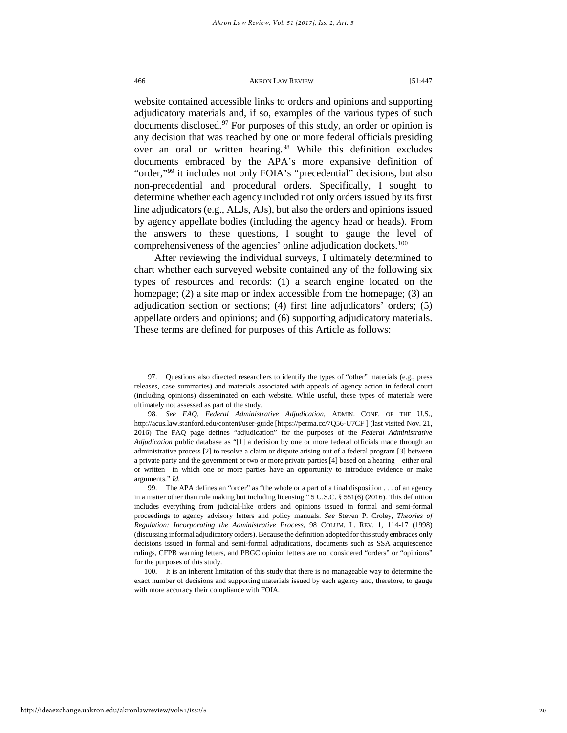website contained accessible links to orders and opinions and supporting adjudicatory materials and, if so, examples of the various types of such documents disclosed. $97$  For purposes of this study, an order or opinion is any decision that was reached by one or more federal officials presiding over an oral or written hearing.<sup>[98](#page-20-1)</sup> While this definition excludes documents embraced by the APA's more expansive definition of "order,"<sup>[99](#page-20-2)</sup> it includes not only FOIA's "precedential" decisions, but also non-precedential and procedural orders. Specifically, I sought to determine whether each agency included not only orders issued by its first line adjudicators (e.g., ALJs, AJs), but also the orders and opinions issued by agency appellate bodies (including the agency head or heads). From the answers to these questions, I sought to gauge the level of comprehensiveness of the agencies' online adjudication dockets.<sup>[100](#page-20-3)</sup>

After reviewing the individual surveys, I ultimately determined to chart whether each surveyed website contained any of the following six types of resources and records: (1) a search engine located on the homepage; (2) a site map or index accessible from the homepage; (3) an adjudication section or sections; (4) first line adjudicators' orders; (5) appellate orders and opinions; and (6) supporting adjudicatory materials. These terms are defined for purposes of this Article as follows:

<span id="page-20-0"></span><sup>97.</sup> Questions also directed researchers to identify the types of "other" materials (e.g., press releases, case summaries) and materials associated with appeals of agency action in federal court (including opinions) disseminated on each website. While useful, these types of materials were ultimately not assessed as part of the study.

<span id="page-20-1"></span><sup>98.</sup> *See FAQ*, *Federal Administrative Adjudication*, ADMIN. CONF. OF THE U.S., http://acus.law.stanford.edu/content/user-guide [https://perma.cc/7Q56-U7CF ] (last visited Nov. 21, 2016) The FAQ page defines "adjudication" for the purposes of the *Federal Administrative Adjudication* public database as "[1] a decision by one or more federal officials made through an administrative process [2] to resolve a claim or dispute arising out of a federal program [3] between a private party and the government or two or more private parties [4] based on a hearing—either oral or written—in which one or more parties have an opportunity to introduce evidence or make arguments." *Id.*

<span id="page-20-2"></span><sup>99.</sup> The APA defines an "order" as "the whole or a part of a final disposition . . . of an agency in a matter other than rule making but including licensing." 5 U.S.C. § 551(6) (2016). This definition includes everything from judicial-like orders and opinions issued in formal and semi-formal proceedings to agency advisory letters and policy manuals. *See* Steven P. Croley, *Theories of Regulation: Incorporating the Administrative Process*, 98 COLUM. L. REV. 1, 114-17 (1998) (discussing informal adjudicatory orders). Because the definition adopted for this study embraces only decisions issued in formal and semi-formal adjudications, documents such as SSA acquiescence rulings, CFPB warning letters, and PBGC opinion letters are not considered "orders" or "opinions" for the purposes of this study.

<span id="page-20-3"></span><sup>100.</sup> It is an inherent limitation of this study that there is no manageable way to determine the exact number of decisions and supporting materials issued by each agency and, therefore, to gauge with more accuracy their compliance with FOIA.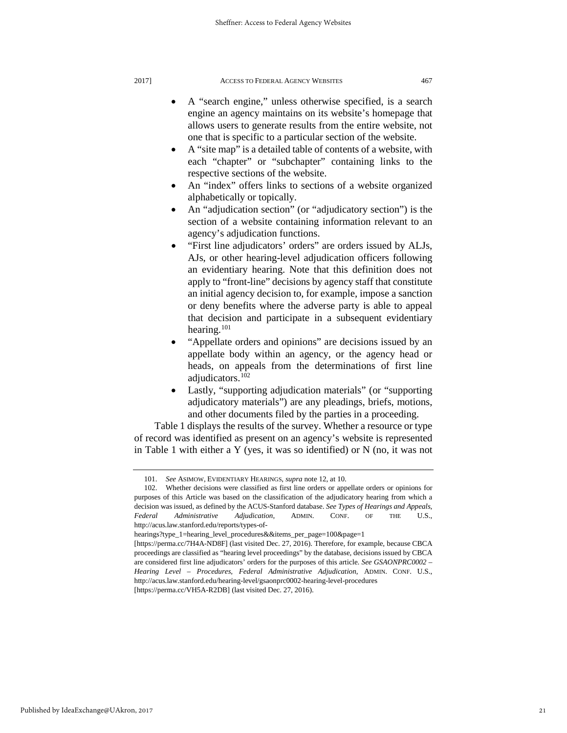- A "search engine," unless otherwise specified, is a search engine an agency maintains on its website's homepage that allows users to generate results from the entire website, not one that is specific to a particular section of the website.
- A "site map" is a detailed table of contents of a website, with each "chapter" or "subchapter" containing links to the respective sections of the website.
- An "index" offers links to sections of a website organized alphabetically or topically.
- An "adjudication section" (or "adjudicatory section") is the section of a website containing information relevant to an agency's adjudication functions.
- "First line adjudicators' orders" are orders issued by ALJs, AJs, or other hearing-level adjudication officers following an evidentiary hearing. Note that this definition does not apply to "front-line" decisions by agency staff that constitute an initial agency decision to, for example, impose a sanction or deny benefits where the adverse party is able to appeal that decision and participate in a subsequent evidentiary hearing. $101$
- "Appellate orders and opinions" are decisions issued by an appellate body within an agency, or the agency head or heads, on appeals from the determinations of first line adjudicators.[102](#page-21-1)
- Lastly, "supporting adjudication materials" (or "supporting adjudicatory materials") are any pleadings, briefs, motions, and other documents filed by the parties in a proceeding.

Table 1 displays the results of the survey. Whether a resource or type of record was identified as present on an agency's website is represented in Table 1 with either a Y (yes, it was so identified) or N (no, it was not

<sup>101.</sup> *See* ASIMOW, EVIDENTIARY HEARINGS, *supra* note 12, at 10.

<span id="page-21-1"></span><span id="page-21-0"></span><sup>102.</sup> Whether decisions were classified as first line orders or appellate orders or opinions for purposes of this Article was based on the classification of the adjudicatory hearing from which a decision was issued, as defined by the ACUS-Stanford database. *See Types of Hearings and Appeals*, *Federal Administrative Adjudication*, ADMIN. CONF. OF THE U.S., http://acus.law.stanford.edu/reports/types-of-

hearings?type\_1=hearing\_level\_procedures&&items\_per\_page=100&page=1

<sup>[</sup>https://perma.cc/7H4A-ND8F] (last visited Dec. 27, 2016). Therefore, for example, because CBCA proceedings are classified as "hearing level proceedings" by the database, decisions issued by CBCA are considered first line adjudicators' orders for the purposes of this article. *See GSAONPRC0002 – Hearing Level – Procedures, Federal Administrative Adjudication*, ADMIN. CONF. U.S., http://acus.law.stanford.edu/hearing-level/gsaonprc0002-hearing-level-procedures [https://perma.cc/VH5A-R2DB] (last visited Dec. 27, 2016).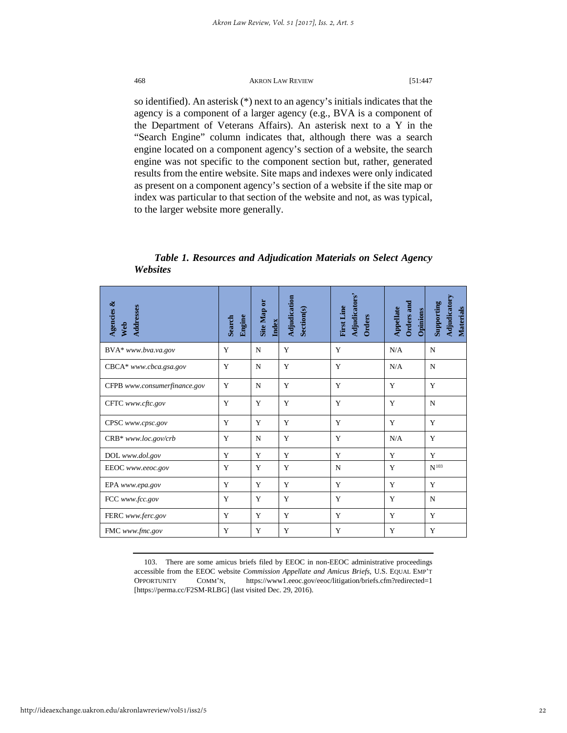so identified). An asterisk (\*) next to an agency's initials indicates that the agency is a component of a larger agency (e.g., BVA is a component of the Department of Veterans Affairs). An asterisk next to a Y in the "Search Engine" column indicates that, although there was a search engine located on a component agency's section of a website, the search engine was not specific to the component section but, rather, generated results from the entire website. Site maps and indexes were only indicated as present on a component agency's section of a website if the site map or index was particular to that section of the website and not, as was typical, to the larger website more generally.

## *Table 1. Resources and Adjudication Materials on Select Agency Websites*

| Agencies &<br>Addresses<br>Web | Engine<br>Search | Site Map or<br>Index | Adjudication<br>Section(s) | Adjudicators'<br>First Line<br><b>Orders</b> | Orders and<br>Appellate<br>Opinions | Adjudicatory<br>Supporting<br>Materials |
|--------------------------------|------------------|----------------------|----------------------------|----------------------------------------------|-------------------------------------|-----------------------------------------|
| BVA* www.bva.va.gov            | Y                | N                    | Y                          | Y                                            | N/A                                 | N                                       |
| CBCA* www.cbca.gsa.gov         | Y                | $\mathbf N$          | Y                          | Y                                            | N/A                                 | N                                       |
| CFPB www.consumerfinance.gov   | Y                | N                    | Y                          | Y                                            | Y                                   | Y                                       |
| CFTC www.cftc.gov              | Y                | Y                    | Y                          | Y                                            | Y                                   | N                                       |
| CPSC www.cpsc.gov              | Y                | Y                    | Y                          | Y                                            | Y                                   | Y                                       |
| CRB* www.loc.gov/crb           | Y                | N                    | Y                          | Y                                            | N/A                                 | Y                                       |
| DOL www.dol.gov                | Y                | Y                    | Y                          | Y                                            | Y                                   | Y                                       |
| EEOC www.eeoc.gov              | Y                | Y                    | Y                          | N                                            | Y                                   | $N^{103}$                               |
| EPA www.epa.gov                | Y                | Y                    | Y                          | Y                                            | Y                                   | Y                                       |
| FCC www.fcc.gov                | Y                | Y                    | Y                          | Y                                            | Y                                   | N                                       |
| FERC www.ferc.gov              | Y                | Y                    | Y                          | Y                                            | Y                                   | Y                                       |
| FMC www.fmc.gov                | Y                | Y                    | Y                          | Y                                            | Y                                   | Y                                       |

<span id="page-22-0"></span>103. There are some amicus briefs filed by EEOC in non-EEOC administrative proceedings accessible from the EEOC website *Commission Appellate and Amicus Briefs*, U.S. EQUAL EMP'T OPPORTUNITY COMM'N, https://www1.eeoc.gov/eeoc/litigation/briefs.cfm?redirected=1 [https://perma.cc/F2SM-RLBG] (last visited Dec. 29, 2016).

http://ideaexchange.uakron.edu/akronlawreview/vol51/iss2/5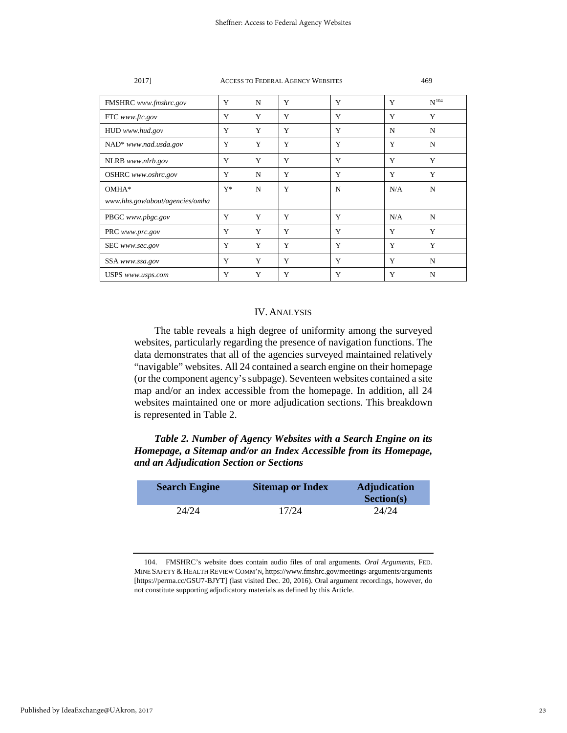| FMSHRC www.fmshrc.gov           | Y     | N | Y | Y | Y   | $N^{104}$ |
|---------------------------------|-------|---|---|---|-----|-----------|
| FTC www.ftc.gov                 | Y     | Y | Y | Y | Y   | Y         |
| HUD www.hud.gov                 | Y     | Y | Y | Y | N   | N         |
| NAD* www.nad.usda.gov           | Y     | Y | Y | Y | Y   | N         |
| NLRB www.nlrb.gov               | Y     | Y | Y | Y | Y   | Y         |
| OSHRC www.oshrc.gov             | Y     | N | Y | Y | Y   | Y         |
| OMHA*                           | $Y^*$ | N | Y | N | N/A | N         |
| www.hhs.gov/about/agencies/omha |       |   |   |   |     |           |
| PBGC www.pbgc.gov               | Y     | Y | Y | Y | N/A | N         |
| PRC www.prc.gov                 | Y     | Y | Y | Y | Y   | Y         |
| SEC www.sec.gov                 | Y     | Y | Y | Y | Y   | Y         |
| SSA www.ssa.gov                 | Y     | Y | Y | Y | Y   | N         |
| USPS www.usps.com               | Y     | Y | Y | Y | Y   | N         |

## IV. ANALYSIS

The table reveals a high degree of uniformity among the surveyed websites, particularly regarding the presence of navigation functions. The data demonstrates that all of the agencies surveyed maintained relatively "navigable" websites. All 24 contained a search engine on their homepage (or the component agency's subpage). Seventeen websites contained a site map and/or an index accessible from the homepage. In addition, all 24 websites maintained one or more adjudication sections. This breakdown is represented in Table 2.

*Table 2. Number of Agency Websites with a Search Engine on its Homepage, a Sitemap and/or an Index Accessible from its Homepage, and an Adjudication Section or Sections*

| <b>Search Engine</b> | <b>Sitemap or Index</b> | <b>Adjudication</b><br><b>Section(s)</b> |
|----------------------|-------------------------|------------------------------------------|
| 24/24                | 17/24                   | 24/24                                    |

<span id="page-23-0"></span><sup>104.</sup> FMSHRC's website does contain audio files of oral arguments. *Oral Arguments*, FED. MINE SAFETY &HEALTH REVIEW COMM'N, https://www.fmshrc.gov/meetings-arguments/arguments [https://perma.cc/GSU7-BJYT] (last visited Dec. 20, 2016). Oral argument recordings, however, do not constitute supporting adjudicatory materials as defined by this Article.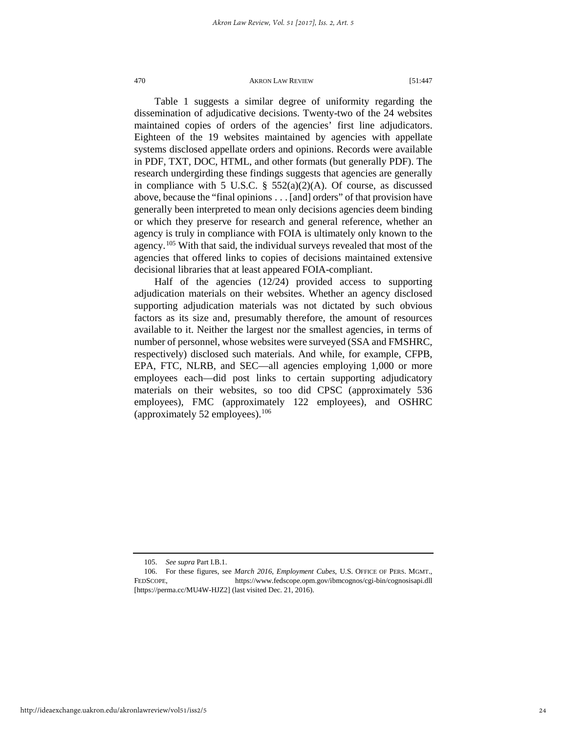Table 1 suggests a similar degree of uniformity regarding the dissemination of adjudicative decisions. Twenty-two of the 24 websites maintained copies of orders of the agencies' first line adjudicators. Eighteen of the 19 websites maintained by agencies with appellate systems disclosed appellate orders and opinions. Records were available in PDF, TXT, DOC, HTML, and other formats (but generally PDF). The research undergirding these findings suggests that agencies are generally in compliance with 5 U.S.C.  $\S$  552(a)(2)(A). Of course, as discussed above, because the "final opinions . . . [and] orders" of that provision have generally been interpreted to mean only decisions agencies deem binding or which they preserve for research and general reference, whether an agency is truly in compliance with FOIA is ultimately only known to the agency.[105](#page-24-0) With that said, the individual surveys revealed that most of the agencies that offered links to copies of decisions maintained extensive decisional libraries that at least appeared FOIA-compliant.

Half of the agencies (12/24) provided access to supporting adjudication materials on their websites. Whether an agency disclosed supporting adjudication materials was not dictated by such obvious factors as its size and, presumably therefore, the amount of resources available to it. Neither the largest nor the smallest agencies, in terms of number of personnel, whose websites were surveyed (SSA and FMSHRC, respectively) disclosed such materials. And while, for example, CFPB, EPA, FTC, NLRB, and SEC—all agencies employing 1,000 or more employees each—did post links to certain supporting adjudicatory materials on their websites, so too did CPSC (approximately 536 employees), FMC (approximately 122 employees), and OSHRC (approximately 52 employees).  $106$ 

<sup>105.</sup> *See supra* Part I.B.1.

<span id="page-24-1"></span><span id="page-24-0"></span><sup>106.</sup> For these figures, see *March 2016*, *Employment Cubes*, U.S. OFFICE OF PERS. MGMT., FEDSCOPE, https://www.fedscope.opm.gov/ibmcognos/cgi-bin/cognosisapi.dll [https://perma.cc/MU4W-HJZ2] (last visited Dec. 21, 2016).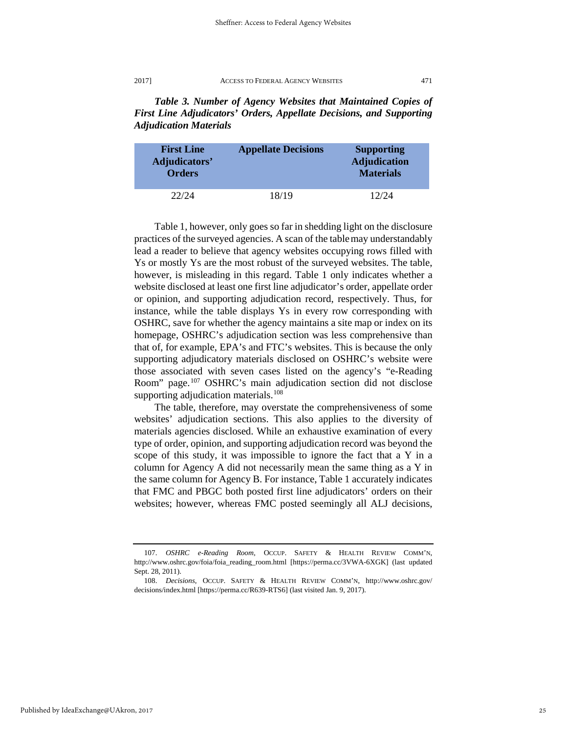*Table 3. Number of Agency Websites that Maintained Copies of First Line Adjudicators' Orders, Appellate Decisions, and Supporting Adjudication Materials*

| <b>First Line</b><br>Adjudicators'<br><b>Orders</b> | <b>Appellate Decisions</b> | <b>Supporting</b><br><b>Adjudication</b><br><b>Materials</b> |
|-----------------------------------------------------|----------------------------|--------------------------------------------------------------|
| 22/24                                               | 18/19                      | 12/24                                                        |

Table 1, however, only goes so far in shedding light on the disclosure practices of the surveyed agencies. A scan of the tablemay understandably lead a reader to believe that agency websites occupying rows filled with Ys or mostly Ys are the most robust of the surveyed websites. The table, however, is misleading in this regard. Table 1 only indicates whether a website disclosed at least one first line adjudicator's order, appellate order or opinion, and supporting adjudication record, respectively. Thus, for instance, while the table displays Ys in every row corresponding with OSHRC, save for whether the agency maintains a site map or index on its homepage, OSHRC's adjudication section was less comprehensive than that of, for example, EPA's and FTC's websites. This is because the only supporting adjudicatory materials disclosed on OSHRC's website were those associated with seven cases listed on the agency's "e-Reading Room" page.[107](#page-25-0) OSHRC's main adjudication section did not disclose supporting adjudication materials.<sup>108</sup>

The table, therefore, may overstate the comprehensiveness of some websites' adjudication sections. This also applies to the diversity of materials agencies disclosed. While an exhaustive examination of every type of order, opinion, and supporting adjudication record was beyond the scope of this study, it was impossible to ignore the fact that a Y in a column for Agency A did not necessarily mean the same thing as a Y in the same column for Agency B. For instance, Table 1 accurately indicates that FMC and PBGC both posted first line adjudicators' orders on their websites; however, whereas FMC posted seemingly all ALJ decisions,

<span id="page-25-0"></span><sup>107.</sup> *OSHRC e-Reading Room*, OCCUP. SAFETY & HEALTH REVIEW COMM'N, http://www.oshrc.gov/foia/foia\_reading\_room.html [https://perma.cc/3VWA-6XGK] (last updated Sept. 28, 2011).

<span id="page-25-1"></span><sup>108.</sup> *Decisions*, OCCUP. SAFETY & HEALTH REVIEW COMM'N, http://www.oshrc.gov/ decisions/index.html [https://perma.cc/R639-RTS6] (last visited Jan. 9, 2017).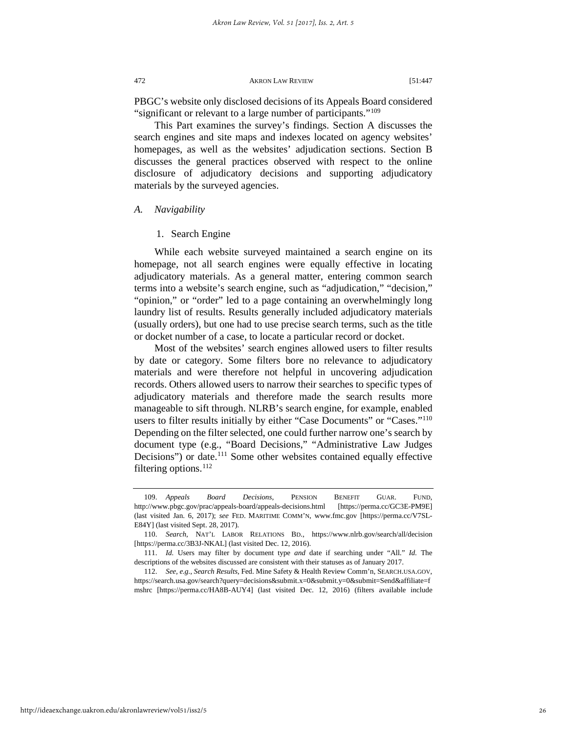PBGC's website only disclosed decisions of its Appeals Board considered "significant or relevant to a large number of participants."<sup>[109](#page-26-0)</sup>

This Part examines the survey's findings. Section A discusses the search engines and site maps and indexes located on agency websites' homepages, as well as the websites' adjudication sections. Section B discusses the general practices observed with respect to the online disclosure of adjudicatory decisions and supporting adjudicatory materials by the surveyed agencies.

## *A. Navigability*

## 1. Search Engine

While each website surveyed maintained a search engine on its homepage, not all search engines were equally effective in locating adjudicatory materials. As a general matter, entering common search terms into a website's search engine, such as "adjudication," "decision," "opinion," or "order" led to a page containing an overwhelmingly long laundry list of results. Results generally included adjudicatory materials (usually orders), but one had to use precise search terms, such as the title or docket number of a case, to locate a particular record or docket.

Most of the websites' search engines allowed users to filter results by date or category. Some filters bore no relevance to adjudicatory materials and were therefore not helpful in uncovering adjudication records. Others allowed users to narrow their searches to specific types of adjudicatory materials and therefore made the search results more manageable to sift through. NLRB's search engine, for example, enabled users to filter results initially by either "Case Documents" or "Cases."<sup>110</sup> Depending on the filter selected, one could further narrow one's search by document type (e.g., "Board Decisions," "Administrative Law Judges Decisions") or date.<sup>[111](#page-26-2)</sup> Some other websites contained equally effective filtering options. $^{112}$  $^{112}$  $^{112}$ 

<span id="page-26-3"></span><span id="page-26-2"></span><span id="page-26-1"></span>

<span id="page-26-0"></span><sup>109.</sup> *Appeals Board Decisions*, PENSION BENEFIT GUAR. FUND, http://www.pbgc.gov/prac/appeals-board/appeals-decisions.html [https://perma.cc/GC3E-PM9E] (last visited Jan. 6, 2017); *see* FED. MARITIME COMM'N, www.fmc.gov [https://perma.cc/V7SL-E84Y] (last visited Sept. 28, 2017).

<sup>110.</sup> *Search*, NAT'L LABOR RELATIONS BD., https://www.nlrb.gov/search/all/decision [https://perma.cc/3B3J-NKAL] (last visited Dec. 12, 2016).

<sup>111.</sup> *Id.* Users may filter by document type *and* date if searching under "All." *Id.* The descriptions of the websites discussed are consistent with their statuses as of January 2017.

<sup>112.</sup> *See, e.g.*, *Search Results*, Fed. Mine Safety & Health Review Comm'n, SEARCH.USA.GOV, https://search.usa.gov/search?query=decisions&submit.x=0&submit.y=0&submit=Send&affiliate=f mshrc [https://perma.cc/HA8B-AUY4] (last visited Dec. 12, 2016) (filters available include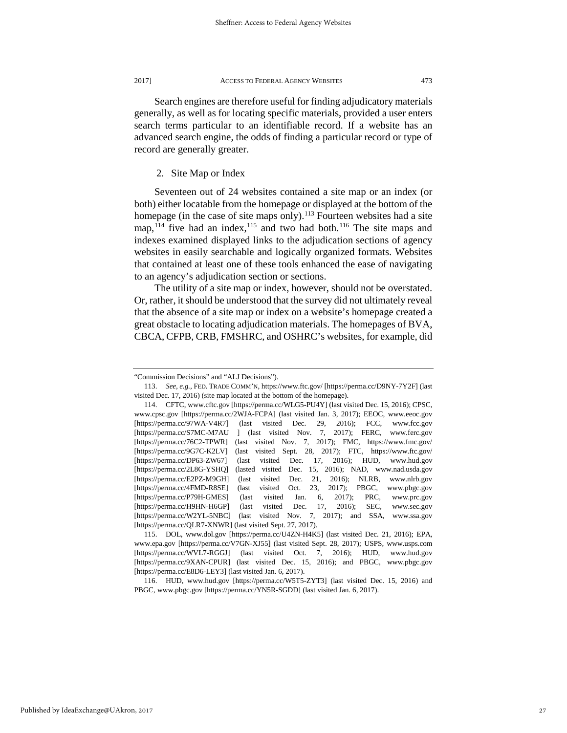Search engines are therefore useful for finding adjudicatory materials generally, as well as for locating specific materials, provided a user enters search terms particular to an identifiable record. If a website has an advanced search engine, the odds of finding a particular record or type of record are generally greater.

## 2. Site Map or Index

Seventeen out of 24 websites contained a site map or an index (or both) either locatable from the homepage or displayed at the bottom of the homepage (in the case of site maps only).<sup>[113](#page-27-0)</sup> Fourteen websites had a site map,  $114$  five had an index,  $115$  and two had both.  $116$  The site maps and indexes examined displayed links to the adjudication sections of agency websites in easily searchable and logically organized formats. Websites that contained at least one of these tools enhanced the ease of navigating to an agency's adjudication section or sections.

The utility of a site map or index, however, should not be overstated. Or, rather, it should be understood that the survey did not ultimately reveal that the absence of a site map or index on a website's homepage created a great obstacle to locating adjudication materials. The homepages of BVA, CBCA, CFPB, CRB, FMSHRC, and OSHRC's websites, for example, did

Published by IdeaExchange@UAkron, 2017

<span id="page-27-0"></span><sup>&</sup>quot;Commission Decisions" and "ALJ Decisions").

<sup>113.</sup> *See, e.g.,* FED. TRADE COMM'N, https://www.ftc.gov/ [https://perma.cc/D9NY-7Y2F] (last visited Dec. 17, 2016) (site map located at the bottom of the homepage).

<span id="page-27-1"></span><sup>114.</sup> CFTC, www.cftc.gov [https://perma.cc/WLG5-PU4Y] (last visited Dec. 15, 2016); CPSC, www.cpsc.gov [https://perma.cc/2WJA-FCPA] (last visited Jan. 3, 2017); EEOC, www.eeoc.gov [https://perma.cc/97WA-V4R7] (last visited Dec. 29, 2016); FCC, www.fcc.gov [https://perma.cc/S7MC-M7AU ] (last visited Nov. 7, 2017); FERC, www.ferc.gov [https://perma.cc/76C2-TPWR] (last visited Nov. 7, 2017); FMC, https://www.fmc.gov/ [https://perma.cc/9G7C-K2LV] (last visited Sept. 28, 2017); FTC, https://www.ftc.gov/ [https://perma.cc/DP63-ZW67] (last visited Dec. 17, 2016); HUD, www.hud.gov [https://perma.cc/2L8G-YSHQ] (lasted visited Dec. 15, 2016); NAD, www.nad.usda.gov [https://perma.cc/E2PZ-M9GH] (last visited Dec. 21, 2016); NLRB, www.nlrb.gov [https://perma.cc/4FMD-R8SE] (last visited Oct. 23, 2017); PBGC, www.pbgc.gov [https://perma.cc/P79H-GMES] (last visited Jan. 6, 2017); PRC, www.prc.gov [https://perma.cc/H9HN-H6GP] (last visited Dec. 17, 2016); SEC, www.sec.gov [https://perma.cc/W2YL-5NBC] (last visited Nov. 7, 2017); and SSA, www.ssa.gov [https://perma.cc/QLR7-XNWR] (last visited Sept. 27, 2017).

<span id="page-27-2"></span><sup>115.</sup> DOL, www.dol.gov [https://perma.cc/U4ZN-H4K5] (last visited Dec. 21, 2016); EPA, www.epa.gov [https://perma.cc/V7GN-XJ55] (last visited Sept. 28, 2017); USPS, www.usps.com [https://perma.cc/WVL7-RGGJ] (last visited Oct. 7, 2016); HUD, www.hud.gov [https://perma.cc/9XAN-CPUR] (last visited Dec. 15, 2016); and PBGC, www.pbgc.gov [https://perma.cc/E8D6-LEY3] (last visited Jan. 6, 2017).

<span id="page-27-3"></span><sup>116.</sup> HUD, www.hud.gov [https://perma.cc/W5T5-ZYT3] (last visited Dec. 15, 2016) and PBGC, www.pbgc.gov [https://perma.cc/YN5R-SGDD] (last visited Jan. 6, 2017).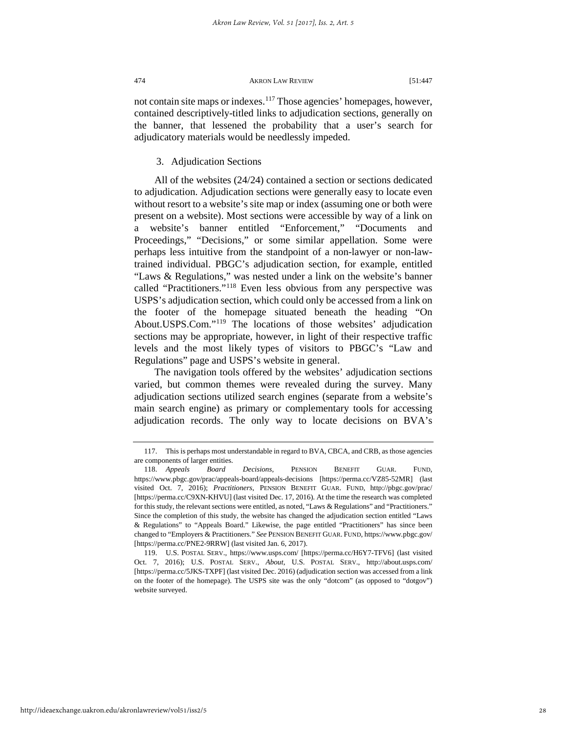not contain site maps or indexes.<sup>[117](#page-28-0)</sup> Those agencies' homepages, however, contained descriptively-titled links to adjudication sections, generally on the banner, that lessened the probability that a user's search for adjudicatory materials would be needlessly impeded.

## 3. Adjudication Sections

All of the websites (24/24) contained a section or sections dedicated to adjudication. Adjudication sections were generally easy to locate even without resort to a website's site map or index (assuming one or both were present on a website). Most sections were accessible by way of a link on a website's banner entitled "Enforcement," "Documents and Proceedings," "Decisions," or some similar appellation. Some were perhaps less intuitive from the standpoint of a non-lawyer or non-lawtrained individual. PBGC's adjudication section, for example, entitled "Laws & Regulations," was nested under a link on the website's banner called "Practitioners."[118](#page-28-1) Even less obvious from any perspective was USPS's adjudication section, which could only be accessed from a link on the footer of the homepage situated beneath the heading "On About.USPS.Com."[119](#page-28-2) The locations of those websites' adjudication sections may be appropriate, however, in light of their respective traffic levels and the most likely types of visitors to PBGC's "Law and Regulations" page and USPS's website in general.

The navigation tools offered by the websites' adjudication sections varied, but common themes were revealed during the survey. Many adjudication sections utilized search engines (separate from a website's main search engine) as primary or complementary tools for accessing adjudication records. The only way to locate decisions on BVA's

<span id="page-28-0"></span><sup>117.</sup> This is perhaps most understandable in regard to BVA, CBCA, and CRB, as those agencies are components of larger entities.

<span id="page-28-1"></span><sup>118.</sup> *Appeals Board Decisions,* PENSION BENEFIT GUAR. FUND, https://www.pbgc.gov/prac/appeals-board/appeals-decisions [https://perma.cc/VZ85-52MR] (last visited Oct. 7, 2016); *Practitioners*, PENSION BENEFIT GUAR. FUND, http://pbgc.gov/prac/ [https://perma.cc/C9XN-KHVU] (last visited Dec. 17, 2016). At the time the research was completed for this study, the relevant sections were entitled, as noted, "Laws & Regulations" and "Practitioners." Since the completion of this study, the website has changed the adjudication section entitled "Laws & Regulations" to "Appeals Board." Likewise, the page entitled "Practitioners" has since been changed to "Employers & Practitioners." *See* PENSION BENEFIT GUAR. FUND, https://www.pbgc.gov/ [https://perma.cc/PNE2-9RRW] (last visited Jan. 6, 2017).

<span id="page-28-2"></span><sup>119.</sup> U.S. POSTAL SERV., https://www.usps.com/ [https://perma.cc/H6Y7-TFV6] (last visited Oct. 7, 2016); U.S. POSTAL SERV., *About*, U.S. POSTAL SERV., http://about.usps.com/ [https://perma.cc/5JKS-TXPF] (last visited Dec. 2016) (adjudication section was accessed from a link on the footer of the homepage). The USPS site was the only "dotcom" (as opposed to "dotgov") website surveyed.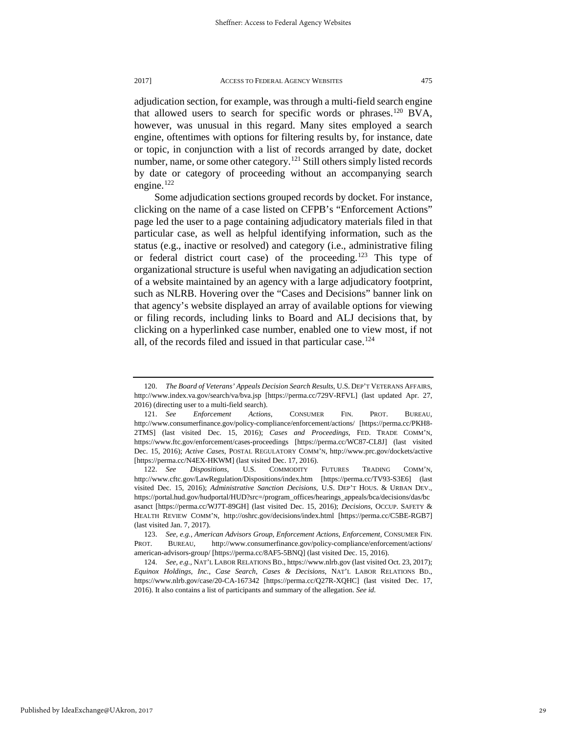adjudication section, for example, was through a multi-field search engine that allowed users to search for specific words or phrases.[120](#page-29-0) BVA, however, was unusual in this regard. Many sites employed a search engine, oftentimes with options for filtering results by, for instance, date or topic, in conjunction with a list of records arranged by date, docket number, name, or some other category.<sup>[121](#page-29-1)</sup> Still others simply listed records by date or category of proceeding without an accompanying search engine. $122$ 

Some adjudication sections grouped records by docket. For instance, clicking on the name of a case listed on CFPB's "Enforcement Actions" page led the user to a page containing adjudicatory materials filed in that particular case, as well as helpful identifying information, such as the status (e.g., inactive or resolved) and category (i.e., administrative filing or federal district court case) of the proceeding.[123](#page-29-3) This type of organizational structure is useful when navigating an adjudication section of a website maintained by an agency with a large adjudicatory footprint, such as NLRB. Hovering over the "Cases and Decisions" banner link on that agency's website displayed an array of available options for viewing or filing records, including links to Board and ALJ decisions that, by clicking on a hyperlinked case number, enabled one to view most, if not all, of the records filed and issued in that particular case.<sup>[124](#page-29-4)</sup>

<span id="page-29-0"></span><sup>120.</sup> *The Board of Veterans' Appeals Decision Search Results*, U.S. DEP'T VETERANS AFFAIRS, http://www.index.va.gov/search/va/bva.jsp [https://perma.cc/729V-RFVL] (last updated Apr. 27, 2016) (directing user to a multi-field search).

<span id="page-29-1"></span><sup>121.</sup> *See Enforcement Actions*, CONSUMER FIN. PROT. BUREAU, http://www.consumerfinance.gov/policy-compliance/enforcement/actions/ [https://perma.cc/PKH8- 2TMS] (last visited Dec. 15, 2016); *Cases and Proceedings*, FED. TRADE COMM'N, https://www.ftc.gov/enforcement/cases-proceedings [https://perma.cc/WC87-CL8J] (last visited Dec. 15, 2016); *Active Cases*, POSTAL REGULATORY COMM'N, http://www.prc.gov/dockets/active [https://perma.cc/N4EX-HKWM] (last visited Dec. 17, 2016).

<span id="page-29-2"></span><sup>122.</sup> *See Dispositions*, U.S. COMMODITY FUTURES TRADING COMM'N, http://www.cftc.gov/LawRegulation/Dispositions/index.htm [https://perma.cc/TV93-S3E6] (last visited Dec. 15, 2016); *Administrative Sanction Decisions*, U.S. DEP'T HOUS. & URBAN DEV., https://portal.hud.gov/hudportal/HUD?src=/program\_offices/hearings\_appeals/bca/decisions/das/bc asanct [https://perma.cc/WJ7T-89GH] (last visited Dec. 15, 2016); *Decisions*, OCCUP. SAFETY & HEALTH REVIEW COMM'N, http://oshrc.gov/decisions/index.html [https://perma.cc/C5BE-RGB7] (last visited Jan. 7, 2017).

<span id="page-29-3"></span><sup>123.</sup> *See, e.g.*, *American Advisors Group*, *Enforcement Actions*, *Enforcement*, CONSUMER FIN. PROT. BUREAU, http://www.consumerfinance.gov/policy-compliance/enforcement/actions/ american-advisors-group/ [https://perma.cc/8AF5-5BNQ] (last visited Dec. 15, 2016).

<span id="page-29-4"></span><sup>124.</sup> *See, e.g.*, NAT'L LABOR RELATIONS BD., https://www.nlrb.gov (last visited Oct. 23, 2017); *Equinox Holdings, Inc.*, *Case Search*, *Cases & Decisions*, NAT'L LABOR RELATIONS BD., https://www.nlrb.gov/case/20-CA-167342 [https://perma.cc/Q27R-XQHC] (last visited Dec. 17, 2016). It also contains a list of participants and summary of the allegation. *See id.*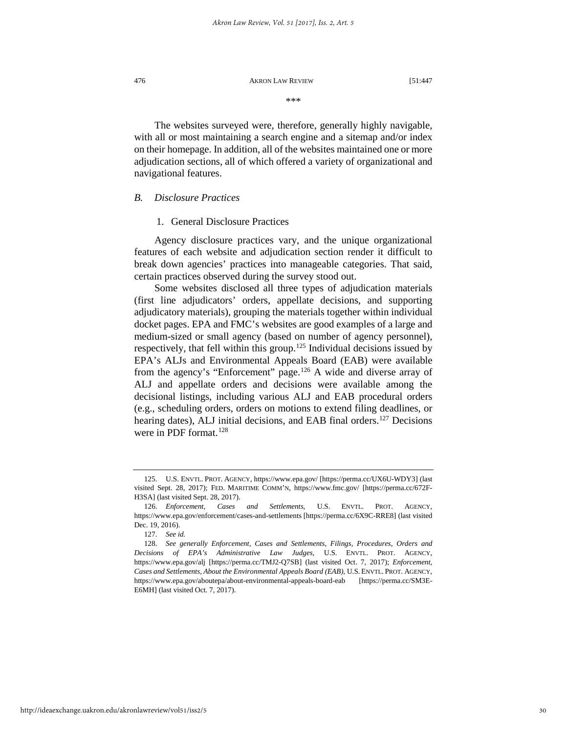\*\*\*

The websites surveyed were, therefore, generally highly navigable, with all or most maintaining a search engine and a sitemap and/or index on their homepage. In addition, all of the websites maintained one or more adjudication sections, all of which offered a variety of organizational and navigational features.

## *B. Disclosure Practices*

## 1. General Disclosure Practices

Agency disclosure practices vary, and the unique organizational features of each website and adjudication section render it difficult to break down agencies' practices into manageable categories. That said, certain practices observed during the survey stood out.

Some websites disclosed all three types of adjudication materials (first line adjudicators' orders, appellate decisions, and supporting adjudicatory materials), grouping the materials together within individual docket pages. EPA and FMC's websites are good examples of a large and medium-sized or small agency (based on number of agency personnel), respectively, that fell within this group.<sup>[125](#page-30-0)</sup> Individual decisions issued by EPA's ALJs and Environmental Appeals Board (EAB) were available from the agency's "Enforcement" page.<sup>[126](#page-30-1)</sup> A wide and diverse array of ALJ and appellate orders and decisions were available among the decisional listings, including various ALJ and EAB procedural orders (e.g., scheduling orders, orders on motions to extend filing deadlines, or hearing dates), ALJ initial decisions, and EAB final orders.<sup>[127](#page-30-2)</sup> Decisions were in PDF format.<sup>[128](#page-30-3)</sup>

<span id="page-30-0"></span><sup>125.</sup> U.S. ENVTL. PROT. AGENCY, https://www.epa.gov/ [https://perma.cc/UX6U-WDY3] (last visited Sept. 28, 2017); FED. MARITIME COMM'N, https://www.fmc.gov/ [https://perma.cc/672F-H3SA] (last visited Sept. 28, 2017).

<span id="page-30-1"></span><sup>126.</sup> *Enforcement, Cases and Settlements*, U.S. ENVTL. PROT. AGENCY, https://www.epa.gov/enforcement/cases-and-settlements [https://perma.cc/6X9C-RRE8] (last visited Dec. 19, 2016).

<sup>127.</sup> *See id.* 

<span id="page-30-3"></span><span id="page-30-2"></span><sup>128.</sup> *See generally Enforcement, Cases and Settlements, Filings, Procedures, Orders and Decisions of EPA's Administrative Law Judges*, U.S. ENVTL. PROT. AGENCY, https://www.epa.gov/alj [https://perma.cc/TMJ2-Q7SB] (last visited Oct. 7, 2017); *Enforcement, Cases and Settlements, About the Environmental Appeals Board (EAB)*, U.S. ENVTL. PROT. AGENCY, https://www.epa.gov/aboutepa/about-environmental-appeals-board-eab [https://perma.cc/SM3E-E6MH] (last visited Oct. 7, 2017).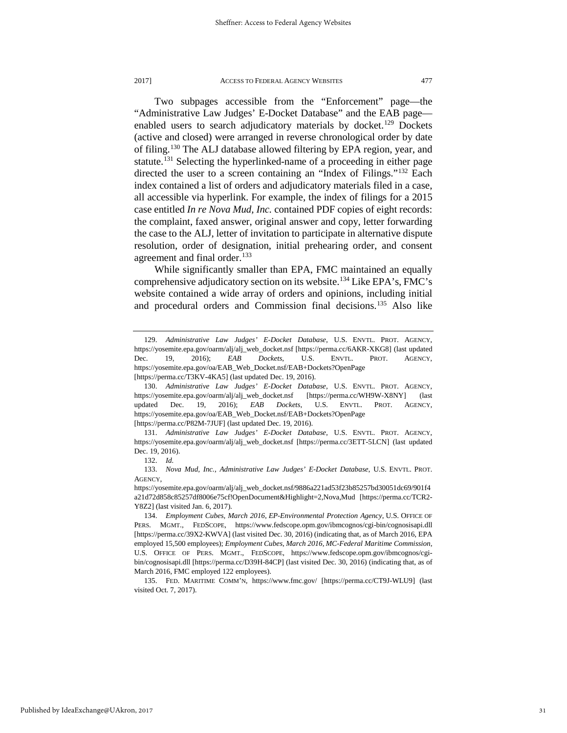Two subpages accessible from the "Enforcement" page—the "Administrative Law Judges' E-Docket Database" and the EAB page— enabled users to search adjudicatory materials by docket.<sup>[129](#page-31-0)</sup> Dockets (active and closed) were arranged in reverse chronological order by date of filing.[130](#page-31-1) The ALJ database allowed filtering by EPA region, year, and statute.<sup>[131](#page-31-2)</sup> Selecting the hyperlinked-name of a proceeding in either page directed the user to a screen containing an "Index of Filings."[132](#page-31-3) Each index contained a list of orders and adjudicatory materials filed in a case, all accessible via hyperlink. For example, the index of filings for a 2015 case entitled *In re Nova Mud, Inc.* contained PDF copies of eight records: the complaint, faxed answer, original answer and copy, letter forwarding the case to the ALJ, letter of invitation to participate in alternative dispute resolution, order of designation, initial prehearing order, and consent agreement and final order.<sup>133</sup>

While significantly smaller than EPA, FMC maintained an equally comprehensive adjudicatory section on its website.[134](#page-31-5) Like EPA's, FMC's website contained a wide array of orders and opinions, including initial and procedural orders and Commission final decisions.[135](#page-31-6) Also like

<span id="page-31-0"></span><sup>129.</sup> *Administrative Law Judges' E-Docket Database*, U.S. ENVTL. PROT. AGENCY, https://yosemite.epa.gov/oarm/alj/alj\_web\_docket.nsf [https://perma.cc/6AKR-XKG8] (last updated Dec. 19, 2016); *EAB Dockets*, U.S. ENVTL. PROT. AGENCY, https://yosemite.epa.gov/oa/EAB\_Web\_Docket.nsf/EAB+Dockets?OpenPage [https://perma.cc/T3KV-4KA5] (last updated Dec. 19, 2016).

<span id="page-31-1"></span><sup>130.</sup> *Administrative Law Judges' E-Docket Database*, U.S. ENVTL. PROT. AGENCY, https://yosemite.epa.gov/oarm/alj/alj\_web\_docket.nsf [https://perma.cc/WH9W-X8NY] (last updated Dec. 19, 2016); *EAB Dockets*, U.S. ENVTL. PROT. AGENCY, https://yosemite.epa.gov/oa/EAB\_Web\_Docket.nsf/EAB+Dockets?OpenPage [https://perma.cc/P82M-7JUF] (last updated Dec. 19, 2016).

<span id="page-31-2"></span><sup>131.</sup> *Administrative Law Judges' E-Docket Database*, U.S. ENVTL. PROT. AGENCY, https://yosemite.epa.gov/oarm/alj/alj\_web\_docket.nsf [https://perma.cc/3ETT-5LCN] (last updated Dec. 19, 2016).

<sup>132.</sup> *Id.* 

<span id="page-31-4"></span><span id="page-31-3"></span><sup>133.</sup> *Nova Mud, Inc.*, *Administrative Law Judges' E-Docket Database*, U.S. ENVTL. PROT. AGENCY,

https://yosemite.epa.gov/oarm/alj/alj\_web\_docket.nsf/9886a221ad53f23b85257bd30051dc69/901f4 a21d72d858c85257df8006e75cf!OpenDocument&Highlight=2,Nova,Mud [https://perma.cc/TCR2- Y8Z2] (last visited Jan. 6, 2017).

<span id="page-31-5"></span><sup>134.</sup> *Employment Cubes*, *March 2016*, *EP-Environmental Protection Agency*, U.S. OFFICE OF PERS. MGMT., FEDSCOPE, https://www.fedscope.opm.gov/ibmcognos/cgi-bin/cognosisapi.dll [https://perma.cc/39X2-KWVA] (last visited Dec. 30, 2016) (indicating that, as of March 2016, EPA employed 15,500 employees); *Employment Cubes*, *March 2016*, *MC-Federal Maritime Commission*, U.S. OFFICE OF PERS. MGMT., FEDSCOPE, https://www.fedscope.opm.gov/ibmcognos/cgibin/cognosisapi.dll [https://perma.cc/D39H-84CP] (last visited Dec. 30, 2016) (indicating that, as of March 2016, FMC employed 122 employees).

<span id="page-31-6"></span><sup>135.</sup> FED. MARITIME COMM'N, https://www.fmc.gov/ [https://perma.cc/CT9J-WLU9] (last visited Oct. 7, 2017).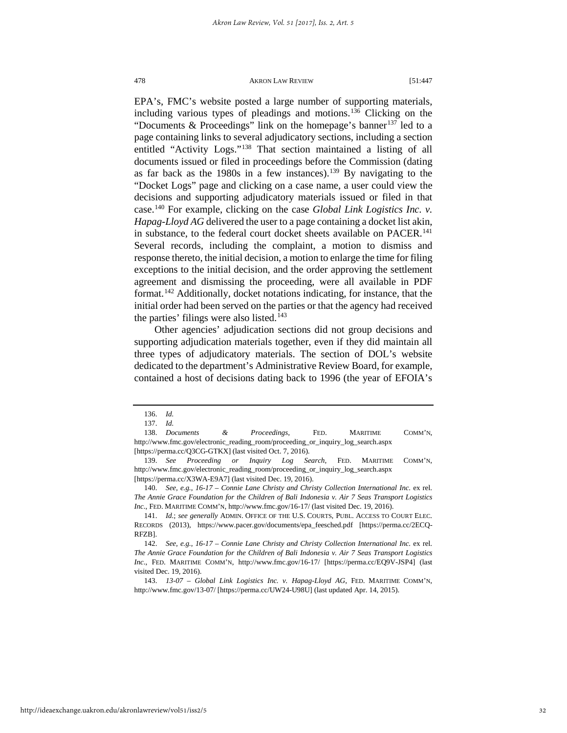EPA's, FMC's website posted a large number of supporting materials, including various types of pleadings and motions.[136](#page-32-0) Clicking on the "Documents & Proceedings" link on the homepage's banner<sup>[137](#page-32-1)</sup> led to a page containing links to several adjudicatory sections, including a section entitled "Activity Logs."<sup>[138](#page-32-2)</sup> That section maintained a listing of all documents issued or filed in proceedings before the Commission (dating as far back as the 1980s in a few instances).[139](#page-32-3) By navigating to the "Docket Logs" page and clicking on a case name, a user could view the decisions and supporting adjudicatory materials issued or filed in that case.[140](#page-32-4) For example, clicking on the case *Global Link Logistics Inc. v. Hapag-Lloyd AG* delivered the user to a page containing a docket list akin, in substance, to the federal court docket sheets available on PACER.<sup>141</sup> Several records, including the complaint, a motion to dismiss and response thereto, the initial decision, a motion to enlarge the time for filing exceptions to the initial decision, and the order approving the settlement agreement and dismissing the proceeding, were all available in PDF format.[142](#page-32-6) Additionally, docket notations indicating, for instance, that the initial order had been served on the parties or that the agency had received the parties' filings were also listed.<sup>[143](#page-32-7)</sup>

Other agencies' adjudication sections did not group decisions and supporting adjudication materials together, even if they did maintain all three types of adjudicatory materials. The section of DOL's website dedicated to the department's Administrative Review Board, for example, contained a host of decisions dating back to 1996 (the year of EFOIA's

<sup>136.</sup> *Id.*

<sup>137.</sup> *Id.* 

<span id="page-32-2"></span><span id="page-32-1"></span><span id="page-32-0"></span><sup>138.</sup> *Documents & Proceedings*, FED. MARITIME COMM'N, http://www.fmc.gov/electronic\_reading\_room/proceeding\_or\_inquiry\_log\_search.aspx [https://perma.cc/Q3CG-GTKX] (last visited Oct. 7, 2016).

<span id="page-32-3"></span><sup>139.</sup> *See Proceeding or Inquiry Log Search*, FED. MARITIME COMM'N, http://www.fmc.gov/electronic\_reading\_room/proceeding\_or\_inquiry\_log\_search.aspx [https://perma.cc/X3WA-E9A7] (last visited Dec. 19, 2016).

<span id="page-32-4"></span><sup>140.</sup> *See, e.g.*, *16-17 – Connie Lane Christy and Christy Collection International Inc.* ex rel. *The Annie Grace Foundation for the Children of Bali Indonesia v. Air 7 Seas Transport Logistics Inc.*, FED. MARITIME COMM'N, http://www.fmc.gov/16-17/ (last visited Dec. 19, 2016).

<span id="page-32-5"></span><sup>141.</sup> *Id.*; *see generally* ADMIN. OFFICE OF THE U.S. COURTS, PUBL. ACCESS TO COURT ELEC. RECORDS (2013), https://www.pacer.gov/documents/epa\_feesched.pdf [https://perma.cc/2ECQ-RFZB].

<span id="page-32-6"></span><sup>142.</sup> *See, e.g.*, *16-17 – Connie Lane Christy and Christy Collection International Inc.* ex rel. *The Annie Grace Foundation for the Children of Bali Indonesia v. Air 7 Seas Transport Logistics Inc.*, FED. MARITIME COMM'N, http://www.fmc.gov/16-17/ [https://perma.cc/EQ9V-JSP4] (last visited Dec. 19, 2016).

<span id="page-32-7"></span><sup>143.</sup> *13-07 – Global Link Logistics Inc. v. Hapag-Lloyd AG*, FED. MARITIME COMM'N, http://www.fmc.gov/13-07/ [https://perma.cc/UW24-U98U] (last updated Apr. 14, 2015).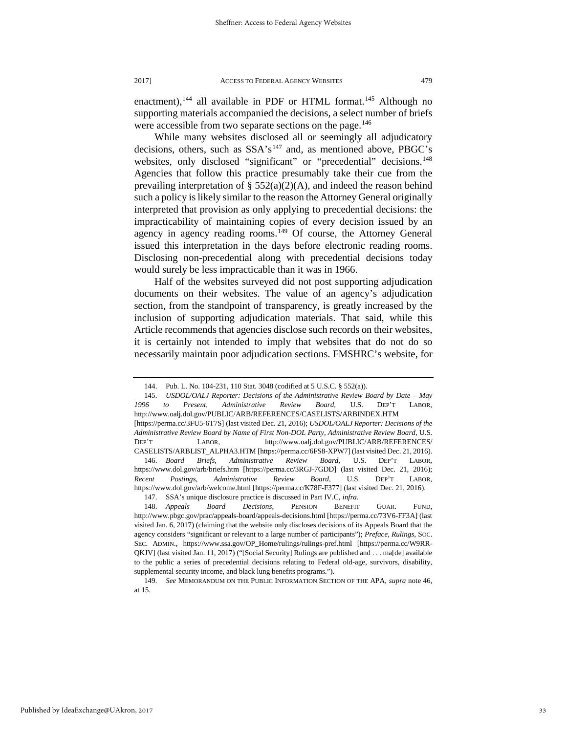enactment),<sup>[144](#page-33-0)</sup> all available in PDF or HTML format.<sup>[145](#page-33-1)</sup> Although no supporting materials accompanied the decisions, a select number of briefs were accessible from two separate sections on the page.<sup>[146](#page-33-2)</sup>

While many websites disclosed all or seemingly all adjudicatory decisions, others, such as  $SSA's<sup>147</sup>$  $SSA's<sup>147</sup>$  $SSA's<sup>147</sup>$  and, as mentioned above, PBGC's websites, only disclosed "significant" or "precedential" decisions.<sup>148</sup> Agencies that follow this practice presumably take their cue from the prevailing interpretation of §  $552(a)(2)(A)$ , and indeed the reason behind such a policy is likely similar to the reason the Attorney General originally interpreted that provision as only applying to precedential decisions: the impracticability of maintaining copies of every decision issued by an agency in agency reading rooms.<sup>[149](#page-33-5)</sup> Of course, the Attorney General issued this interpretation in the days before electronic reading rooms. Disclosing non-precedential along with precedential decisions today would surely be less impracticable than it was in 1966.

Half of the websites surveyed did not post supporting adjudication documents on their websites. The value of an agency's adjudication section, from the standpoint of transparency, is greatly increased by the inclusion of supporting adjudication materials. That said, while this Article recommends that agencies disclose such records on their websites, it is certainly not intended to imply that websites that do not do so necessarily maintain poor adjudication sections. FMSHRC's website, for

<span id="page-33-2"></span>146. *Board Briefs, Administrative Review Board*, U.S. DEP'T LABOR, https://www.dol.gov/arb/briefs.htm [https://perma.cc/3RGJ-7GDD] (last visited Dec. 21, 2016); *Recent Postings, Administrative Review Board*, U.S. DEP'T LABOR, https://www.dol.gov/arb/welcome.html [https://perma.cc/K78F-F377] (last visited Dec. 21, 2016). 147. SSA's unique disclosure practice is discussed in Part IV.C, *infra*.

<sup>144.</sup> Pub. L. No. 104-231, 110 Stat. 3048 (codified at 5 U.S.C. § 552(a)).

<span id="page-33-1"></span><span id="page-33-0"></span><sup>145.</sup> *USDOL/OALJ Reporter: Decisions of the Administrative Review Board by Date – May 1996 to Present*, *Administrative Review Board*, U.S. DEP'T LABOR, http://www.oalj.dol.gov/PUBLIC/ARB/REFERENCES/CASELISTS/ARBINDEX.HTM [https://perma.cc/3FU5-6T7S] (last visited Dec. 21, 2016); *USDOL/OALJ Reporter: Decisions of the Administrative Review Board by Name of First Non-DOL Party*, *Administrative Review Board*, U.S. DEP'T LABOR, http://www.oalj.dol.gov/PUBLIC/ARB/REFERENCES/ CASELISTS/ARBLIST\_ALPHA3.HTM [https://perma.cc/6FS8-XPW7] (last visited Dec. 21, 2016).

<span id="page-33-4"></span><span id="page-33-3"></span><sup>148.</sup> *Appeals Board Decisions*, PENSION BENEFIT GUAR. FUND, http://www.pbgc.gov/prac/appeals-board/appeals-decisions.html [https://perma.cc/73V6-FF3A] (last visited Jan. 6, 2017) (claiming that the website only discloses decisions of its Appeals Board that the agency considers "significant or relevant to a large number of participants"); *Preface*, *Rulings*, SOC. SEC. ADMIN., https://www.ssa.gov/OP\_Home/rulings/rulings-pref.html [https://perma.cc/W9RR-QKJV] (last visited Jan. 11, 2017) ("[Social Security] Rulings are published and . . . ma[de] available to the public a series of precedential decisions relating to Federal old-age, survivors, disability, supplemental security income, and black lung benefits programs.").

<span id="page-33-5"></span><sup>149.</sup> *See* MEMORANDUM ON THE PUBLIC INFORMATION SECTION OF THE APA, *supra* note 46, at 15.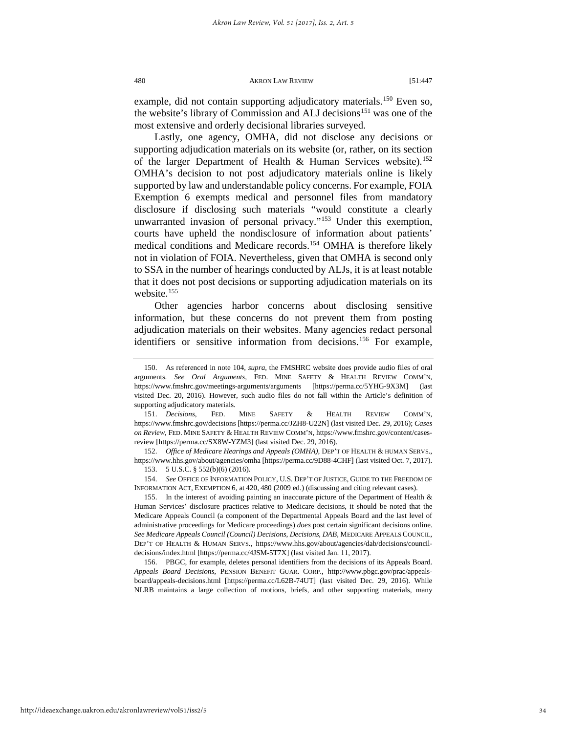example, did not contain supporting adjudicatory materials.<sup>[150](#page-34-0)</sup> Even so, the website's library of Commission and ALJ decisions<sup>[151](#page-34-1)</sup> was one of the most extensive and orderly decisional libraries surveyed.

Lastly, one agency, OMHA, did not disclose any decisions or supporting adjudication materials on its website (or, rather, on its section of the larger Department of Health & Human Services website).<sup>152</sup> OMHA's decision to not post adjudicatory materials online is likely supported by law and understandable policy concerns. For example, FOIA Exemption 6 exempts medical and personnel files from mandatory disclosure if disclosing such materials "would constitute a clearly unwarranted invasion of personal privacy."[153](#page-34-3) Under this exemption, courts have upheld the nondisclosure of information about patients' medical conditions and Medicare records.[154](#page-34-4) OMHA is therefore likely not in violation of FOIA. Nevertheless, given that OMHA is second only to SSA in the number of hearings conducted by ALJs, it is at least notable that it does not post decisions or supporting adjudication materials on its website. $155$ 

Other agencies harbor concerns about disclosing sensitive information, but these concerns do not prevent them from posting adjudication materials on their websites. Many agencies redact personal identifiers or sensitive information from decisions.<sup>[156](#page-34-6)</sup> For example,

<span id="page-34-3"></span><span id="page-34-2"></span>152. *Office of Medicare Hearings and Appeals (OMHA)*, DEP'T OF HEALTH & HUMAN SERVS., https://www.hhs.gov/about/agencies/omha [https://perma.cc/9D88-4CHF] (last visited Oct. 7, 2017). 153. 5 U.S.C. § 552(b)(6) (2016).

<span id="page-34-4"></span>154. *See* OFFICE OF INFORMATION POLICY, U.S. DEP'T OF JUSTICE, GUIDE TO THE FREEDOM OF INFORMATION ACT, EXEMPTION 6, at 420, 480 (2009 ed.) (discussing and citing relevant cases).

<span id="page-34-5"></span>155. In the interest of avoiding painting an inaccurate picture of the Department of Health & Human Services' disclosure practices relative to Medicare decisions, it should be noted that the Medicare Appeals Council (a component of the Departmental Appeals Board and the last level of administrative proceedings for Medicare proceedings) *does* post certain significant decisions online. *See Medicare Appeals Council (Council) Decisions*, *Decisions*, *DAB*, MEDICARE APPEALS COUNCIL, DEP'T OF HEALTH & HUMAN SERVS., https://www.hhs.gov/about/agencies/dab/decisions/councildecisions/index.html [https://perma.cc/4JSM-5T7X] (last visited Jan. 11, 2017).

<span id="page-34-6"></span>156. PBGC, for example, deletes personal identifiers from the decisions of its Appeals Board. *Appeals Board Decisions*, PENSION BENEFIT GUAR. CORP., http://www.pbgc.gov/prac/appealsboard/appeals-decisions.html [https://perma.cc/L62B-74UT] (last visited Dec. 29, 2016). While NLRB maintains a large collection of motions, briefs, and other supporting materials, many

<span id="page-34-0"></span><sup>150.</sup> As referenced in note 104, *supra*, the FMSHRC website does provide audio files of oral arguments. *See Oral Arguments*, FED. MINE SAFETY & HEALTH REVIEW COMM'N, https://www.fmshrc.gov/meetings-arguments/arguments [https://perma.cc/5YHG-9X3M] (last visited Dec. 20, 2016). However, such audio files do not fall within the Article's definition of supporting adjudicatory materials.

<span id="page-34-1"></span><sup>151.</sup> *Decisions*, FED. MINE SAFETY & HEALTH REVIEW COMM'N, https://www.fmshrc.gov/decisions [https://perma.cc/JZH8-U22N] (last visited Dec. 29, 2016); *Cases on Review*, FED. MINE SAFETY & HEALTH REVIEW COMM'N, https://www.fmshrc.gov/content/casesreview [https://perma.cc/SX8W-YZM3] (last visited Dec. 29, 2016).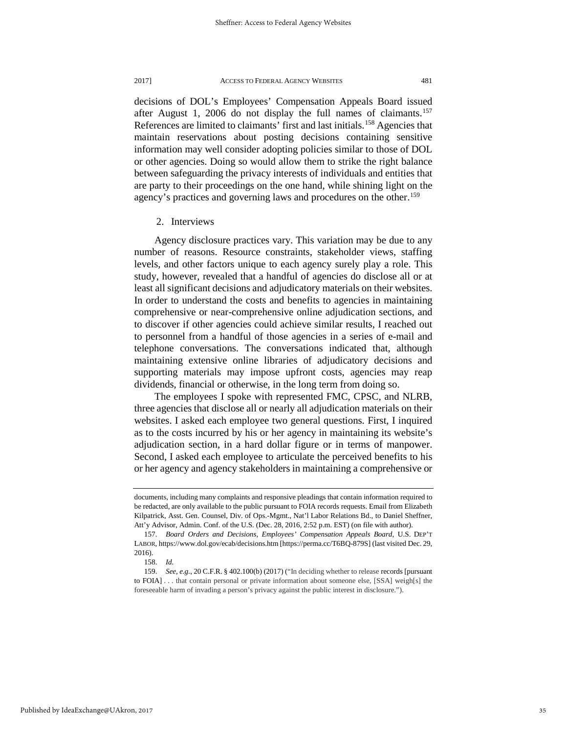decisions of DOL's Employees' Compensation Appeals Board issued after August 1, 2006 do not display the full names of claimants.<sup>157</sup> References are limited to claimants' first and last initials.<sup>[158](#page-35-1)</sup> Agencies that maintain reservations about posting decisions containing sensitive information may well consider adopting policies similar to those of DOL or other agencies. Doing so would allow them to strike the right balance between safeguarding the privacy interests of individuals and entities that are party to their proceedings on the one hand, while shining light on the agency's practices and governing laws and procedures on the other.<sup>[159](#page-35-2)</sup>

2. Interviews

Agency disclosure practices vary. This variation may be due to any number of reasons. Resource constraints, stakeholder views, staffing levels, and other factors unique to each agency surely play a role. This study, however, revealed that a handful of agencies do disclose all or at least all significant decisions and adjudicatory materials on their websites. In order to understand the costs and benefits to agencies in maintaining comprehensive or near-comprehensive online adjudication sections, and to discover if other agencies could achieve similar results, I reached out to personnel from a handful of those agencies in a series of e-mail and telephone conversations. The conversations indicated that, although maintaining extensive online libraries of adjudicatory decisions and supporting materials may impose upfront costs, agencies may reap dividends, financial or otherwise, in the long term from doing so.

The employees I spoke with represented FMC, CPSC, and NLRB, three agencies that disclose all or nearly all adjudication materials on their websites. I asked each employee two general questions. First, I inquired as to the costs incurred by his or her agency in maintaining its website's adjudication section, in a hard dollar figure or in terms of manpower. Second, I asked each employee to articulate the perceived benefits to his or her agency and agency stakeholders in maintaining a comprehensive or

documents, including many complaints and responsive pleadings that contain information required to be redacted, are only available to the public pursuant to FOIA records requests. Email from Elizabeth Kilpatrick, Asst. Gen. Counsel, Div. of Ops.-Mgmt., Nat'l Labor Relations Bd., to Daniel Sheffner, Att'y Advisor, Admin. Conf. of the U.S. (Dec. 28, 2016, 2:52 p.m. EST) (on file with author).

<span id="page-35-0"></span><sup>157.</sup> *Board Orders and Decisions*, *Employees' Compensation Appeals Board*, U.S. DEP'T LABOR, https://www.dol.gov/ecab/decisions.htm [https://perma.cc/T6BQ-879S] (last visited Dec. 29, 2016).

<sup>158.</sup> *Id.*

<span id="page-35-2"></span><span id="page-35-1"></span><sup>159.</sup> *See, e.g.*, 20 C.F.R. § 402.100(b) (2017) ("In deciding whether to release records [pursuant to FOIA] . . . that contain personal or private information about someone else, [SSA] weigh[s] the foreseeable harm of invading a person's privacy against the public interest in disclosure.").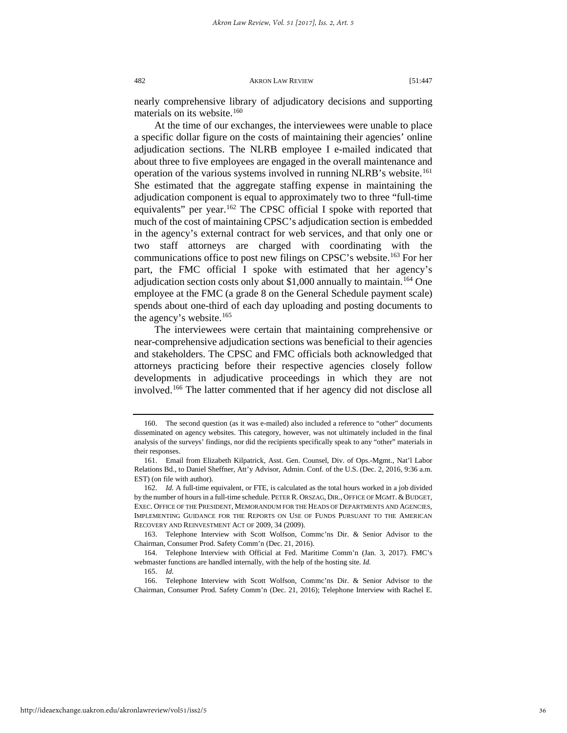nearly comprehensive library of adjudicatory decisions and supporting materials on its website.<sup>[160](#page-36-0)</sup>

At the time of our exchanges, the interviewees were unable to place a specific dollar figure on the costs of maintaining their agencies' online adjudication sections. The NLRB employee I e-mailed indicated that about three to five employees are engaged in the overall maintenance and operation of the various systems involved in running NLRB's website.<sup>[161](#page-36-1)</sup> She estimated that the aggregate staffing expense in maintaining the adjudication component is equal to approximately two to three "full-time equivalents" per year.[162](#page-36-2) The CPSC official I spoke with reported that much of the cost of maintaining CPSC's adjudication section is embedded in the agency's external contract for web services, and that only one or two staff attorneys are charged with coordinating with the communications office to post new filings on CPSC's website.[163](#page-36-3) For her part, the FMC official I spoke with estimated that her agency's adjudication section costs only about \$1,000 annually to maintain.<sup>164</sup> One employee at the FMC (a grade 8 on the General Schedule payment scale) spends about one-third of each day uploading and posting documents to the agency's website.<sup>[165](#page-36-5)</sup>

The interviewees were certain that maintaining comprehensive or near-comprehensive adjudication sections was beneficial to their agencies and stakeholders. The CPSC and FMC officials both acknowledged that attorneys practicing before their respective agencies closely follow developments in adjudicative proceedings in which they are not involved.[166](#page-36-6) The latter commented that if her agency did not disclose all

<span id="page-36-0"></span><sup>160.</sup> The second question (as it was e-mailed) also included a reference to "other" documents disseminated on agency websites. This category, however, was not ultimately included in the final analysis of the surveys' findings, nor did the recipients specifically speak to any "other" materials in their responses.

<span id="page-36-1"></span><sup>161.</sup> Email from Elizabeth Kilpatrick, Asst. Gen. Counsel, Div. of Ops.-Mgmt., Nat'l Labor Relations Bd., to Daniel Sheffner, Att'y Advisor, Admin. Conf. of the U.S. (Dec. 2, 2016, 9:36 a.m. EST) (on file with author).

<span id="page-36-2"></span><sup>162.</sup> *Id.* A full-time equivalent, or FTE, is calculated as the total hours worked in a job divided by the number of hours in a full-time schedule. PETER R. ORSZAG, DIR., OFFICE OF MGMT.&BUDGET, EXEC. OFFICE OF THE PRESIDENT, MEMORANDUM FOR THE HEADS OF DEPARTMENTS AND AGENCIES, IMPLEMENTING GUIDANCE FOR THE REPORTS ON USE OF FUNDS PURSUANT TO THE AMERICAN RECOVERY AND REINVESTMENT ACT OF 2009, 34 (2009).

<span id="page-36-3"></span><sup>163.</sup> Telephone Interview with Scott Wolfson, Commc'ns Dir. & Senior Advisor to the Chairman, Consumer Prod. Safety Comm'n (Dec. 21, 2016).

<span id="page-36-4"></span><sup>164.</sup> Telephone Interview with Official at Fed. Maritime Comm'n (Jan. 3, 2017). FMC's webmaster functions are handled internally, with the help of the hosting site. *Id.*

<sup>165.</sup> *Id.*

<span id="page-36-6"></span><span id="page-36-5"></span><sup>166.</sup> Telephone Interview with Scott Wolfson, Commc'ns Dir. & Senior Advisor to the Chairman, Consumer Prod. Safety Comm'n (Dec. 21, 2016); Telephone Interview with Rachel E.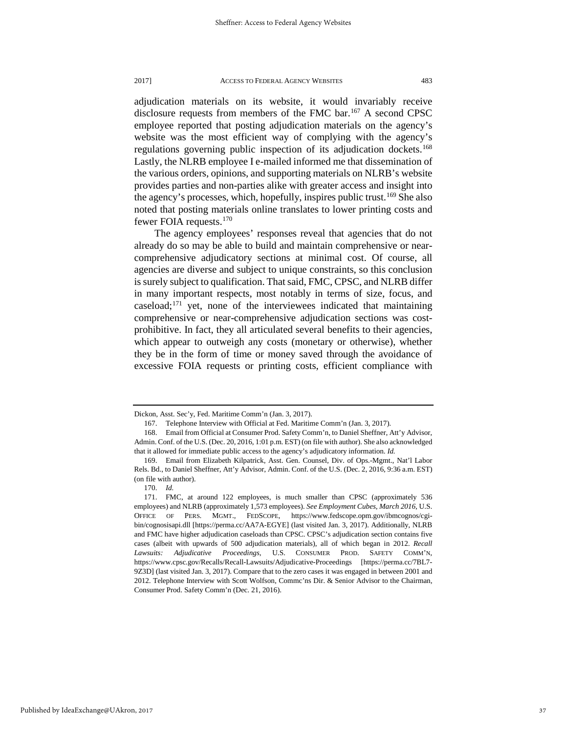adjudication materials on its website, it would invariably receive disclosure requests from members of the FMC bar.<sup>[167](#page-37-0)</sup> A second CPSC employee reported that posting adjudication materials on the agency's website was the most efficient way of complying with the agency's regulations governing public inspection of its adjudication dockets.<sup>168</sup> Lastly, the NLRB employee I e-mailed informed me that dissemination of the various orders, opinions, and supporting materials on NLRB's website provides parties and non-parties alike with greater access and insight into the agency's processes, which, hopefully, inspires public trust.<sup>[169](#page-37-2)</sup> She also noted that posting materials online translates to lower printing costs and fewer FOIA requests.<sup>170</sup>

The agency employees' responses reveal that agencies that do not already do so may be able to build and maintain comprehensive or nearcomprehensive adjudicatory sections at minimal cost. Of course, all agencies are diverse and subject to unique constraints, so this conclusion is surely subject to qualification. That said, FMC, CPSC, and NLRB differ in many important respects, most notably in terms of size, focus, and caseload; $171$  yet, none of the interviewees indicated that maintaining comprehensive or near-comprehensive adjudication sections was costprohibitive. In fact, they all articulated several benefits to their agencies, which appear to outweigh any costs (monetary or otherwise), whether they be in the form of time or money saved through the avoidance of excessive FOIA requests or printing costs, efficient compliance with

<span id="page-37-0"></span>Dickon, Asst. Sec'y, Fed. Maritime Comm'n (Jan. 3, 2017).

<sup>167.</sup> Telephone Interview with Official at Fed. Maritime Comm'n (Jan. 3, 2017).

<span id="page-37-1"></span><sup>168.</sup> Email from Official at Consumer Prod. Safety Comm'n, to Daniel Sheffner, Att'y Advisor, Admin. Conf. of the U.S. (Dec. 20, 2016, 1:01 p.m. EST) (on file with author). She also acknowledged that it allowed for immediate public access to the agency's adjudicatory information. *Id.*

<span id="page-37-2"></span><sup>169.</sup> Email from Elizabeth Kilpatrick, Asst. Gen. Counsel, Div. of Ops.-Mgmt., Nat'l Labor Rels. Bd., to Daniel Sheffner, Att'y Advisor, Admin. Conf. of the U.S. (Dec. 2, 2016, 9:36 a.m. EST) (on file with author).

<sup>170.</sup> *Id.*

<span id="page-37-4"></span><span id="page-37-3"></span><sup>171.</sup> FMC, at around 122 employees, is much smaller than CPSC (approximately 536 employees) and NLRB (approximately 1,573 employees). *See Employment Cubes*, *March 2016*, U.S. OFFICE OF PERS. MGMT., FEDSCOPE, https://www.fedscope.opm.gov/ibmcognos/cgibin/cognosisapi.dll [https://perma.cc/AA7A-EGYE] (last visited Jan. 3, 2017). Additionally, NLRB and FMC have higher adjudication caseloads than CPSC. CPSC's adjudication section contains five cases (albeit with upwards of 500 adjudication materials), all of which began in 2012. *Recall Lawsuits: Adjudicative Proceedings*, U.S. CONSUMER PROD. SAFETY COMM'N, https://www.cpsc.gov/Recalls/Recall-Lawsuits/Adjudicative-Proceedings [https://perma.cc/7BL7- 9Z3D] (last visited Jan. 3, 2017). Compare that to the zero cases it was engaged in between 2001 and 2012. Telephone Interview with Scott Wolfson, Commc'ns Dir. & Senior Advisor to the Chairman, Consumer Prod. Safety Comm'n (Dec. 21, 2016).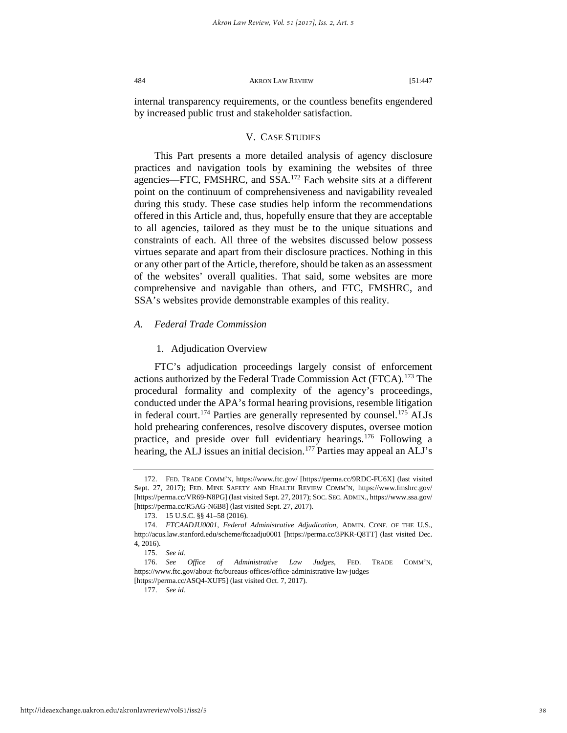internal transparency requirements, or the countless benefits engendered by increased public trust and stakeholder satisfaction.

## V. CASE STUDIES

This Part presents a more detailed analysis of agency disclosure practices and navigation tools by examining the websites of three agencies—FTC, FMSHRC, and SSA.[172](#page-38-0) Each website sits at a different point on the continuum of comprehensiveness and navigability revealed during this study. These case studies help inform the recommendations offered in this Article and, thus, hopefully ensure that they are acceptable to all agencies, tailored as they must be to the unique situations and constraints of each. All three of the websites discussed below possess virtues separate and apart from their disclosure practices. Nothing in this or any other part of the Article, therefore, should be taken as an assessment of the websites' overall qualities. That said, some websites are more comprehensive and navigable than others, and FTC, FMSHRC, and SSA's websites provide demonstrable examples of this reality.

## *A. Federal Trade Commission*

## 1. Adjudication Overview

FTC's adjudication proceedings largely consist of enforcement actions authorized by the Federal Trade Commission Act (FTCA).<sup>[173](#page-38-1)</sup> The procedural formality and complexity of the agency's proceedings, conducted under the APA's formal hearing provisions, resemble litigation in federal court.<sup>[174](#page-38-2)</sup> Parties are generally represented by counsel.<sup>[175](#page-38-3)</sup> ALJs hold prehearing conferences, resolve discovery disputes, oversee motion practice, and preside over full evidentiary hearings.[176](#page-38-4) Following a hearing, the ALJ issues an initial decision.<sup>[177](#page-38-5)</sup> Parties may appeal an ALJ's

<span id="page-38-0"></span><sup>172.</sup> FED. TRADE COMM'N, https://www.ftc.gov/ [https://perma.cc/9RDC-FU6X] (last visited Sept. 27, 2017); FED. MINE SAFETY AND HEALTH REVIEW COMM'N, https://www.fmshrc.gov/ [https://perma.cc/VR69-N8PG] (last visited Sept. 27, 2017); SOC. SEC. ADMIN., https://www.ssa.gov/ [https://perma.cc/R5AG-N6B8] (last visited Sept. 27, 2017).

<sup>173. 15</sup> U.S.C. §§ 41–58 (2016).

<span id="page-38-2"></span><span id="page-38-1"></span><sup>174.</sup> *FTCAADJU0001*, *Federal Administrative Adjudication*, ADMIN. CONF. OF THE U.S., http://acus.law.stanford.edu/scheme/ftcaadju0001 [https://perma.cc/3PKR-Q8TT] (last visited Dec. 4, 2016).

<sup>175.</sup> *See id.*

<span id="page-38-4"></span><span id="page-38-3"></span><sup>176.</sup> *See Office of Administrative Law Judges*, FED. TRADE COMM'N, https://www.ftc.gov/about-ftc/bureaus-offices/office-administrative-law-judges

<span id="page-38-5"></span><sup>[</sup>https://perma.cc/ASQ4-XUF5] (last visited Oct. 7, 2017).

<sup>177.</sup> *See id.*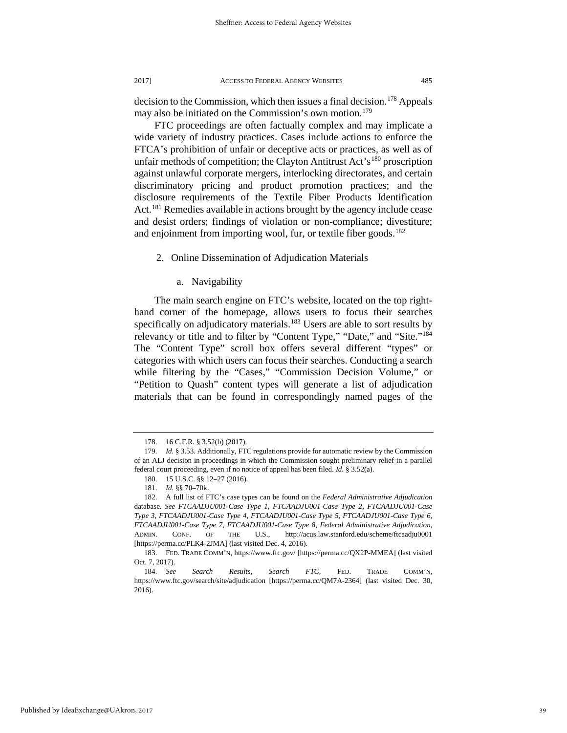decision to the Commission, which then issues a final decision.<sup>178</sup> Appeals may also be initiated on the Commission's own motion.<sup>[179](#page-39-1)</sup>

FTC proceedings are often factually complex and may implicate a wide variety of industry practices. Cases include actions to enforce the FTCA's prohibition of unfair or deceptive acts or practices, as well as of unfair methods of competition; the Clayton Antitrust Act's<sup>[180](#page-39-2)</sup> proscription against unlawful corporate mergers, interlocking directorates, and certain discriminatory pricing and product promotion practices; and the disclosure requirements of the Textile Fiber Products Identification Act.<sup>[181](#page-39-3)</sup> Remedies available in actions brought by the agency include cease and desist orders; findings of violation or non-compliance; divestiture; and enjoinment from importing wool, fur, or textile fiber goods.<sup>[182](#page-39-4)</sup>

2. Online Dissemination of Adjudication Materials

a. Navigability

The main search engine on FTC's website, located on the top righthand corner of the homepage, allows users to focus their searches specifically on adjudicatory materials.<sup>[183](#page-39-5)</sup> Users are able to sort results by relevancy or title and to filter by "Content Type," "Date," and "Site."<sup>184</sup> The "Content Type" scroll box offers several different "types" or categories with which users can focus their searches. Conducting a search while filtering by the "Cases," "Commission Decision Volume," or "Petition to Quash" content types will generate a list of adjudication materials that can be found in correspondingly named pages of the

<sup>178. 16</sup> C.F.R. § 3.52(b) (2017).

<span id="page-39-1"></span><span id="page-39-0"></span><sup>179.</sup> *Id.* § 3.53. Additionally, FTC regulations provide for automatic review by the Commission of an ALJ decision in proceedings in which the Commission sought preliminary relief in a parallel federal court proceeding, even if no notice of appeal has been filed. *Id.* § 3.52(a).

<sup>180. 15</sup> U.S.C. §§ 12–27 (2016).

<sup>181.</sup> *Id.* §§ 70–70k.

<span id="page-39-4"></span><span id="page-39-3"></span><span id="page-39-2"></span><sup>182.</sup> A full list of FTC's case types can be found on the *Federal Administrative Adjudication* database. *See FTCAADJU001-Case Type 1*, *FTCAADJU001-Case Type 2*, *FTCAADJU001-Case Type 3*, *FTCAADJU001-Case Type 4*, *FTCAADJU001-Case Type 5*, *FTCAADJU001-Case Type 6*, *FTCAADJU001-Case Type 7*, *FTCAADJU001-Case Type 8, Federal Administrative Adjudication*, ADMIN. CONF. OF THE U.S., http://acus.law.stanford.edu/scheme/ftcaadju0001 [https://perma.cc/PLK4-2JMA] (last visited Dec. 4, 2016).

<span id="page-39-5"></span><sup>183.</sup> FED. TRADE COMM'N, https://www.ftc.gov/ [https://perma.cc/QX2P-MMEA] (last visited Oct. 7, 2017).

<span id="page-39-6"></span><sup>184.</sup> *See Search Results*, *Search FTC*, FED. TRADE COMM'N, https://www.ftc.gov/search/site/adjudication [https://perma.cc/QM7A-2364] (last visited Dec. 30, 2016).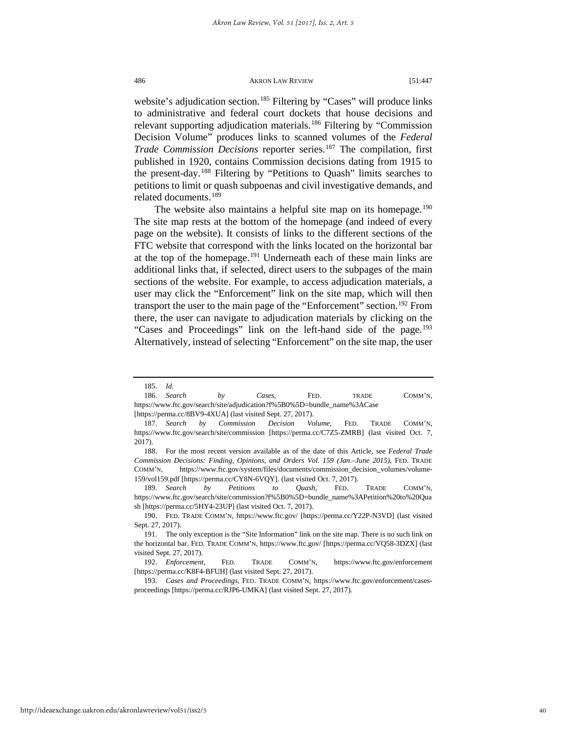website's adjudication section.<sup>[185](#page-40-0)</sup> Filtering by "Cases" will produce links to administrative and federal court dockets that house decisions and relevant supporting adjudication materials.<sup>[186](#page-40-1)</sup> Filtering by "Commission" Decision Volume" produces links to scanned volumes of the *Federal Trade Commission Decisions* reporter series.<sup>[187](#page-40-2)</sup> The compilation, first published in 1920, contains Commission decisions dating from 1915 to the present-day.[188](#page-40-3) Filtering by "Petitions to Quash" limits searches to petitions to limit or quash subpoenas and civil investigative demands, and related documents.[189](#page-40-4)

The website also maintains a helpful site map on its homepage.<sup>[190](#page-40-5)</sup> The site map rests at the bottom of the homepage (and indeed of every page on the website). It consists of links to the different sections of the FTC website that correspond with the links located on the horizontal bar at the top of the homepage.<sup>191</sup> Underneath each of these main links are additional links that, if selected, direct users to the subpages of the main sections of the website. For example, to access adjudication materials, a user may click the "Enforcement" link on the site map, which will then transport the user to the main page of the "Enforcement" section.<sup>[192](#page-40-7)</sup> From there, the user can navigate to adjudication materials by clicking on the "Cases and Proceedings" link on the left-hand side of the page.<sup>[193](#page-40-8)</sup> Alternatively, instead of selecting "Enforcement" on the site map, the user

<sup>185.</sup> *Id.*

<span id="page-40-1"></span><span id="page-40-0"></span><sup>186.</sup> *Search by Cases*, FED. TRADE COMM'N, https://www.ftc.gov/search/site/adjudication?f%5B0%5D=bundle\_name%3ACase [https://perma.cc/8BV9-4XUA] (last visited Sept. 27, 2017).

<span id="page-40-2"></span><sup>187.</sup> *Search by Commission Decision Volume*, FED. TRADE COMM'N, https://www.ftc.gov/search/site/commission [https://perma.cc/C7Z5-ZMRB] (last visited Oct. 7, 2017).

<span id="page-40-3"></span><sup>188.</sup> For the most recent version available as of the date of this Article, see *Federal Trade Commission Decisions: Finding, Opinions, and Orders Vol. 159 (Jan.–June 2015),* FED. TRADE COMM'N, https://www.ftc.gov/system/files/documents/commission\_decision\_volumes/volume-159/vol159.pdf [https://perma.cc/CY8N-6VQY]. (last visited Oct. 7, 2017).

<span id="page-40-4"></span><sup>189.</sup> *Search by Petitions to Quash*, FED. TRADE COMM'N, https://www.ftc.gov/search/site/commission?f%5B0%5D=bundle\_name%3APetition%20to%20Qua sh [https://perma.cc/5HY4-23UP] (last visited Oct. 7, 2017).

<span id="page-40-5"></span><sup>190.</sup> FED. TRADE COMM'N, https://www.ftc.gov/ [https://perma.cc/Y22P-N3VD] (last visited Sept. 27, 2017).

<span id="page-40-6"></span><sup>191.</sup> The only exception is the "Site Information" link on the site map. There is no such link on the horizontal bar. FED. TRADE COMM'N, https://www.ftc.gov/ [https://perma.cc/VQ58-3DZX] (last visited Sept. 27, 2017).

<span id="page-40-7"></span><sup>192.</sup> *Enforcement,* FED. TRADE COMM'N, https://www.ftc.gov/enforcement [https://perma.cc/K8F4-BFUH] (last visited Sept. 27, 2017).

<span id="page-40-8"></span><sup>193.</sup> *Cases and Proceedings,* FED. TRADE COMM'N, https://www.ftc.gov/enforcement/casesproceedings [https://perma.cc/RJP6-UMKA] (last visited Sept. 27, 2017).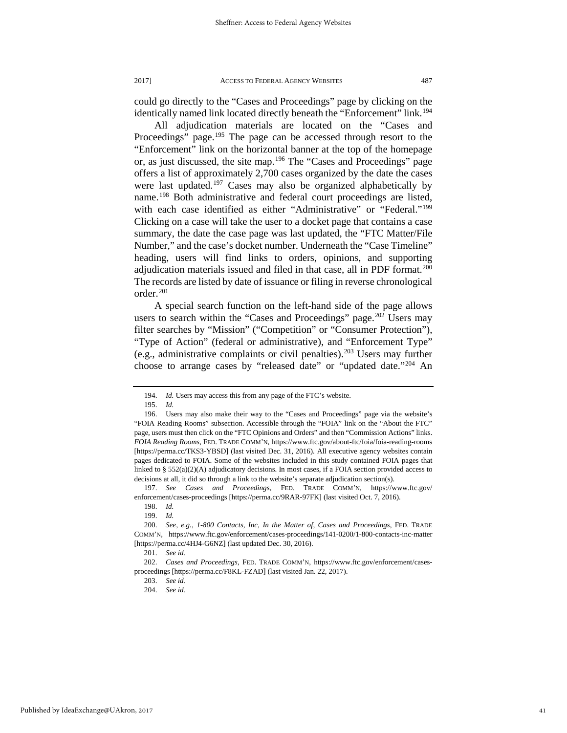could go directly to the "Cases and Proceedings" page by clicking on the identically named link located directly beneath the "Enforcement" link.<sup>194</sup>

All adjudication materials are located on the "Cases and Proceedings" page.<sup>[195](#page-41-1)</sup> The page can be accessed through resort to the "Enforcement" link on the horizontal banner at the top of the homepage or, as just discussed, the site map.[196](#page-41-2) The "Cases and Proceedings" page offers a list of approximately 2,700 cases organized by the date the cases were last updated.<sup>[197](#page-41-3)</sup> Cases may also be organized alphabetically by name.[198](#page-41-4) Both administrative and federal court proceedings are listed, with each case identified as either "Administrative" or "Federal."<sup>199</sup> Clicking on a case will take the user to a docket page that contains a case summary, the date the case page was last updated, the "FTC Matter/File Number," and the case's docket number. Underneath the "Case Timeline" heading, users will find links to orders, opinions, and supporting adjudication materials issued and filed in that case, all in PDF format.<sup>200</sup> The records are listed by date of issuance or filing in reverse chronological order[.201](#page-41-7)

A special search function on the left-hand side of the page allows users to search within the "Cases and Proceedings" page.<sup>[202](#page-41-8)</sup> Users may filter searches by "Mission" ("Competition" or "Consumer Protection"), "Type of Action" (federal or administrative), and "Enforcement Type" (e.g., administrative complaints or civil penalties).<sup>[203](#page-41-9)</sup> Users may further choose to arrange cases by "released date" or "updated date."<sup>[204](#page-41-10)</sup> An

<sup>194.</sup> *Id.* Users may access this from any page of the FTC's website.

<sup>195.</sup> *Id.* 

<span id="page-41-2"></span><span id="page-41-1"></span><span id="page-41-0"></span><sup>196.</sup> Users may also make their way to the "Cases and Proceedings" page via the website's "FOIA Reading Rooms" subsection. Accessible through the "FOIA" link on the "About the FTC" page, users must then click on the "FTC Opinions and Orders" and then "Commission Actions" links. *FOIA Reading Rooms*, FED. TRADE COMM'N, https://www.ftc.gov/about-ftc/foia/foia-reading-rooms [https://perma.cc/TKS3-YBSD] (last visited Dec. 31, 2016). All executive agency websites contain pages dedicated to FOIA. Some of the websites included in this study contained FOIA pages that linked to § 552(a)(2)(A) adjudicatory decisions. In most cases, if a FOIA section provided access to decisions at all, it did so through a link to the website's separate adjudication section(s).

<span id="page-41-4"></span><span id="page-41-3"></span><sup>197.</sup> *See Cases and Proceedings*, FED. TRADE COMM'N, https://www.ftc.gov/ enforcement/cases-proceedings [https://perma.cc/9RAR-97FK] (last visited Oct. 7, 2016).

<sup>198.</sup> *Id.*

<sup>199.</sup> *Id.*

<span id="page-41-6"></span><span id="page-41-5"></span><sup>200.</sup> *See, e.g.*, *1-800 Contacts, Inc, In the Matter of*, *Cases and Proceedings*, FED. TRADE COMM'N, https://www.ftc.gov/enforcement/cases-proceedings/141-0200/1-800-contacts-inc-matter [https://perma.cc/4HJ4-G6NZ] (last updated Dec. 30, 2016).

<sup>201.</sup> *See id.*

<span id="page-41-10"></span><span id="page-41-9"></span><span id="page-41-8"></span><span id="page-41-7"></span><sup>202.</sup> *Cases and Proceedings*, FED. TRADE COMM'N, https://www.ftc.gov/enforcement/casesproceedings [https://perma.cc/F8KL-FZAD] (last visited Jan. 22, 2017).

<sup>203.</sup> *See id.*

<sup>204.</sup> *See id.*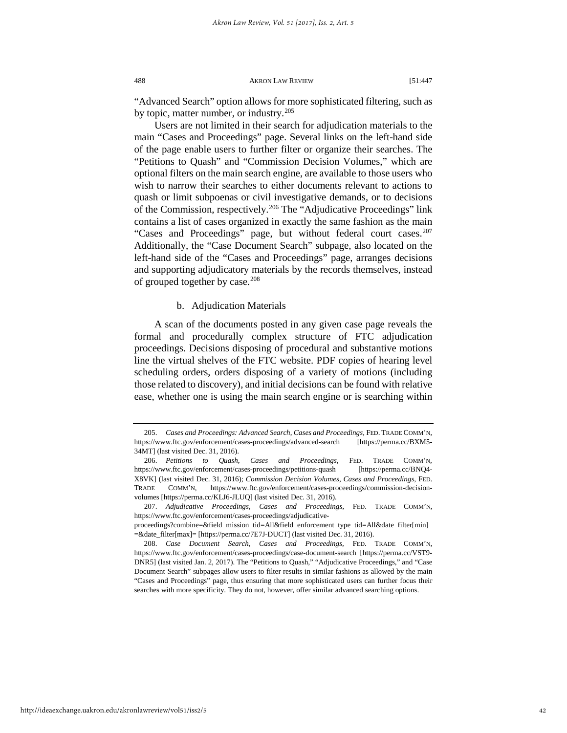"Advanced Search" option allows for more sophisticated filtering, such as by topic, matter number, or industry.<sup>[205](#page-42-0)</sup>

Users are not limited in their search for adjudication materials to the main "Cases and Proceedings" page. Several links on the left-hand side of the page enable users to further filter or organize their searches. The "Petitions to Quash" and "Commission Decision Volumes," which are optional filters on the main search engine, are available to those users who wish to narrow their searches to either documents relevant to actions to quash or limit subpoenas or civil investigative demands, or to decisions of the Commission, respectively.[206](#page-42-1) The "Adjudicative Proceedings" link contains a list of cases organized in exactly the same fashion as the main "Cases and Proceedings" page, but without federal court cases.<sup>207</sup> Additionally, the "Case Document Search" subpage, also located on the left-hand side of the "Cases and Proceedings" page, arranges decisions and supporting adjudicatory materials by the records themselves, instead of grouped together by case.<sup>[208](#page-42-3)</sup>

b. Adjudication Materials

A scan of the documents posted in any given case page reveals the formal and procedurally complex structure of FTC adjudication proceedings. Decisions disposing of procedural and substantive motions line the virtual shelves of the FTC website. PDF copies of hearing level scheduling orders, orders disposing of a variety of motions (including those related to discovery), and initial decisions can be found with relative ease, whether one is using the main search engine or is searching within

<span id="page-42-0"></span><sup>205.</sup> *Cases and Proceedings: Advanced Search*, *Cases and Proceedings*, FED. TRADE COMM'N, https://www.ftc.gov/enforcement/cases-proceedings/advanced-search [https://perma.cc/BXM5- 34MT] (last visited Dec. 31, 2016).

<span id="page-42-1"></span><sup>206.</sup> *Petitions to Quash*, *Cases and Proceedings*, FED. TRADE COMM'N, https://www.ftc.gov/enforcement/cases-proceedings/petitions-quash [https://perma.cc/BNQ4- X8VK] (last visited Dec. 31, 2016); *Commission Decision Volumes*, *Cases and Proceedings*, FED. TRADE COMM'N, https://www.ftc.gov/enforcement/cases-proceedings/commission-decisionvolumes [https://perma.cc/KLJ6-JLUQ] (last visited Dec. 31, 2016).

<span id="page-42-2"></span><sup>207.</sup> *Adjudicative Proceedings*, *Cases and Proceedings*, FED. TRADE COMM'N, https://www.ftc.gov/enforcement/cases-proceedings/adjudicative-

proceedings?combine=&field\_mission\_tid=All&field\_enforcement\_type\_tid=All&date\_filter[min] =&date\_filter[max]= [https://perma.cc/7E7J-DUCT] (last visited Dec. 31, 2016).

<span id="page-42-3"></span><sup>208.</sup> *Case Document Search*, *Cases and Proceedings*, FED. TRADE COMM'N, https://www.ftc.gov/enforcement/cases-proceedings/case-document-search [https://perma.cc/VST9- DNR5] (last visited Jan. 2, 2017). The "Petitions to Quash," "Adjudicative Proceedings," and "Case Document Search" subpages allow users to filter results in similar fashions as allowed by the main "Cases and Proceedings" page, thus ensuring that more sophisticated users can further focus their searches with more specificity. They do not, however, offer similar advanced searching options.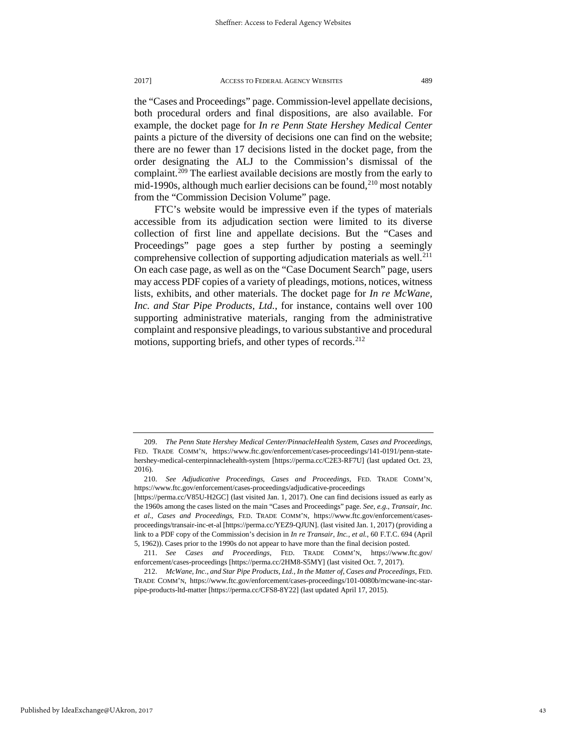the "Cases and Proceedings" page. Commission-level appellate decisions, both procedural orders and final dispositions, are also available. For example, the docket page for *In re Penn State Hershey Medical Center* paints a picture of the diversity of decisions one can find on the website; there are no fewer than 17 decisions listed in the docket page, from the order designating the ALJ to the Commission's dismissal of the complaint.[209](#page-43-0) The earliest available decisions are mostly from the early to mid-1990s, although much earlier decisions can be found,  $2^{10}$  most notably from the "Commission Decision Volume" page.

FTC's website would be impressive even if the types of materials accessible from its adjudication section were limited to its diverse collection of first line and appellate decisions. But the "Cases and Proceedings" page goes a step further by posting a seemingly comprehensive collection of supporting adjudication materials as well.<sup>211</sup> On each case page, as well as on the "Case Document Search" page, users may access PDF copies of a variety of pleadings, motions, notices, witness lists, exhibits, and other materials. The docket page for *In re McWane, Inc. and Star Pipe Products, Ltd.*, for instance, contains well over 100 supporting administrative materials, ranging from the administrative complaint and responsive pleadings, to various substantive and procedural motions, supporting briefs, and other types of records.<sup>[212](#page-43-3)</sup>

<span id="page-43-0"></span><sup>209.</sup> *The Penn State Hershey Medical Center/PinnacleHealth System*, *Cases and Proceedings*, FED. TRADE COMM'N, https://www.ftc.gov/enforcement/cases-proceedings/141-0191/penn-statehershey-medical-centerpinnaclehealth-system [https://perma.cc/C2E3-RF7U] (last updated Oct. 23, 2016).

<span id="page-43-1"></span><sup>210.</sup> *See Adjudicative Proceedings*, *Cases and Proceedings*, FED. TRADE COMM'N, https://www.ftc.gov/enforcement/cases-proceedings/adjudicative-proceedings [https://perma.cc/V85U-H2GC] (last visited Jan. 1, 2017). One can find decisions issued as early as

the 1960s among the cases listed on the main "Cases and Proceedings" page. *See, e.g.*, *Transair, Inc. et al.*, *Cases and Proceedings*, FED. TRADE COMM'N, https://www.ftc.gov/enforcement/casesproceedings/transair-inc-et-al [https://perma.cc/YEZ9-QJUN]. (last visited Jan. 1, 2017) (providing a link to a PDF copy of the Commission's decision in *In re Transair, Inc., et al.*, 60 F.T.C. 694 (April 5, 1962)). Cases prior to the 1990s do not appear to have more than the final decision posted.

<span id="page-43-2"></span><sup>211.</sup> *See Cases and Proceedings*, FED. TRADE COMM'N, https://www.ftc.gov/ enforcement/cases-proceedings [https://perma.cc/2HM8-S5MY] (last visited Oct. 7, 2017).

<span id="page-43-3"></span><sup>212.</sup> *McWane, Inc., and Star Pipe Products, Ltd., In the Matter of*, *Cases and Proceedings*, FED. TRADE COMM'N, https://www.ftc.gov/enforcement/cases-proceedings/101-0080b/mcwane-inc-starpipe-products-ltd-matter [https://perma.cc/CFS8-8Y22] (last updated April 17, 2015).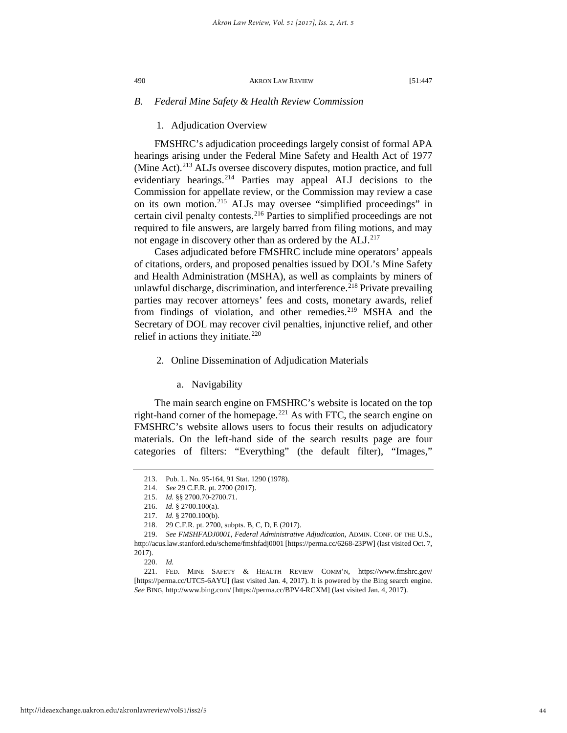## *B. Federal Mine Safety & Health Review Commission*

## 1. Adjudication Overview

FMSHRC's adjudication proceedings largely consist of formal APA hearings arising under the Federal Mine Safety and Health Act of 1977 (Mine Act).<sup>[213](#page-44-0)</sup> ALJs oversee discovery disputes, motion practice, and full evidentiary hearings.<sup>[214](#page-44-1)</sup> Parties may appeal ALJ decisions to the Commission for appellate review, or the Commission may review a case on its own motion.[215](#page-44-2) ALJs may oversee "simplified proceedings" in certain civil penalty contests.<sup>[216](#page-44-3)</sup> Parties to simplified proceedings are not required to file answers, are largely barred from filing motions, and may not engage in discovery other than as ordered by the ALJ.<sup>[217](#page-44-4)</sup>

Cases adjudicated before FMSHRC include mine operators' appeals of citations, orders, and proposed penalties issued by DOL's Mine Safety and Health Administration (MSHA), as well as complaints by miners of unlawful discharge, discrimination, and interference.<sup>[218](#page-44-5)</sup> Private prevailing parties may recover attorneys' fees and costs, monetary awards, relief from findings of violation, and other remedies.<sup>[219](#page-44-6)</sup> MSHA and the Secretary of DOL may recover civil penalties, injunctive relief, and other relief in actions they initiate. $220$ 

## 2. Online Dissemination of Adjudication Materials

#### a. Navigability

The main search engine on FMSHRC's website is located on the top right-hand corner of the homepage.[221](#page-44-8) As with FTC, the search engine on FMSHRC's website allows users to focus their results on adjudicatory materials. On the left-hand side of the search results page are four categories of filters: "Everything" (the default filter), "Images,"

<span id="page-44-0"></span><sup>213.</sup> Pub. L. No. 95-164, 91 Stat. 1290 (1978).

<sup>214.</sup> *See* 29 C.F.R. pt. 2700 (2017).

<sup>215.</sup> *Id.* §§ 2700.70-2700.71.

<sup>216.</sup> *Id.* § 2700.100(a).

<sup>217.</sup> *Id.* § 2700.100(b).

<sup>218. 29</sup> C.F.R. pt. 2700, subpts. B, C, D, E (2017).

<span id="page-44-6"></span><span id="page-44-5"></span><span id="page-44-4"></span><span id="page-44-3"></span><span id="page-44-2"></span><span id="page-44-1"></span><sup>219.</sup> *See FMSHFADJ0001*, *Federal Administrative Adjudication*, ADMIN. CONF. OF THE U.S., http://acus.law.stanford.edu/scheme/fmshfadj0001 [https://perma.cc/6268-23PW] (last visited Oct. 7, 2017).

<sup>220.</sup> *Id.*

<span id="page-44-8"></span><span id="page-44-7"></span><sup>221.</sup> FED. MINE SAFETY & HEALTH REVIEW COMM'N, https://www.fmshrc.gov/ [https://perma.cc/UTC5-6AYU] (last visited Jan. 4, 2017). It is powered by the Bing search engine. *See* BING, http://www.bing.com/ [https://perma.cc/BPV4-RCXM] (last visited Jan. 4, 2017).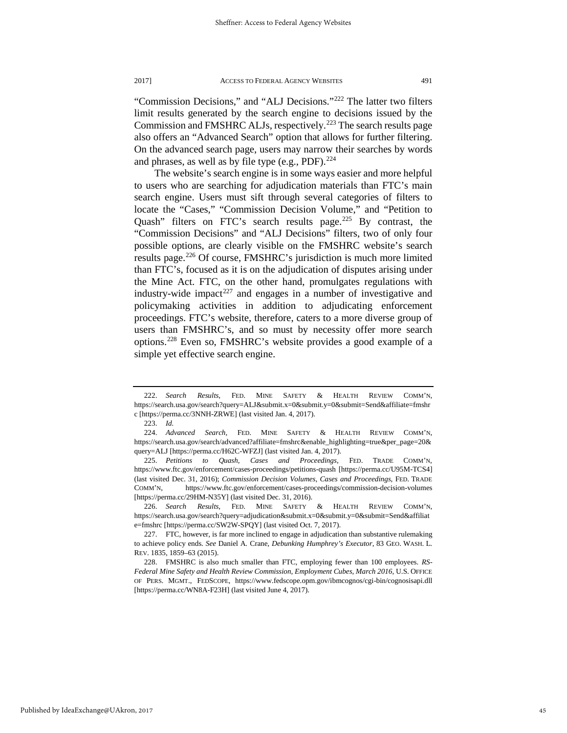"Commission Decisions," and "ALJ Decisions."[222](#page-45-0) The latter two filters limit results generated by the search engine to decisions issued by the Commission and FMSHRC ALJs, respectively.<sup>[223](#page-45-1)</sup> The search results page also offers an "Advanced Search" option that allows for further filtering. On the advanced search page, users may narrow their searches by words and phrases, as well as by file type (e.g., PDF). $^{224}$  $^{224}$  $^{224}$ 

The website's search engine is in some ways easier and more helpful to users who are searching for adjudication materials than FTC's main search engine. Users must sift through several categories of filters to locate the "Cases," "Commission Decision Volume," and "Petition to Quash" filters on FTC's search results page.<sup>[225](#page-45-3)</sup> By contrast, the "Commission Decisions" and "ALJ Decisions" filters, two of only four possible options, are clearly visible on the FMSHRC website's search results page.[226](#page-45-4) Of course, FMSHRC's jurisdiction is much more limited than FTC's, focused as it is on the adjudication of disputes arising under the Mine Act. FTC, on the other hand, promulgates regulations with industry-wide impact<sup>[227](#page-45-5)</sup> and engages in a number of investigative and policymaking activities in addition to adjudicating enforcement proceedings. FTC's website, therefore, caters to a more diverse group of users than FMSHRC's, and so must by necessity offer more search options.[228](#page-45-6) Even so, FMSHRC's website provides a good example of a simple yet effective search engine.

<span id="page-45-4"></span>226. *Search Results*, FED. MINE SAFETY & HEALTH REVIEW COMM'N, https://search.usa.gov/search?query=adjudication&submit.x=0&submit.y=0&submit=Send&affiliat e=fmshrc [https://perma.cc/SW2W-SPQY] (last visited Oct. 7, 2017).

<span id="page-45-0"></span><sup>222.</sup> *Search Results*, FED. MINE SAFETY & HEALTH REVIEW COMM'N, https://search.usa.gov/search?query=ALJ&submit.x=0&submit.y=0&submit=Send&affiliate=fmshr c [https://perma.cc/3NNH-ZRWE] (last visited Jan. 4, 2017).

<sup>223.</sup> *Id.* 

<span id="page-45-2"></span><span id="page-45-1"></span><sup>224.</sup> *Advanced Search*, FED. MINE SAFETY & HEALTH REVIEW COMM'N, https://search.usa.gov/search/advanced?affiliate=fmshrc&enable\_highlighting=true&per\_page=20& query=ALJ [https://perma.cc/H62C-WFZJ] (last visited Jan. 4, 2017).

<span id="page-45-3"></span><sup>225.</sup> *Petitions to Quash*, *Cases and Proceedings*, FED. TRADE COMM'N, https://www.ftc.gov/enforcement/cases-proceedings/petitions-quash [https://perma.cc/U95M-TCS4] (last visited Dec. 31, 2016); *Commission Decision Volumes*, *Cases and Proceedings*, FED. TRADE COMM'N, https://www.ftc.gov/enforcement/cases-proceedings/commission-decision-volumes [https://perma.cc/29HM-N35Y] (last visited Dec. 31, 2016).

<span id="page-45-5"></span><sup>227.</sup> FTC, however, is far more inclined to engage in adjudication than substantive rulemaking to achieve policy ends. *See* Daniel A. Crane, *Debunking Humphrey's Executor*, 83 GEO. WASH. L. REV. 1835, 1859–63 (2015).

<span id="page-45-6"></span><sup>228.</sup> FMSHRC is also much smaller than FTC, employing fewer than 100 employees. *RS-Federal Mine Safety and Health Review Commission*, *Employment Cubes*, *March 2016*, U.S. OFFICE OF PERS. MGMT., FEDSCOPE, https://www.fedscope.opm.gov/ibmcognos/cgi-bin/cognosisapi.dll [https://perma.cc/WN8A-F23H] (last visited June 4, 2017).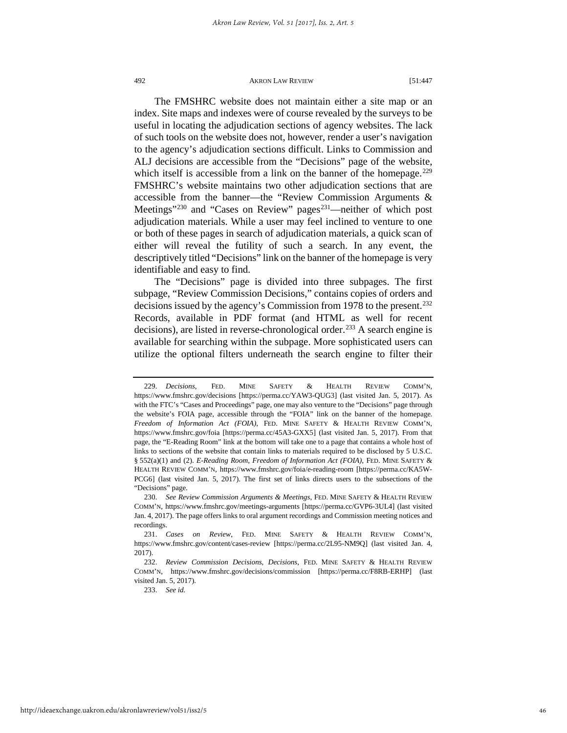The FMSHRC website does not maintain either a site map or an index. Site maps and indexes were of course revealed by the surveys to be useful in locating the adjudication sections of agency websites. The lack of such tools on the website does not, however, render a user's navigation to the agency's adjudication sections difficult. Links to Commission and ALJ decisions are accessible from the "Decisions" page of the website, which itself is accessible from a link on the banner of the homepage.<sup>[229](#page-46-0)</sup> FMSHRC's website maintains two other adjudication sections that are accessible from the banner—the "Review Commission Arguments & Meetings"<sup>[230](#page-46-1)</sup> and "Cases on Review" pages<sup>[231](#page-46-2)</sup>—neither of which post adjudication materials. While a user may feel inclined to venture to one or both of these pages in search of adjudication materials, a quick scan of either will reveal the futility of such a search. In any event, the descriptively titled "Decisions" link on the banner of the homepage is very identifiable and easy to find.

The "Decisions" page is divided into three subpages. The first subpage, "Review Commission Decisions," contains copies of orders and decisions issued by the agency's Commission from 1978 to the present.<sup>232</sup> Records, available in PDF format (and HTML as well for recent decisions), are listed in reverse-chronological order.<sup>[233](#page-46-4)</sup> A search engine is available for searching within the subpage. More sophisticated users can utilize the optional filters underneath the search engine to filter their

233. *See id.*

<span id="page-46-0"></span><sup>229.</sup> *Decisions*, FED. MINE SAFETY & HEALTH REVIEW COMM'N, https://www.fmshrc.gov/decisions [https://perma.cc/YAW3-QUG3] (last visited Jan. 5, 2017). As with the FTC's "Cases and Proceedings" page, one may also venture to the "Decisions" page through the website's FOIA page, accessible through the "FOIA" link on the banner of the homepage. *Freedom of Information Act (FOIA)*, FED. MINE SAFETY & HEALTH REVIEW COMM'N, https://www.fmshrc.gov/foia [https://perma.cc/45A3-GXX5] (last visited Jan. 5, 2017). From that page, the "E-Reading Room" link at the bottom will take one to a page that contains a whole host of links to sections of the website that contain links to materials required to be disclosed by 5 U.S.C. § 552(a)(1) and (2). *E-Reading Room*, *Freedom of Information Act (FOIA)*, FED. MINE SAFETY & HEALTH REVIEW COMM'N, https://www.fmshrc.gov/foia/e-reading-room [https://perma.cc/KA5W-PCG6] (last visited Jan. 5, 2017). The first set of links directs users to the subsections of the "Decisions" page.

<span id="page-46-1"></span><sup>230.</sup> *See Review Commission Arguments & Meetings*, FED. MINE SAFETY & HEALTH REVIEW COMM'N, https://www.fmshrc.gov/meetings-arguments [https://perma.cc/GVP6-3UL4] (last visited Jan. 4, 2017). The page offers links to oral argument recordings and Commission meeting notices and recordings.

<span id="page-46-2"></span><sup>231.</sup> *Cases on Review*, FED. MINE SAFETY & HEALTH REVIEW COMM'N, https://www.fmshrc.gov/content/cases-review [https://perma.cc/2L95-NM9Q] (last visited Jan. 4, 2017).

<span id="page-46-4"></span><span id="page-46-3"></span><sup>232.</sup> *Review Commission Decisions*, *Decisions*, FED. MINE SAFETY & HEALTH REVIEW COMM'N, https://www.fmshrc.gov/decisions/commission [https://perma.cc/F8RB-ERHP] (last visited Jan. 5, 2017).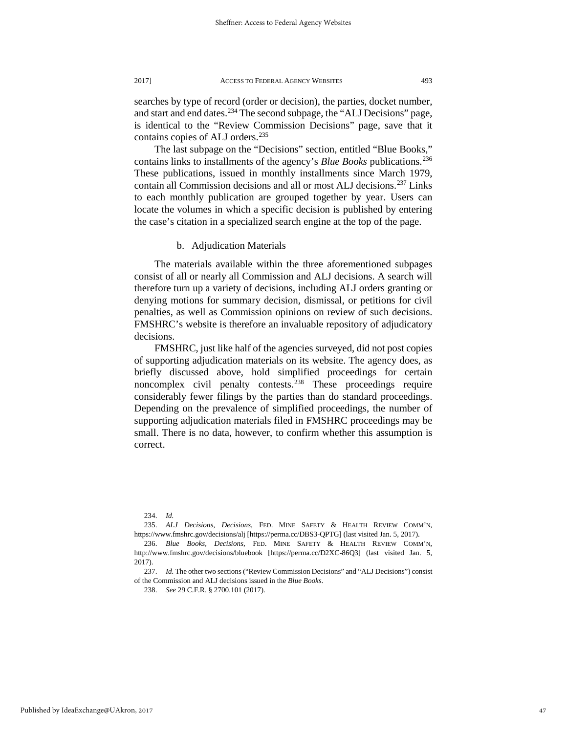searches by type of record (order or decision), the parties, docket number, and start and end dates.<sup>[234](#page-47-0)</sup> The second subpage, the "ALJ Decisions" page, is identical to the "Review Commission Decisions" page, save that it contains copies of ALJ orders.<sup>[235](#page-47-1)</sup>

The last subpage on the "Decisions" section, entitled "Blue Books," contains links to installments of the agency's *Blue Books* publications[.236](#page-47-2) These publications, issued in monthly installments since March 1979, contain all Commission decisions and all or most ALJ decisions.[237](#page-47-3) Links to each monthly publication are grouped together by year. Users can locate the volumes in which a specific decision is published by entering the case's citation in a specialized search engine at the top of the page.

b. Adjudication Materials

The materials available within the three aforementioned subpages consist of all or nearly all Commission and ALJ decisions. A search will therefore turn up a variety of decisions, including ALJ orders granting or denying motions for summary decision, dismissal, or petitions for civil penalties, as well as Commission opinions on review of such decisions. FMSHRC's website is therefore an invaluable repository of adjudicatory decisions.

FMSHRC, just like half of the agencies surveyed, did not post copies of supporting adjudication materials on its website. The agency does, as briefly discussed above, hold simplified proceedings for certain noncomplex civil penalty contests.<sup>[238](#page-47-4)</sup> These proceedings require considerably fewer filings by the parties than do standard proceedings. Depending on the prevalence of simplified proceedings, the number of supporting adjudication materials filed in FMSHRC proceedings may be small. There is no data, however, to confirm whether this assumption is correct.

238. *See* 29 C.F.R. § 2700.101 (2017).

<sup>234.</sup> *Id.*

<span id="page-47-1"></span><span id="page-47-0"></span><sup>235.</sup> *ALJ Decisions*, *Decisions*, FED. MINE SAFETY & HEALTH REVIEW COMM'N, https://www.fmshrc.gov/decisions/alj [https://perma.cc/DBS3-QPTG] (last visited Jan. 5, 2017).

<span id="page-47-2"></span><sup>236.</sup> *Blue Books*, *Decisions*, FED. MINE SAFETY & HEALTH REVIEW COMM'N, http://www.fmshrc.gov/decisions/bluebook [https://perma.cc/D2XC-86Q3] (last visited Jan. 5, 2017).

<span id="page-47-4"></span><span id="page-47-3"></span><sup>237.</sup> *Id.* The other two sections ("Review Commission Decisions" and "ALJ Decisions") consist of the Commission and ALJ decisions issued in the *Blue Books*.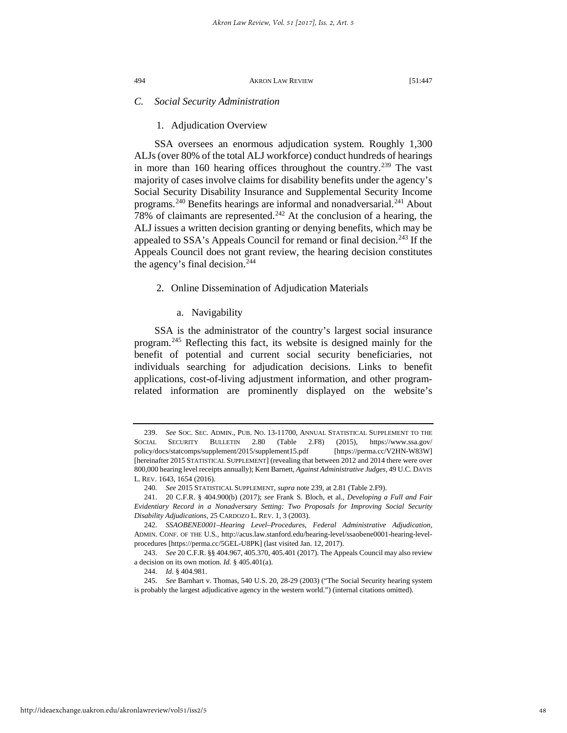## *C. Social Security Administration*

1. Adjudication Overview

SSA oversees an enormous adjudication system. Roughly 1,300 ALJs (over 80% of the total ALJ workforce) conduct hundreds of hearings in more than 160 hearing offices throughout the country.<sup>[239](#page-48-0)</sup> The vast majority of cases involve claims for disability benefits under the agency's Social Security Disability Insurance and Supplemental Security Income programs.<sup>[240](#page-48-1)</sup> Benefits hearings are informal and nonadversarial.<sup>[241](#page-48-2)</sup> About 78% of claimants are represented.<sup>242</sup> At the conclusion of a hearing, the ALJ issues a written decision granting or denying benefits, which may be appealed to SSA's Appeals Council for remand or final decision.<sup>[243](#page-48-4)</sup> If the Appeals Council does not grant review, the hearing decision constitutes the agency's final decision. $244$ 

- 2. Online Dissemination of Adjudication Materials
	- a. Navigability

SSA is the administrator of the country's largest social insurance program.[245](#page-48-6) Reflecting this fact, its website is designed mainly for the benefit of potential and current social security beneficiaries, not individuals searching for adjudication decisions. Links to benefit applications, cost-of-living adjustment information, and other programrelated information are prominently displayed on the website's

<span id="page-48-0"></span><sup>239.</sup> *See* SOC. SEC. ADMIN., PUB. NO. 13-11700, ANNUAL STATISTICAL SUPPLEMENT TO THE SOCIAL SECURITY BULLETIN 2.80 (Table 2.F8) (2015), https://www.ssa.gov/ policy/docs/statcomps/supplement/2015/supplement15.pdf [https://perma.cc/V2HN-W83W] [hereinafter 2015 STATISTICAL SUPPLEMENT] (revealing that between 2012 and 2014 there were over 800,000 hearing level receipts annually); Kent Barnett, *Against Administrative Judges*, 49 U.C. DAVIS L. REV. 1643, 1654 (2016).

<sup>240</sup>*. See* 2015 STATISTICAL SUPPLEMENT, *supra* note 239, at 2.81 (Table 2.F9).

<span id="page-48-2"></span><span id="page-48-1"></span><sup>241. 20</sup> C.F.R. § 404.900(b) (2017); *see* Frank S. Bloch, et al., *Developing a Full and Fair Evidentiary Record in a Nonadversary Setting: Two Proposals for Improving Social Security Disability Adjudications*, 25 CARDOZO L. REV. 1, 3 (2003).

<span id="page-48-3"></span><sup>242.</sup> *SSAOBENE0001–Hearing Level–Procedures*, *Federal Administrative Adjudication*, ADMIN. CONF. OF THE U.S., http://acus.law.stanford.edu/hearing-level/ssaobene0001-hearing-levelprocedures [https://perma.cc/5GEL-U8PK] (last visited Jan. 12, 2017).

<span id="page-48-4"></span><sup>243.</sup> *See* 20 C.F.R. §§ 404.967, 405.370, 405.401 (2017). The Appeals Council may also review a decision on its own motion. *Id.* § 405.401(a).

<sup>244.</sup> *Id.* § 404.981.

<span id="page-48-6"></span><span id="page-48-5"></span><sup>245.</sup> *See* Barnhart v. Thomas, 540 U.S. 20, 28-29 (2003) ("The Social Security hearing system is probably the largest adjudicative agency in the western world.") (internal citations omitted).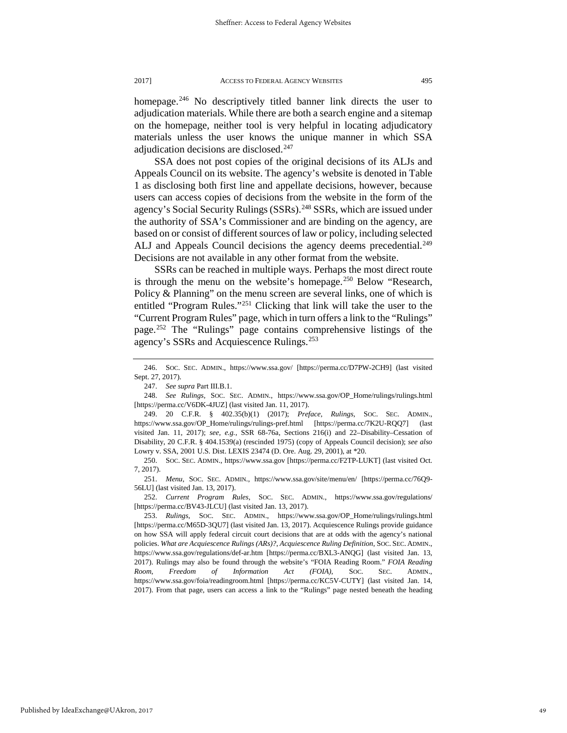homepage.<sup>[246](#page-49-0)</sup> No descriptively titled banner link directs the user to adjudication materials. While there are both a search engine and a sitemap on the homepage, neither tool is very helpful in locating adjudicatory materials unless the user knows the unique manner in which SSA adjudication decisions are disclosed.<sup>[247](#page-49-1)</sup>

SSA does not post copies of the original decisions of its ALJs and Appeals Council on its website. The agency's website is denoted in Table 1 as disclosing both first line and appellate decisions, however, because users can access copies of decisions from the website in the form of the agency's Social Security Rulings (SSRs).<sup>[248](#page-49-2)</sup> SSRs, which are issued under the authority of SSA's Commissioner and are binding on the agency, are based on or consist of different sources of law or policy, including selected ALJ and Appeals Council decisions the agency deems precedential.<sup>249</sup> Decisions are not available in any other format from the website.

SSRs can be reached in multiple ways. Perhaps the most direct route is through the menu on the website's homepage.<sup>[250](#page-49-4)</sup> Below "Research, Policy & Planning" on the menu screen are several links, one of which is entitled "Program Rules."<sup>251</sup> Clicking that link will take the user to the "Current Program Rules" page, which in turn offers a link to the "Rulings" page.[252](#page-49-6) The "Rulings" page contains comprehensive listings of the agency's SSRs and Acquiescence Rulings.<sup>[253](#page-49-7)</sup>

<span id="page-49-6"></span>252. *Current Program Rules*, SOC. SEC. ADMIN., https://www.ssa.gov/regulations/ [https://perma.cc/BV43-JLCU] (last visited Jan. 13, 2017).

<span id="page-49-7"></span>253. *Rulings*, SOC. SEC. ADMIN., https://www.ssa.gov/OP\_Home/rulings/rulings.html [https://perma.cc/M65D-3QU7] (last visited Jan. 13, 2017). Acquiescence Rulings provide guidance on how SSA will apply federal circuit court decisions that are at odds with the agency's national policies. *What are Acquiescence Rulings (ARs)?*, *Acquiescence Ruling Definition*, SOC. SEC. ADMIN., https://www.ssa.gov/regulations/def-ar.htm [https://perma.cc/BXL3-ANQG] (last visited Jan. 13, 2017). Rulings may also be found through the website's "FOIA Reading Room." *FOIA Reading Room*, *Freedom of Information Act (FOIA)*, SOC. SEC. ADMIN., https://www.ssa.gov/foia/readingroom.html [https://perma.cc/KC5V-CUTY] (last visited Jan. 14, 2017). From that page, users can access a link to the "Rulings" page nested beneath the heading

<span id="page-49-0"></span><sup>246.</sup> SOC. SEC. ADMIN., https://www.ssa.gov/ [https://perma.cc/D7PW-2CH9] (last visited Sept. 27, 2017).

<sup>247.</sup> *See supra* Part III.B.1.

<span id="page-49-2"></span><span id="page-49-1"></span><sup>248.</sup> *See Rulings*, SOC. SEC. ADMIN., https://www.ssa.gov/OP\_Home/rulings/rulings.html [https://perma.cc/V6DK-4JUZ] (last visited Jan. 11, 2017).

<span id="page-49-3"></span><sup>249. 20</sup> C.F.R. § 402.35(b)(1) (2017); *Preface*, *Rulings*, SOC. SEC. ADMIN., https://www.ssa.gov/OP\_Home/rulings/rulings-pref.html [https://perma.cc/7K2U-RQQ7] (last visited Jan. 11, 2017); *see, e.g.*, SSR 68-76a, Sections 216(i) and 22–Disability–Cessation of Disability, 20 C.F.R. § 404.1539(a) (rescinded 1975) (copy of Appeals Council decision); *see also* Lowry v. SSA, 2001 U.S. Dist. LEXIS 23474 (D. Ore. Aug. 29, 2001), at \*20.

<span id="page-49-4"></span><sup>250.</sup> SOC. SEC. ADMIN., https://www.ssa.gov [https://perma.cc/F2TP-LUKT] (last visited Oct. 7, 2017).

<span id="page-49-5"></span><sup>251.</sup> *Menu*, SOC. SEC. ADMIN., https://www.ssa.gov/site/menu/en/ [https://perma.cc/76Q9- 56LU] (last visited Jan. 13, 2017).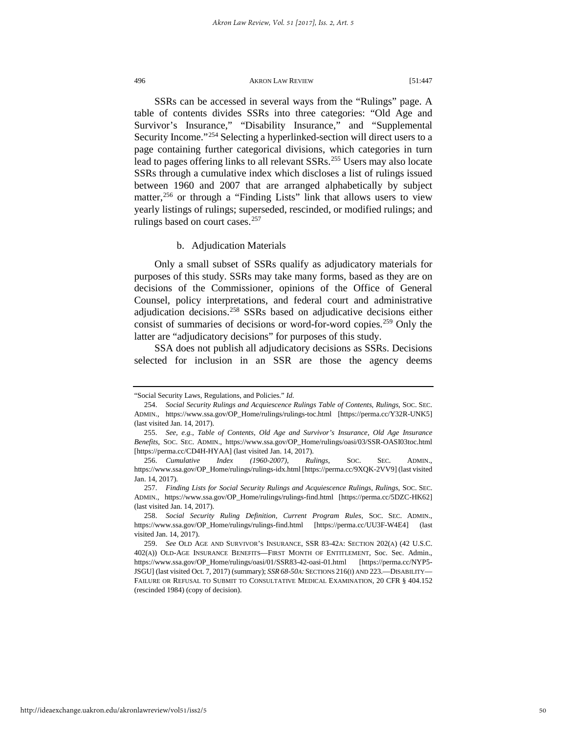SSRs can be accessed in several ways from the "Rulings" page. A table of contents divides SSRs into three categories: "Old Age and Survivor's Insurance," "Disability Insurance," and "Supplemental Security Income."<sup>[254](#page-50-0)</sup> Selecting a hyperlinked-section will direct users to a page containing further categorical divisions, which categories in turn lead to pages offering links to all relevant SSRs.<sup>[255](#page-50-1)</sup> Users may also locate SSRs through a cumulative index which discloses a list of rulings issued between 1960 and 2007 that are arranged alphabetically by subject matter,<sup>[256](#page-50-2)</sup> or through a "Finding Lists" link that allows users to view yearly listings of rulings; superseded, rescinded, or modified rulings; and rulings based on court cases.<sup>[257](#page-50-3)</sup>

#### b. Adjudication Materials

Only a small subset of SSRs qualify as adjudicatory materials for purposes of this study. SSRs may take many forms, based as they are on decisions of the Commissioner, opinions of the Office of General Counsel, policy interpretations, and federal court and administrative adjudication decisions.[258](#page-50-4) SSRs based on adjudicative decisions either consist of summaries of decisions or word-for-word copies.<sup>[259](#page-50-5)</sup> Only the latter are "adjudicatory decisions" for purposes of this study.

SSA does not publish all adjudicatory decisions as SSRs. Decisions selected for inclusion in an SSR are those the agency deems

<span id="page-50-0"></span><sup>&</sup>quot;Social Security Laws, Regulations, and Policies." *Id.*

<sup>254.</sup> *Social Security Rulings and Acquiescence Rulings Table of Contents*, *Rulings*, SOC. SEC. ADMIN., https://www.ssa.gov/OP\_Home/rulings/rulings-toc.html [https://perma.cc/Y32R-UNK5] (last visited Jan. 14, 2017).

<span id="page-50-1"></span><sup>255.</sup> *See, e.g.*, *Table of Contents*, *Old Age and Survivor's Insurance*, *Old Age Insurance Benefits*, SOC. SEC. ADMIN., https://www.ssa.gov/OP\_Home/rulings/oasi/03/SSR-OASI03toc.html [https://perma.cc/CD4H-HYAA] (last visited Jan. 14, 2017).

<span id="page-50-2"></span><sup>256.</sup> *Cumulative Index (1960-2007)*, *Rulings*, SOC. SEC. ADMIN., https://www.ssa.gov/OP\_Home/rulings/rulings-idx.html [https://perma.cc/9XQK-2VV9] (last visited Jan. 14, 2017).

<span id="page-50-3"></span><sup>257.</sup> *Finding Lists for Social Security Rulings and Acquiescence Rulings*, *Rulings*, SOC. SEC. ADMIN., https://www.ssa.gov/OP\_Home/rulings/rulings-find.html [https://perma.cc/5DZC-HK62] (last visited Jan. 14, 2017).

<span id="page-50-4"></span><sup>258.</sup> *Social Security Ruling Definition*, *Current Program Rules*, SOC. SEC. ADMIN., https://www.ssa.gov/OP\_Home/rulings/rulings-find.html [https://perma.cc/UU3F-W4E4] (last visited Jan. 14, 2017).

<span id="page-50-5"></span><sup>259.</sup> *See* OLD AGE AND SURVIVOR'S INSURANCE, SSR 83-42A: SECTION 202(A) (42 U.S.C. 402(A)) OLD-AGE INSURANCE BENEFITS—FIRST MONTH OF ENTITLEMENT, Soc. Sec. Admin., https://www.ssa.gov/OP\_Home/rulings/oasi/01/SSR83-42-oasi-01.html [https://perma.cc/NYP5- JSGU] (last visited Oct. 7, 2017) (summary); *SSR68-50A:* SECTIONS 216(I) AND 223.—DISABILITY— FAILURE OR REFUSAL TO SUBMIT TO CONSULTATIVE MEDICAL EXAMINATION, 20 CFR § 404.152 (rescinded 1984) (copy of decision).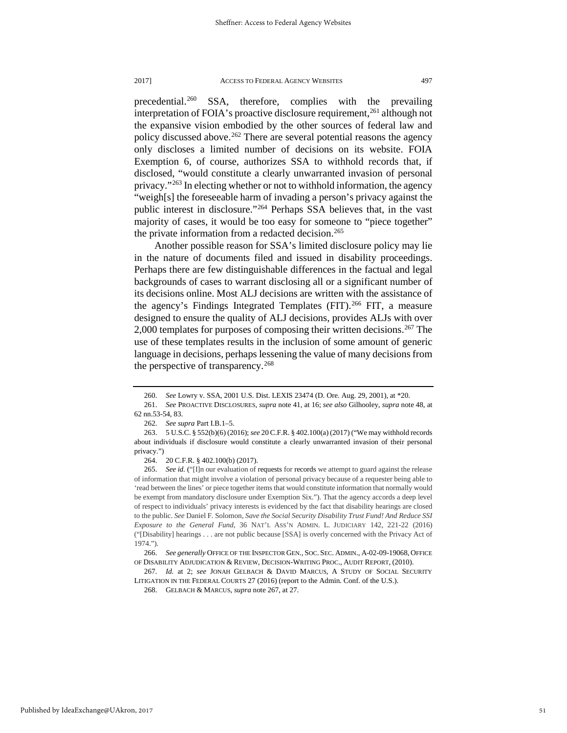precedential.<sup>[260](#page-51-0)</sup> SSA, therefore, complies with the prevailing interpretation of FOIA's proactive disclosure requirement,<sup>[261](#page-51-1)</sup> although not the expansive vision embodied by the other sources of federal law and policy discussed above.<sup>[262](#page-51-2)</sup> There are several potential reasons the agency only discloses a limited number of decisions on its website. FOIA Exemption 6, of course, authorizes SSA to withhold records that, if disclosed, "would constitute a clearly unwarranted invasion of personal privacy."[263](#page-51-3) In electing whether or not to withhold information, the agency "weigh[s] the foreseeable harm of invading a person's privacy against the public interest in disclosure."[264](#page-51-4) Perhaps SSA believes that, in the vast majority of cases, it would be too easy for someone to "piece together" the private information from a redacted decision.<sup>[265](#page-51-5)</sup>

Another possible reason for SSA's limited disclosure policy may lie in the nature of documents filed and issued in disability proceedings. Perhaps there are few distinguishable differences in the factual and legal backgrounds of cases to warrant disclosing all or a significant number of its decisions online. Most ALJ decisions are written with the assistance of the agency's Findings Integrated Templates (FIT).<sup>[266](#page-51-6)</sup> FIT, a measure designed to ensure the quality of ALJ decisions, provides ALJs with over 2,000 templates for purposes of composing their written decisions.<sup>[267](#page-51-7)</sup> The use of these templates results in the inclusion of some amount of generic language in decisions, perhaps lessening the value of many decisions from the perspective of transparency.<sup>[268](#page-51-8)</sup>

<sup>260.</sup> *See* Lowry v. SSA, 2001 U.S. Dist. LEXIS 23474 (D. Ore. Aug. 29, 2001), at \*20.

<span id="page-51-1"></span><span id="page-51-0"></span><sup>261.</sup> *See* PROACTIVE DISCLOSURES, *supra* note 41, at 16; *see also* Gilhooley, *supra* note 48, at 62 nn.53-54, 83.

<sup>262.</sup> *See supra* Part I.B.1–5.

<span id="page-51-3"></span><span id="page-51-2"></span><sup>263. 5</sup> U.S.C. § 552(b)(6) (2016); *see* 20 C.F.R. § 402.100(a) (2017) ("We may withhold records about individuals if disclosure would constitute a clearly unwarranted invasion of their personal privacy.")

<sup>264. 20</sup> C.F.R. § 402.100(b) (2017).

<span id="page-51-5"></span><span id="page-51-4"></span><sup>265.</sup> *See id.* ("[I]n our evaluation of requests for records we attempt to guard against the release of information that might involve a violation of personal privacy because of a requester being able to 'read between the lines' or piece together items that would constitute information that normally would be exempt from mandatory disclosure under Exemption Six."). That the agency accords a deep level of respect to individuals' privacy interests is evidenced by the fact that disability hearings are closed to the public. *See* Daniel F. Solomon, *Save the Social Security Disability Trust Fund! And Reduce SSI Exposure to the General Fund*, 36 NAT'L ASS'N ADMIN. L. JUDICIARY 142, 221-22 (2016) ("[Disability] hearings . . . are not public because [SSA] is overly concerned with the Privacy Act of 1974.").

<span id="page-51-6"></span><sup>266.</sup> *See generally* OFFICE OF THE INSPECTOR GEN., SOC. SEC. ADMIN., A-02-09-19068, OFFICE OF DISABILITY ADJUDICATION & REVIEW, DECISION-WRITING PROC., AUDIT REPORT, (2010).

<span id="page-51-8"></span><span id="page-51-7"></span><sup>267</sup>*. Id.* at 2; *see* JONAH GELBACH & DAVID MARCUS, A STUDY OF SOCIAL SECURITY LITIGATION IN THE FEDERAL COURTS 27 (2016) (report to the Admin. Conf. of the U.S.).

<sup>268.</sup> GELBACH & MARCUS, *supra* note 267, at 27.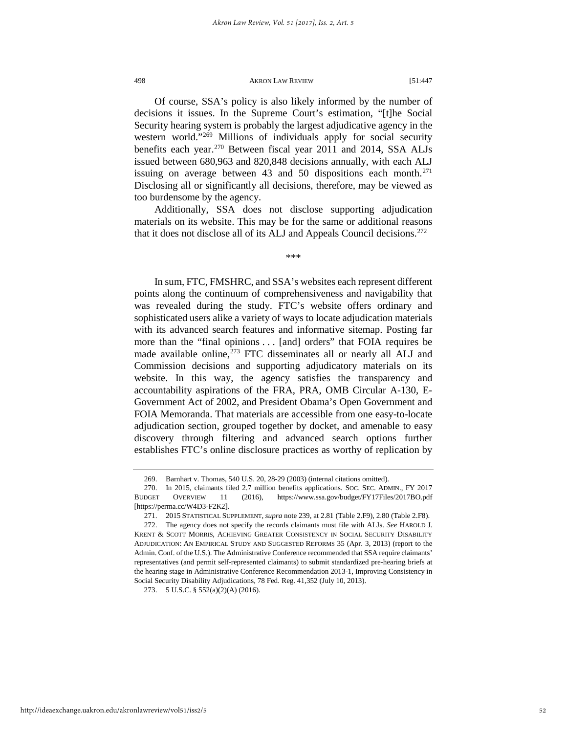Of course, SSA's policy is also likely informed by the number of decisions it issues. In the Supreme Court's estimation, "[t]he Social Security hearing system is probably the largest adjudicative agency in the western world."<sup>[269](#page-52-0)</sup> Millions of individuals apply for social security benefits each year.<sup>270</sup> Between fiscal year 2011 and 2014, SSA ALJs issued between 680,963 and 820,848 decisions annually, with each ALJ issuing on average between 43 and 50 dispositions each month.<sup>[271](#page-52-2)</sup> Disclosing all or significantly all decisions, therefore, may be viewed as too burdensome by the agency.

Additionally, SSA does not disclose supporting adjudication materials on its website. This may be for the same or additional reasons that it does not disclose all of its ALJ and Appeals Council decisions.<sup>[272](#page-52-3)</sup>

\*\*\*

In sum, FTC, FMSHRC, and SSA's websites each represent different points along the continuum of comprehensiveness and navigability that was revealed during the study. FTC's website offers ordinary and sophisticated users alike a variety of ways to locate adjudication materials with its advanced search features and informative sitemap. Posting far more than the "final opinions . . . [and] orders" that FOIA requires be made available online,<sup>[273](#page-52-4)</sup> FTC disseminates all or nearly all ALJ and Commission decisions and supporting adjudicatory materials on its website. In this way, the agency satisfies the transparency and accountability aspirations of the FRA, PRA, OMB Circular A-130, E-Government Act of 2002, and President Obama's Open Government and FOIA Memoranda. That materials are accessible from one easy-to-locate adjudication section, grouped together by docket, and amenable to easy discovery through filtering and advanced search options further establishes FTC's online disclosure practices as worthy of replication by

<span id="page-52-4"></span>273. 5 U.S.C. § 552(a)(2)(A) (2016).

<sup>269.</sup> Barnhart v. Thomas, 540 U.S. 20, 28-29 (2003) (internal citations omitted).

<span id="page-52-1"></span><span id="page-52-0"></span><sup>270.</sup> In 2015, claimants filed 2.7 million benefits applications. SOC. SEC. ADMIN., FY 2017 BUDGET OVERVIEW 11 (2016), https://www.ssa.gov/budget/FY17Files/2017BO.pdf [https://perma.cc/W4D3-F2K2].

<sup>271. 2015</sup> STATISTICAL SUPPLEMENT, *supra* note 239, at 2.81 (Table 2.F9), 2.80 (Table 2.F8).

<span id="page-52-3"></span><span id="page-52-2"></span><sup>272.</sup> The agency does not specify the records claimants must file with ALJs. *See* HAROLD J. KRENT & SCOTT MORRIS, ACHIEVING GREATER CONSISTENCY IN SOCIAL SECURITY DISABILITY ADJUDICATION: AN EMPIRICAL STUDY AND SUGGESTED REFORMS 35 (Apr. 3, 2013) (report to the Admin. Conf. of the U.S.). The Administrative Conference recommended that SSA require claimants' representatives (and permit self-represented claimants) to submit standardized pre-hearing briefs at the hearing stage in Administrative Conference Recommendation 2013-1, Improving Consistency in Social Security Disability Adjudications, 78 Fed. Reg. 41,352 (July 10, 2013).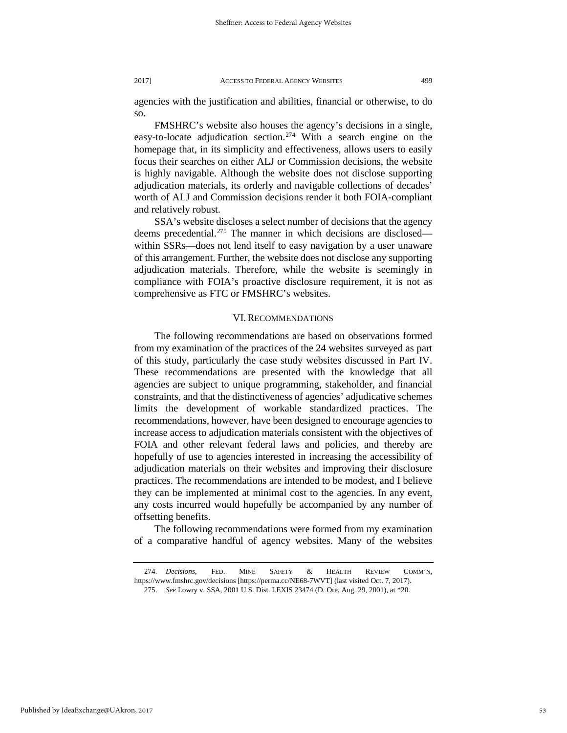agencies with the justification and abilities, financial or otherwise, to do so.

FMSHRC's website also houses the agency's decisions in a single, easy-to-locate adjudication section.<sup>[274](#page-53-0)</sup> With a search engine on the homepage that, in its simplicity and effectiveness, allows users to easily focus their searches on either ALJ or Commission decisions, the website is highly navigable. Although the website does not disclose supporting adjudication materials, its orderly and navigable collections of decades' worth of ALJ and Commission decisions render it both FOIA-compliant and relatively robust.

SSA's website discloses a select number of decisions that the agency deems precedential.<sup>275</sup> The manner in which decisions are disclosed within SSRs—does not lend itself to easy navigation by a user unaware of this arrangement. Further, the website does not disclose any supporting adjudication materials. Therefore, while the website is seemingly in compliance with FOIA's proactive disclosure requirement, it is not as comprehensive as FTC or FMSHRC's websites.

#### VI. RECOMMENDATIONS

The following recommendations are based on observations formed from my examination of the practices of the 24 websites surveyed as part of this study, particularly the case study websites discussed in Part IV. These recommendations are presented with the knowledge that all agencies are subject to unique programming, stakeholder, and financial constraints, and that the distinctiveness of agencies' adjudicative schemes limits the development of workable standardized practices. The recommendations, however, have been designed to encourage agencies to increase access to adjudication materials consistent with the objectives of FOIA and other relevant federal laws and policies, and thereby are hopefully of use to agencies interested in increasing the accessibility of adjudication materials on their websites and improving their disclosure practices. The recommendations are intended to be modest, and I believe they can be implemented at minimal cost to the agencies. In any event, any costs incurred would hopefully be accompanied by any number of offsetting benefits.

The following recommendations were formed from my examination of a comparative handful of agency websites. Many of the websites

<span id="page-53-1"></span><span id="page-53-0"></span><sup>274.</sup> *Decisions*, FED. MINE SAFETY & HEALTH REVIEW COMM'N, https://www.fmshrc.gov/decisions [https://perma.cc/NE68-7WVT] (last visited Oct. 7, 2017).

<sup>275.</sup> *See* Lowry v. SSA, 2001 U.S. Dist. LEXIS 23474 (D. Ore. Aug. 29, 2001), at \*20.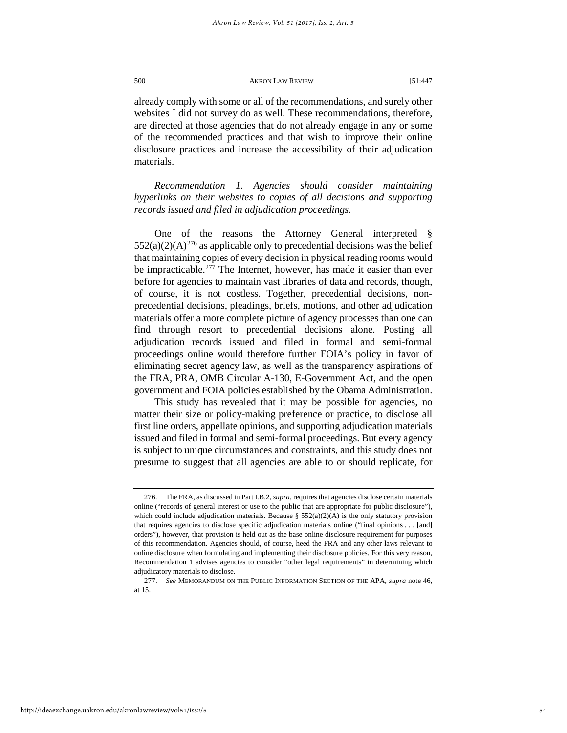already comply with some or all of the recommendations, and surely other websites I did not survey do as well. These recommendations, therefore, are directed at those agencies that do not already engage in any or some of the recommended practices and that wish to improve their online disclosure practices and increase the accessibility of their adjudication materials.

*Recommendation 1. Agencies should consider maintaining hyperlinks on their websites to copies of all decisions and supporting records issued and filed in adjudication proceedings.*

One of the reasons the Attorney General interpreted §  $552(a)(2)(A)^{276}$  $552(a)(2)(A)^{276}$  $552(a)(2)(A)^{276}$  as applicable only to precedential decisions was the belief that maintaining copies of every decision in physical reading rooms would be impracticable.<sup>[277](#page-54-1)</sup> The Internet, however, has made it easier than ever before for agencies to maintain vast libraries of data and records, though, of course, it is not costless. Together, precedential decisions, nonprecedential decisions, pleadings, briefs, motions, and other adjudication materials offer a more complete picture of agency processes than one can find through resort to precedential decisions alone. Posting all adjudication records issued and filed in formal and semi-formal proceedings online would therefore further FOIA's policy in favor of eliminating secret agency law, as well as the transparency aspirations of the FRA, PRA, OMB Circular A-130, E-Government Act, and the open government and FOIA policies established by the Obama Administration.

This study has revealed that it may be possible for agencies, no matter their size or policy-making preference or practice, to disclose all first line orders, appellate opinions, and supporting adjudication materials issued and filed in formal and semi-formal proceedings. But every agency is subject to unique circumstances and constraints, and this study does not presume to suggest that all agencies are able to or should replicate, for

<span id="page-54-0"></span><sup>276.</sup> The FRA, as discussed in Part I.B.2, *supra*, requires that agencies disclose certain materials online ("records of general interest or use to the public that are appropriate for public disclosure"), which could include adjudication materials. Because §  $552(a)(2)(A)$  is the only statutory provision that requires agencies to disclose specific adjudication materials online ("final opinions . . . [and] orders"), however, that provision is held out as the base online disclosure requirement for purposes of this recommendation. Agencies should, of course, heed the FRA and any other laws relevant to online disclosure when formulating and implementing their disclosure policies. For this very reason, Recommendation 1 advises agencies to consider "other legal requirements" in determining which adjudicatory materials to disclose.

<span id="page-54-1"></span><sup>277.</sup> *See* MEMORANDUM ON THE PUBLIC INFORMATION SECTION OF THE APA, *supra* note 46, at 15.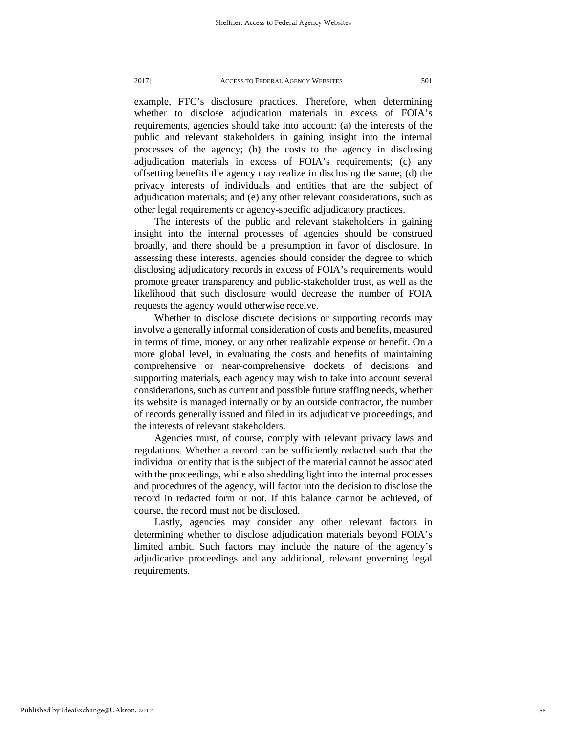example, FTC's disclosure practices. Therefore, when determining whether to disclose adjudication materials in excess of FOIA's requirements, agencies should take into account: (a) the interests of the public and relevant stakeholders in gaining insight into the internal processes of the agency; (b) the costs to the agency in disclosing adjudication materials in excess of FOIA's requirements; (c) any offsetting benefits the agency may realize in disclosing the same; (d) the privacy interests of individuals and entities that are the subject of adjudication materials; and (e) any other relevant considerations, such as other legal requirements or agency-specific adjudicatory practices.

The interests of the public and relevant stakeholders in gaining insight into the internal processes of agencies should be construed broadly, and there should be a presumption in favor of disclosure. In assessing these interests, agencies should consider the degree to which disclosing adjudicatory records in excess of FOIA's requirements would promote greater transparency and public-stakeholder trust, as well as the likelihood that such disclosure would decrease the number of FOIA requests the agency would otherwise receive.

Whether to disclose discrete decisions or supporting records may involve a generally informal consideration of costs and benefits, measured in terms of time, money, or any other realizable expense or benefit. On a more global level, in evaluating the costs and benefits of maintaining comprehensive or near-comprehensive dockets of decisions and supporting materials, each agency may wish to take into account several considerations, such as current and possible future staffing needs, whether its website is managed internally or by an outside contractor, the number of records generally issued and filed in its adjudicative proceedings, and the interests of relevant stakeholders.

Agencies must, of course, comply with relevant privacy laws and regulations. Whether a record can be sufficiently redacted such that the individual or entity that is the subject of the material cannot be associated with the proceedings, while also shedding light into the internal processes and procedures of the agency, will factor into the decision to disclose the record in redacted form or not. If this balance cannot be achieved, of course, the record must not be disclosed.

Lastly, agencies may consider any other relevant factors in determining whether to disclose adjudication materials beyond FOIA's limited ambit. Such factors may include the nature of the agency's adjudicative proceedings and any additional, relevant governing legal requirements.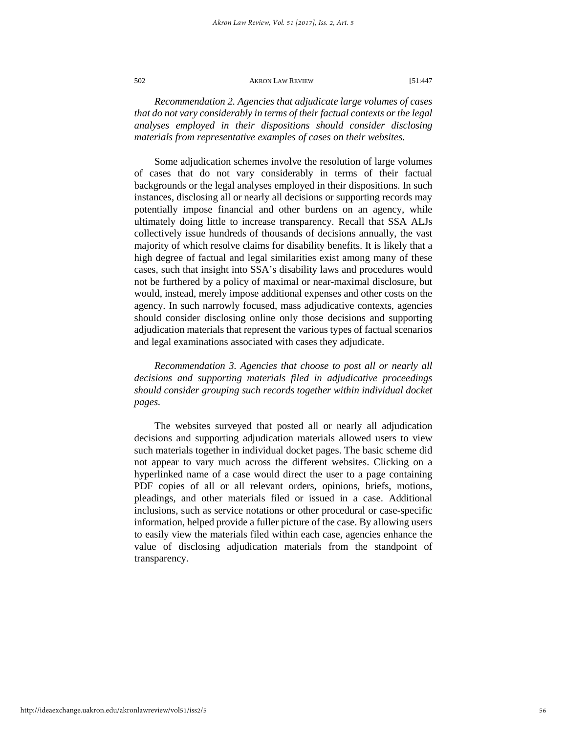*Recommendation 2. Agencies that adjudicate large volumes of cases that do not vary considerably in terms of their factual contexts or the legal analyses employed in their dispositions should consider disclosing materials from representative examples of cases on their websites.*

Some adjudication schemes involve the resolution of large volumes of cases that do not vary considerably in terms of their factual backgrounds or the legal analyses employed in their dispositions. In such instances, disclosing all or nearly all decisions or supporting records may potentially impose financial and other burdens on an agency, while ultimately doing little to increase transparency. Recall that SSA ALJs collectively issue hundreds of thousands of decisions annually, the vast majority of which resolve claims for disability benefits. It is likely that a high degree of factual and legal similarities exist among many of these cases, such that insight into SSA's disability laws and procedures would not be furthered by a policy of maximal or near-maximal disclosure, but would, instead, merely impose additional expenses and other costs on the agency. In such narrowly focused, mass adjudicative contexts, agencies should consider disclosing online only those decisions and supporting adjudication materials that represent the various types of factual scenarios and legal examinations associated with cases they adjudicate.

*Recommendation 3. Agencies that choose to post all or nearly all decisions and supporting materials filed in adjudicative proceedings should consider grouping such records together within individual docket pages.* 

The websites surveyed that posted all or nearly all adjudication decisions and supporting adjudication materials allowed users to view such materials together in individual docket pages. The basic scheme did not appear to vary much across the different websites. Clicking on a hyperlinked name of a case would direct the user to a page containing PDF copies of all or all relevant orders, opinions, briefs, motions, pleadings, and other materials filed or issued in a case. Additional inclusions, such as service notations or other procedural or case-specific information, helped provide a fuller picture of the case. By allowing users to easily view the materials filed within each case, agencies enhance the value of disclosing adjudication materials from the standpoint of transparency.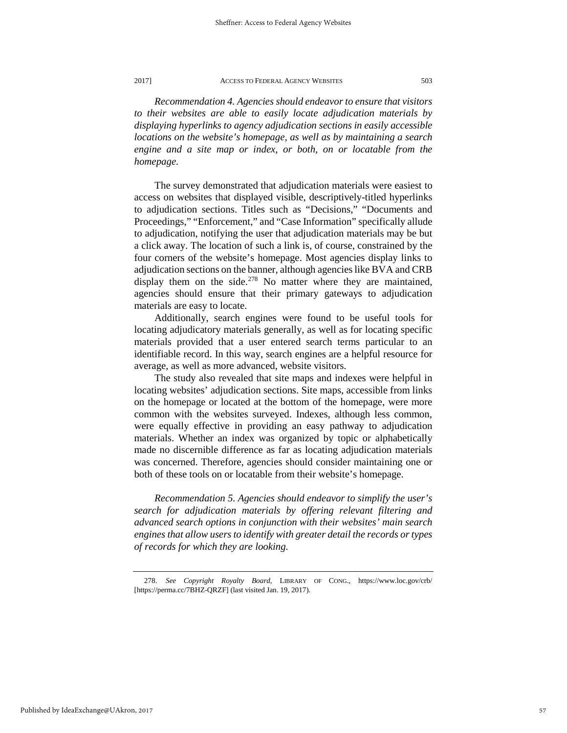*Recommendation 4. Agencies should endeavor to ensure that visitors to their websites are able to easily locate adjudication materials by displaying hyperlinks to agency adjudication sections in easily accessible locations on the website's homepage, as well as by maintaining a search engine and a site map or index, or both, on or locatable from the homepage.* 

The survey demonstrated that adjudication materials were easiest to access on websites that displayed visible, descriptively-titled hyperlinks to adjudication sections. Titles such as "Decisions," "Documents and Proceedings," "Enforcement," and "Case Information" specifically allude to adjudication, notifying the user that adjudication materials may be but a click away. The location of such a link is, of course, constrained by the four corners of the website's homepage. Most agencies display links to adjudication sections on the banner, although agencies like BVA and CRB display them on the side.<sup>[278](#page-57-0)</sup> No matter where they are maintained, agencies should ensure that their primary gateways to adjudication materials are easy to locate.

Additionally, search engines were found to be useful tools for locating adjudicatory materials generally, as well as for locating specific materials provided that a user entered search terms particular to an identifiable record. In this way, search engines are a helpful resource for average, as well as more advanced, website visitors.

The study also revealed that site maps and indexes were helpful in locating websites' adjudication sections. Site maps, accessible from links on the homepage or located at the bottom of the homepage, were more common with the websites surveyed. Indexes, although less common, were equally effective in providing an easy pathway to adjudication materials. Whether an index was organized by topic or alphabetically made no discernible difference as far as locating adjudication materials was concerned. Therefore, agencies should consider maintaining one or both of these tools on or locatable from their website's homepage.

*Recommendation 5. Agencies should endeavor to simplify the user's search for adjudication materials by offering relevant filtering and advanced search options in conjunction with their websites' main search engines that allow users to identify with greater detail the records or types of records for which they are looking.*

<span id="page-57-0"></span><sup>278.</sup> *See Copyright Royalty Board*, LIBRARY OF CONG., https://www.loc.gov/crb/ [https://perma.cc/7BHZ-QRZF] (last visited Jan. 19, 2017).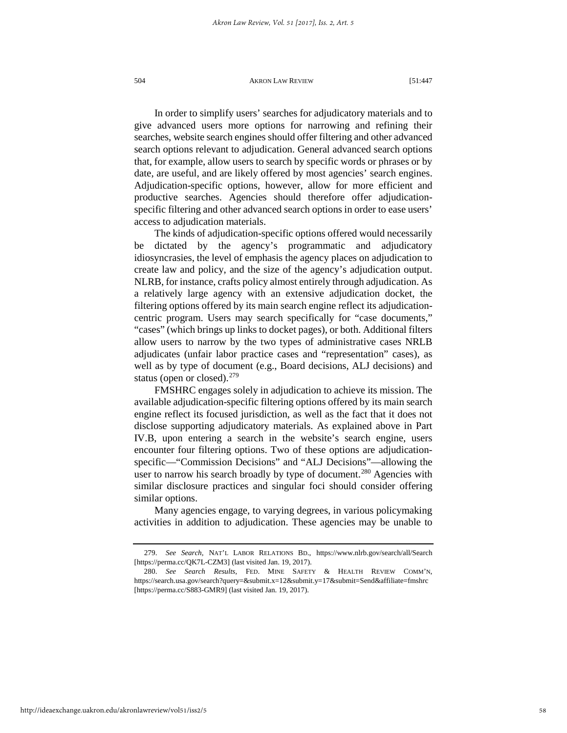In order to simplify users' searches for adjudicatory materials and to give advanced users more options for narrowing and refining their searches, website search engines should offer filtering and other advanced search options relevant to adjudication. General advanced search options that, for example, allow users to search by specific words or phrases or by date, are useful, and are likely offered by most agencies' search engines. Adjudication-specific options, however, allow for more efficient and productive searches. Agencies should therefore offer adjudicationspecific filtering and other advanced search options in order to ease users' access to adjudication materials.

The kinds of adjudication-specific options offered would necessarily be dictated by the agency's programmatic and adjudicatory idiosyncrasies, the level of emphasis the agency places on adjudication to create law and policy, and the size of the agency's adjudication output. NLRB, for instance, crafts policy almost entirely through adjudication. As a relatively large agency with an extensive adjudication docket, the filtering options offered by its main search engine reflect its adjudicationcentric program. Users may search specifically for "case documents," "cases" (which brings up links to docket pages), or both. Additional filters allow users to narrow by the two types of administrative cases NRLB adjudicates (unfair labor practice cases and "representation" cases), as well as by type of document (e.g., Board decisions, ALJ decisions) and status (open or closed). $279$ 

FMSHRC engages solely in adjudication to achieve its mission. The available adjudication-specific filtering options offered by its main search engine reflect its focused jurisdiction, as well as the fact that it does not disclose supporting adjudicatory materials. As explained above in Part IV.B, upon entering a search in the website's search engine, users encounter four filtering options. Two of these options are adjudicationspecific—"Commission Decisions" and "ALJ Decisions"—allowing the user to narrow his search broadly by type of document.<sup>[280](#page-58-1)</sup> Agencies with similar disclosure practices and singular foci should consider offering similar options.

Many agencies engage, to varying degrees, in various policymaking activities in addition to adjudication. These agencies may be unable to

<span id="page-58-0"></span><sup>279.</sup> *See Search*, NAT'L LABOR RELATIONS BD., https://www.nlrb.gov/search/all/Search [https://perma.cc/QK7L-CZM3] (last visited Jan. 19, 2017).

<span id="page-58-1"></span><sup>280.</sup> *See Search Results*, FED. MINE SAFETY & HEALTH REVIEW COMM'N, https://search.usa.gov/search?query=&submit.x=12&submit.y=17&submit=Send&affiliate=fmshrc [https://perma.cc/S883-GMR9] (last visited Jan. 19, 2017).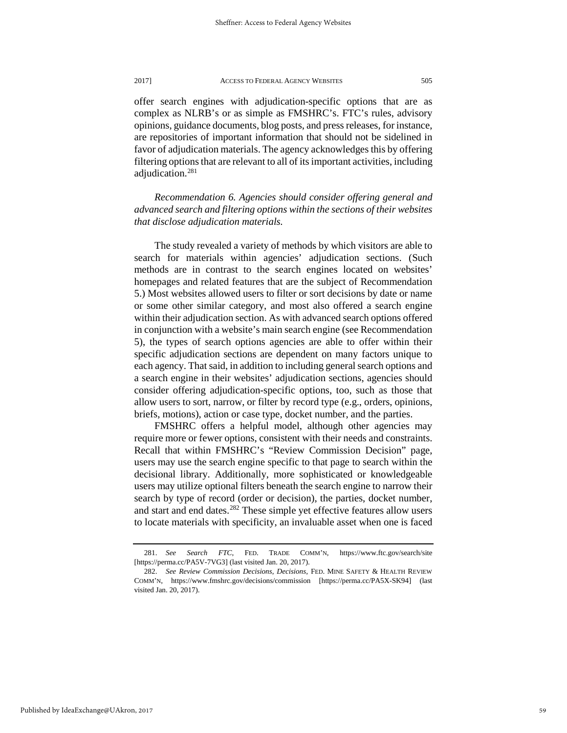offer search engines with adjudication-specific options that are as complex as NLRB's or as simple as FMSHRC's. FTC's rules, advisory opinions, guidance documents, blog posts, and press releases, for instance, are repositories of important information that should not be sidelined in favor of adjudication materials. The agency acknowledges this by offering filtering options that are relevant to all of its important activities, including adjudication.[281](#page-59-0)

*Recommendation 6. Agencies should consider offering general and advanced search and filtering options within the sections of their websites that disclose adjudication materials.*

The study revealed a variety of methods by which visitors are able to search for materials within agencies' adjudication sections. (Such methods are in contrast to the search engines located on websites' homepages and related features that are the subject of Recommendation 5.) Most websites allowed users to filter or sort decisions by date or name or some other similar category, and most also offered a search engine within their adjudication section. As with advanced search options offered in conjunction with a website's main search engine (see Recommendation 5), the types of search options agencies are able to offer within their specific adjudication sections are dependent on many factors unique to each agency. That said, in addition to including general search options and a search engine in their websites' adjudication sections, agencies should consider offering adjudication-specific options, too, such as those that allow users to sort, narrow, or filter by record type (e.g., orders, opinions, briefs, motions), action or case type, docket number, and the parties.

FMSHRC offers a helpful model, although other agencies may require more or fewer options, consistent with their needs and constraints. Recall that within FMSHRC's "Review Commission Decision" page, users may use the search engine specific to that page to search within the decisional library. Additionally, more sophisticated or knowledgeable users may utilize optional filters beneath the search engine to narrow their search by type of record (order or decision), the parties, docket number, and start and end dates.<sup>[282](#page-59-1)</sup> These simple yet effective features allow users to locate materials with specificity, an invaluable asset when one is faced

<span id="page-59-0"></span><sup>281.</sup> *See Search FTC*, FED. TRADE COMM'N, https://www.ftc.gov/search/site [https://perma.cc/PA5V-7VG3] (last visited Jan. 20, 2017).

<span id="page-59-1"></span><sup>282.</sup> *See Review Commission Decisions*, *Decisions*, FED. MINE SAFETY & HEALTH REVIEW COMM'N, https://www.fmshrc.gov/decisions/commission [https://perma.cc/PA5X-SK94] (last visited Jan. 20, 2017).